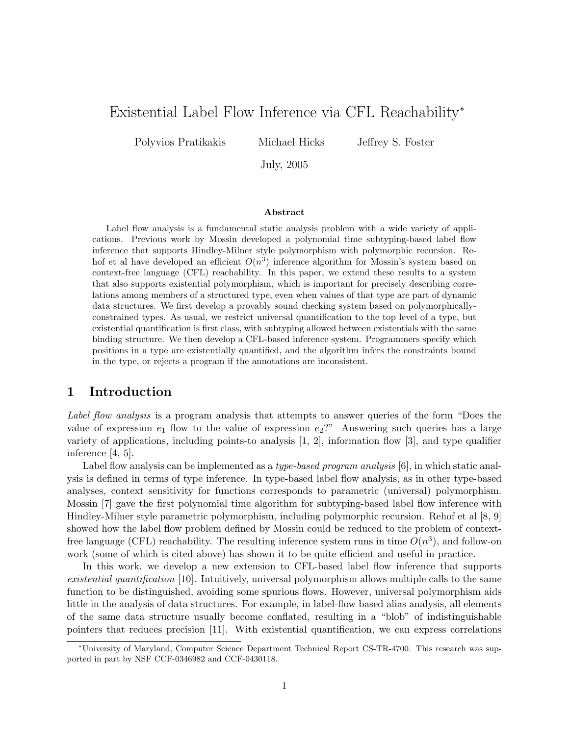# Existential Label Flow Inference via CFL Reachability<sup>∗</sup>

Polyvios Pratikakis Michael Hicks Jeffrey S. Foster

July, 2005

#### Abstract

Label flow analysis is a fundamental static analysis problem with a wide variety of applications. Previous work by Mossin developed a polynomial time subtyping-based label flow inference that supports Hindley-Milner style polymorphism with polymorphic recursion. Rehof et al have developed an efficient  $O(n^3)$  inference algorithm for Mossin's system based on context-free language (CFL) reachability. In this paper, we extend these results to a system that also supports existential polymorphism, which is important for precisely describing correlations among members of a structured type, even when values of that type are part of dynamic data structures. We first develop a provably sound checking system based on polymorphicallyconstrained types. As usual, we restrict universal quantification to the top level of a type, but existential quantification is first class, with subtyping allowed between existentials with the same binding structure. We then develop a CFL-based inference system. Programmers specify which positions in a type are existentially quantified, and the algorithm infers the constraints bound in the type, or rejects a program if the annotations are inconsistent.

### 1 Introduction

Label flow analysis is a program analysis that attempts to answer queries of the form "Does the value of expression  $e_1$  flow to the value of expression  $e_2$ ?" Answering such queries has a large variety of applications, including points-to analysis [1, 2], information flow [3], and type qualifier inference [4, 5].

Label flow analysis can be implemented as a *type-based program analysis* [6], in which static analysis is defined in terms of type inference. In type-based label flow analysis, as in other type-based analyses, context sensitivity for functions corresponds to parametric (universal) polymorphism. Mossin [7] gave the first polynomial time algorithm for subtyping-based label flow inference with Hindley-Milner style parametric polymorphism, including polymorphic recursion. Rehof et al [8, 9] showed how the label flow problem defined by Mossin could be reduced to the problem of contextfree language (CFL) reachability. The resulting inference system runs in time  $O(n^3)$ , and follow-on work (some of which is cited above) has shown it to be quite efficient and useful in practice.

In this work, we develop a new extension to CFL-based label flow inference that supports existential quantification [10]. Intuitively, universal polymorphism allows multiple calls to the same function to be distinguished, avoiding some spurious flows. However, universal polymorphism aids little in the analysis of data structures. For example, in label-flow based alias analysis, all elements of the same data structure usually become conflated, resulting in a "blob" of indistinguishable pointers that reduces precision [11]. With existential quantification, we can express correlations

<sup>∗</sup>University of Maryland, Computer Science Department Technical Report CS-TR-4700. This research was supported in part by NSF CCF-0346982 and CCF-0430118.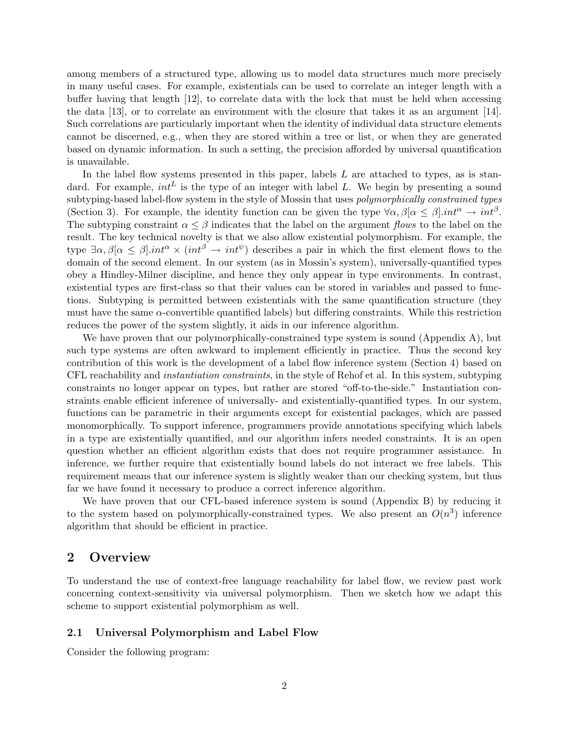among members of a structured type, allowing us to model data structures much more precisely in many useful cases. For example, existentials can be used to correlate an integer length with a buffer having that length [12], to correlate data with the lock that must be held when accessing the data [13], or to correlate an environment with the closure that takes it as an argument [14]. Such correlations are particularly important when the identity of individual data structure elements cannot be discerned, e.g., when they are stored within a tree or list, or when they are generated based on dynamic information. In such a setting, the precision afforded by universal quantification is unavailable.

In the label flow systems presented in this paper, labels  $L$  are attached to types, as is standard. For example,  $int^L$  is the type of an integer with label L. We begin by presenting a sound subtyping-based label-flow system in the style of Mossin that uses *polymorphically constrained types* (Section 3). For example, the identity function can be given the type  $\forall \alpha, \beta | \alpha \leq \beta | \text{int}^{\alpha} \rightarrow \text{int}^{\beta}$ . The subtyping constraint  $\alpha \leq \beta$  indicates that the label on the argument flows to the label on the result. The key technical novelty is that we also allow existential polymorphism. For example, the type  $\exists \alpha, \beta | \alpha \leq \beta | \text{int}^{\alpha} \times (\text{int}^{\beta} \rightarrow \text{int}^{\psi})$  describes a pair in which the first element flows to the domain of the second element. In our system (as in Mossin's system), universally-quantified types obey a Hindley-Milner discipline, and hence they only appear in type environments. In contrast, existential types are first-class so that their values can be stored in variables and passed to functions. Subtyping is permitted between existentials with the same quantification structure (they must have the same  $\alpha$ -convertible quantified labels) but differing constraints. While this restriction reduces the power of the system slightly, it aids in our inference algorithm.

We have proven that our polymorphically-constrained type system is sound (Appendix A), but such type systems are often awkward to implement efficiently in practice. Thus the second key contribution of this work is the development of a label flow inference system (Section 4) based on CFL reachability and instantiation constraints, in the style of Rehof et al. In this system, subtyping constraints no longer appear on types, but rather are stored "off-to-the-side." Instantiation constraints enable efficient inference of universally- and existentially-quantified types. In our system, functions can be parametric in their arguments except for existential packages, which are passed monomorphically. To support inference, programmers provide annotations specifying which labels in a type are existentially quantified, and our algorithm infers needed constraints. It is an open question whether an efficient algorithm exists that does not require programmer assistance. In inference, we further require that existentially bound labels do not interact we free labels. This requirement means that our inference system is slightly weaker than our checking system, but thus far we have found it necessary to produce a correct inference algorithm.

We have proven that our CFL-based inference system is sound (Appendix B) by reducing it to the system based on polymorphically-constrained types. We also present an  $O(n^3)$  inference algorithm that should be efficient in practice.

### 2 Overview

To understand the use of context-free language reachability for label flow, we review past work concerning context-sensitivity via universal polymorphism. Then we sketch how we adapt this scheme to support existential polymorphism as well.

### 2.1 Universal Polymorphism and Label Flow

Consider the following program: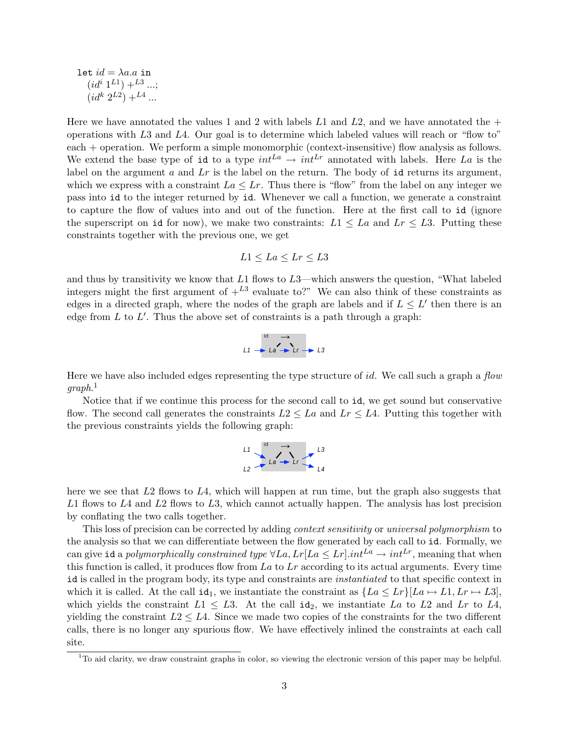let 
$$
id = \lambda a.a
$$
 in  
\n $(id^{i} 1^{L1}) + {}^{L3} ...;$   
\n $(id^{k} 2^{L2}) + {}^{L4} ...$ 

Here we have annotated the values 1 and 2 with labels  $L1$  and  $L2$ , and we have annotated the  $+$ operations with L3 and L4. Our goal is to determine which labeled values will reach or "flow to" each + operation. We perform a simple monomorphic (context-insensitive) flow analysis as follows. We extend the base type of id to a type  $int^{La} \rightarrow int^{Lr}$  annotated with labels. Here La is the label on the argument  $a$  and  $Lr$  is the label on the return. The body of id returns its argument. which we express with a constraint  $La \leq Lr$ . Thus there is "flow" from the label on any integer we pass into id to the integer returned by id. Whenever we call a function, we generate a constraint to capture the flow of values into and out of the function. Here at the first call to id (ignore the superscript on id for now), we make two constraints:  $L_1 \leq L_a$  and  $L_r \leq L_3$ . Putting these constraints together with the previous one, we get

$$
L1 \le La \le Lr \le L3
$$

and thus by transitivity we know that  $L1$  flows to  $L3$ —which answers the question, "What labeled integers might the first argument of  $+^{L3}$  evaluate to?" We can also think of these constraints as edges in a directed graph, where the nodes of the graph are labels and if  $L \leq L'$  then there is an edge from  $L$  to  $L'$ . Thus the above set of constraints is a path through a graph:



Here we have also included edges representing the type structure of id. We call such a graph a  $flow$  $graph.<sup>1</sup>$ 

Notice that if we continue this process for the second call to id, we get sound but conservative flow. The second call generates the constraints  $L2 \leq La$  and  $Lr \leq L4$ . Putting this together with the previous constraints yields the following graph:



here we see that  $L2$  flows to  $L4$ , which will happen at run time, but the graph also suggests that  $L1$  flows to  $L4$  and  $L2$  flows to  $L3$ , which cannot actually happen. The analysis has lost precision by conflating the two calls together.

This loss of precision can be corrected by adding *context sensitivity* or *universal polymorphism* to the analysis so that we can differentiate between the flow generated by each call to id. Formally, we can give id a polymorphically constrained type  $\forall La, Lr| La \leq Lr|. int^{La} \rightarrow int^{Lr}$ , meaning that when this function is called, it produces flow from  $La$  to  $Lr$  according to its actual arguments. Every time id is called in the program body, its type and constraints are *instantiated* to that specific context in which it is called. At the call id<sub>1</sub>, we instantiate the constraint as  $\{La \leq Lr\}$ [La  $\mapsto L1, Lr \mapsto L3$ ], which yields the constraint  $L_1 \leq L_3$ . At the call  $\mathrm{id}_2$ , we instantiate  $La$  to  $L_2$  and  $L_r$  to  $L_4$ , yielding the constraint  $L2 \leq L4$ . Since we made two copies of the constraints for the two different calls, there is no longer any spurious flow. We have effectively inlined the constraints at each call site.

 $1$ To aid clarity, we draw constraint graphs in color, so viewing the electronic version of this paper may be helpful.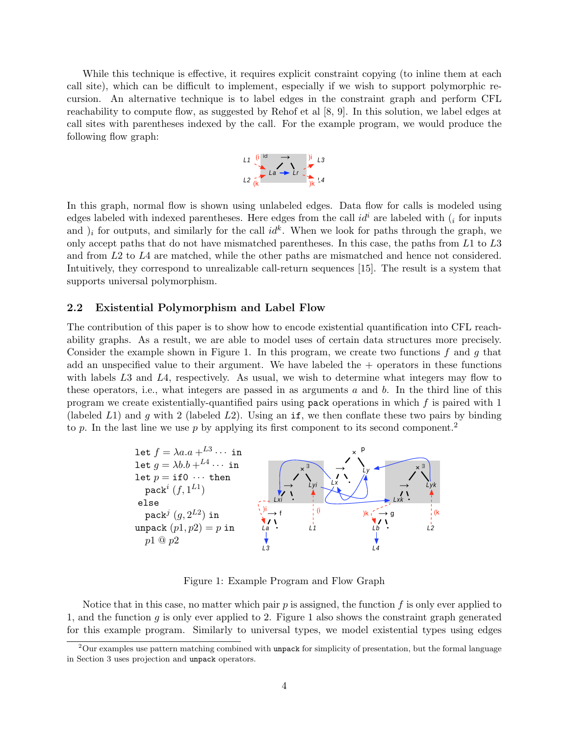While this technique is effective, it requires explicit constraint copying (to inline them at each call site), which can be difficult to implement, especially if we wish to support polymorphic recursion. An alternative technique is to label edges in the constraint graph and perform CFL reachability to compute flow, as suggested by Rehof et al [8, 9]. In this solution, we label edges at call sites with parentheses indexed by the call. For the example program, we would produce the following flow graph:



In this graph, normal flow is shown using unlabeled edges. Data flow for calls is modeled using edges labeled with indexed parentheses. Here edges from the call  $id^i$  are labeled with  $\binom{i}{i}$  for inputs and  $i_j$  for outputs, and similarly for the call  $id^k$ . When we look for paths through the graph, we only accept paths that do not have mismatched parentheses. In this case, the paths from L1 to L3 and from L2 to L4 are matched, while the other paths are mismatched and hence not considered. Intuitively, they correspond to unrealizable call-return sequences [15]. The result is a system that supports universal polymorphism.

#### 2.2 Existential Polymorphism and Label Flow

The contribution of this paper is to show how to encode existential quantification into CFL reachability graphs. As a result, we are able to model uses of certain data structures more precisely. Consider the example shown in Figure 1. In this program, we create two functions  $f$  and  $g$  that add an unspecified value to their argument. We have labeled the  $+$  operators in these functions with labels L3 and L4, respectively. As usual, we wish to determine what integers may flow to these operators, i.e., what integers are passed in as arguments  $a$  and  $b$ . In the third line of this program we create existentially-quantified pairs using pack operations in which  $f$  is paired with 1 (labeled L1) and g with 2 (labeled L2). Using an if, we then conflate these two pairs by binding to p. In the last line we use p by applying its first component to its second component.<sup>2</sup>



Figure 1: Example Program and Flow Graph

Notice that in this case, no matter which pair  $p$  is assigned, the function  $f$  is only ever applied to 1, and the function g is only ever applied to 2. Figure 1 also shows the constraint graph generated for this example program. Similarly to universal types, we model existential types using edges

 $2$ Our examples use pattern matching combined with unpack for simplicity of presentation, but the formal language in Section 3 uses projection and unpack operators.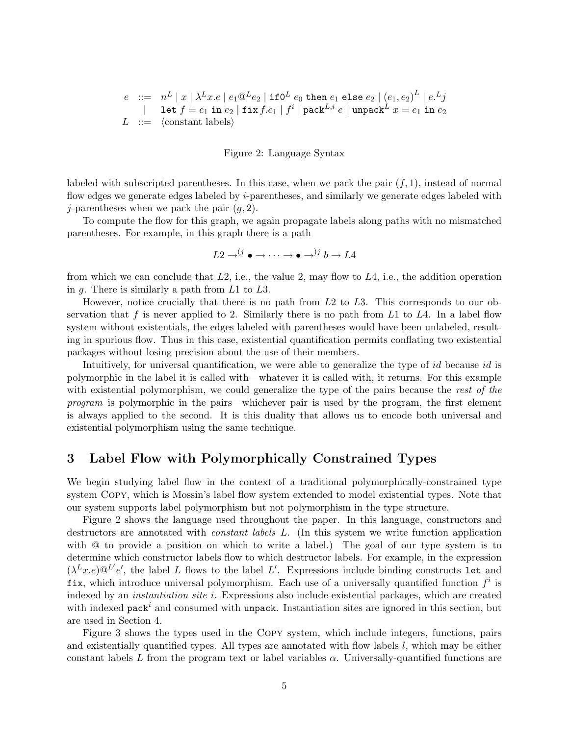$$
e ::= n^L | x | \lambda^L x.e | e_1 @^L e_2 | \text{if} 0^L e_0 \text{ then } e_1 \text{ else } e_2 | (e_1, e_2)^L | e^L j
$$
  
\n
$$
| \text{let } f = e_1 \text{ in } e_2 | \text{fix } f.e_1 | f^i | \text{pack}^{L,i} e | \text{unpack}^{L} x = e_1 \text{ in } e_2
$$
  
\n
$$
L ::= \langle \text{constant labels} \rangle
$$

Figure 2: Language Syntax

labeled with subscripted parentheses. In this case, when we pack the pair  $(f, 1)$ , instead of normal flow edges we generate edges labeled by *i*-parentheses, and similarly we generate edges labeled with j-parentheses when we pack the pair  $(g, 2)$ .

To compute the flow for this graph, we again propagate labels along paths with no mismatched parentheses. For example, in this graph there is a path

$$
L2 \to^{(j} \bullet \to \cdots \to \bullet \to^{)j} b \to L4
$$

from which we can conclude that  $L2$ , i.e., the value 2, may flow to  $L4$ , i.e., the addition operation in  $g$ . There is similarly a path from  $L1$  to  $L3$ .

However, notice crucially that there is no path from  $L2$  to  $L3$ . This corresponds to our observation that f is never applied to 2. Similarly there is no path from  $L1$  to  $L4$ . In a label flow system without existentials, the edges labeled with parentheses would have been unlabeled, resulting in spurious flow. Thus in this case, existential quantification permits conflating two existential packages without losing precision about the use of their members.

Intuitively, for universal quantification, we were able to generalize the type of id because id is polymorphic in the label it is called with—whatever it is called with, it returns. For this example with existential polymorphism, we could generalize the type of the pairs because the rest of the program is polymorphic in the pairs—whichever pair is used by the program, the first element is always applied to the second. It is this duality that allows us to encode both universal and existential polymorphism using the same technique.

## 3 Label Flow with Polymorphically Constrained Types

We begin studying label flow in the context of a traditional polymorphically-constrained type system Copy, which is Mossin's label flow system extended to model existential types. Note that our system supports label polymorphism but not polymorphism in the type structure.

Figure 2 shows the language used throughout the paper. In this language, constructors and destructors are annotated with constant labels L. (In this system we write function application with  $\omega$  to provide a position on which to write a label.) The goal of our type system is to determine which constructor labels flow to which destructor labels. For example, in the expression  $(\lambda^L x.e) @^{L'} e'$ , the label L flows to the label L'. Expressions include binding constructs let and fix, which introduce universal polymorphism. Each use of a universally quantified function  $f^i$  is indexed by an instantiation site i. Expressions also include existential packages, which are created with indexed pack<sup> $i$ </sup> and consumed with unpack. Instantiation sites are ignored in this section, but are used in Section 4.

Figure 3 shows the types used in the Copy system, which include integers, functions, pairs and existentially quantified types. All types are annotated with flow labels l, which may be either constant labels L from the program text or label variables  $\alpha$ . Universally-quantified functions are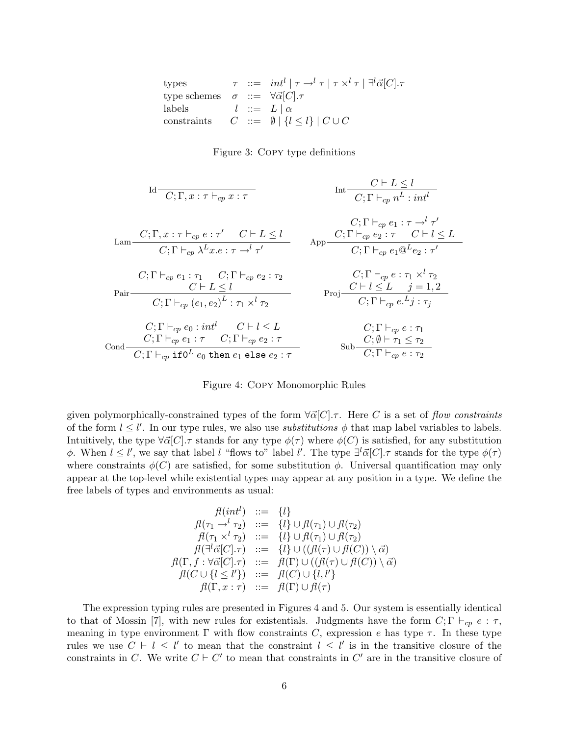| types        | $\tau$   | $::=$ | $int^{l}   \tau \rightarrow^{l} \tau   \tau \times^{l} \tau   \exists^{l} \vec{\alpha}[C].\tau$ |
|--------------|----------|-------|-------------------------------------------------------------------------------------------------|
| type schemes | $\sigma$ | $::=$ | $\forall \vec{\alpha}[C].\tau$                                                                  |
| labels       | $l$      | $::=$ | $L   \alpha$                                                                                    |
| constraints  | $C$      | $::=$ | $\emptyset   \{l \leq l\}   C \cup C$                                                           |

#### Figure 3: Copy type definitions

$$
Id \frac{C; \Gamma, x: \tau \vdash_{cp} x: \tau}{C; \Gamma, x: \tau \vdash_{cp} e: \tau} \qquad \text{Int} \frac{C \vdash L \leq l}{C; \Gamma \vdash_{cp} n^{L}: \text{int}^{l}}
$$
\n
$$
Lam \frac{C; \Gamma, x: \tau \vdash_{cp} e: \tau' \quad C \vdash L \leq l}{C; \Gamma \vdash_{cp} \lambda^{L} x. e: \tau \rightarrow^{l} \tau'}
$$
\n
$$
C; \Gamma \vdash_{cp} \lambda^{L} x. e: \tau \rightarrow^{l} \tau'
$$
\n
$$
C; \Gamma \vdash_{cp} e_1 : \tau_1 \quad C; \Gamma \vdash_{cp} e_2 : \tau_2
$$
\n
$$
C \vdash L \leq l
$$
\n
$$
C; \Gamma \vdash_{cp} (e_1, e_2)^L : \tau_1 \times^{l} \tau_2
$$
\n
$$
C; \Gamma \vdash_{cp} e_2 : \tau_1 \quad C; \Gamma \vdash_{cp} e_2 : \tau_2
$$
\n
$$
C; \Gamma \vdash_{cp} e: \tau_1 \times^{l} \tau_2
$$
\n
$$
C; \Gamma \vdash_{cp} e_0 : \text{int}^{l} \quad C \vdash l \leq L
$$
\n
$$
C; \Gamma \vdash_{cp} e_1 : \tau \quad C; \Gamma \vdash_{cp} e_2 : \tau
$$
\n
$$
C; \Gamma \vdash_{cp} e: \tau_1
$$
\n
$$
C; \Gamma \vdash_{cp} e_1 : \tau \quad C; \Gamma \vdash_{cp} e_2 : \tau
$$
\n
$$
C; \Gamma \vdash_{cp} e: \tau_1
$$
\n
$$
C; \Gamma \vdash_{cp} e_1 : \tau \quad C; \Gamma \vdash_{cp} e_2 : \tau
$$
\n
$$
C; \Gamma \vdash_{cp} e: \tau_1
$$
\n
$$
C; \Gamma \vdash_{cp} e_1 : \tau \quad C; \Gamma \vdash_{cp} e_2 : \tau
$$
\n
$$
C; \Gamma \vdash_{cp} e: \tau_1
$$
\n
$$
C; \Gamma \vdash_{cp} e_1 : \tau \quad C; \Gamma \vdash_{cp} e_2 :
$$

Figure 4: Copy Monomorphic Rules

given polymorphically-constrained types of the form  $\forall \vec{\alpha}[C].\tau$ . Here C is a set of flow constraints of the form  $l \leq l'$ . In our type rules, we also use *substitutions*  $\phi$  that map label variables to labels. Intuitively, the type  $\forall \vec{\alpha}[C]$ . T stands for any type  $\phi(\tau)$  where  $\phi(C)$  is satisfied, for any substitution  $\phi$ . When  $l \leq l'$ , we say that label l "flows to" label l'. The type  $\exists^{l} \vec{\alpha} |C$ . τ stands for the type  $\phi(\tau)$ where constraints  $\phi(C)$  are satisfied, for some substitution  $\phi$ . Universal quantification may only appear at the top-level while existential types may appear at any position in a type. We define the free labels of types and environments as usual:

$$
f(\int_{\tau_1}^{\tau_2} f(\tau_1) d\tau_2 = \{l\} \cup f(\tau_1) \cup f(\tau_2) \nf(\tau_1 \to^l \tau_2) ::= \{l\} \cup f(\tau_1) \cup f(\tau_2) \nf(\tau_1 \times^l \tau_2) ::= \{l\} \cup f(\tau_1) \cup f(\tau_2) \nf(\exists^l \vec{\alpha}[C].\tau) ::= \{l\} \cup ((f(\tau) \cup f(C)) \setminus \vec{\alpha}) \nf(\Gamma, f : \forall \vec{\alpha}[C].\tau) ::= f(\Gamma) \cup ((f(\tau) \cup f(C)) \setminus \vec{\alpha}) \nf(\Gamma, x : \tau) ::= f(\Gamma) \cup f(\tau)
$$

The expression typing rules are presented in Figures 4 and 5. Our system is essentially identical to that of Mossin [7], with new rules for existentials. Judgments have the form  $C; \Gamma \vdash_{cp} e : \tau$ , meaning in type environment  $\Gamma$  with flow constraints C, expression e has type  $\tau$ . In these type rules we use  $C \vdash l \leq l'$  to mean that the constraint  $l \leq l'$  is in the transitive closure of the constraints in C. We write  $C \vdash C'$  to mean that constraints in  $C'$  are in the transitive closure of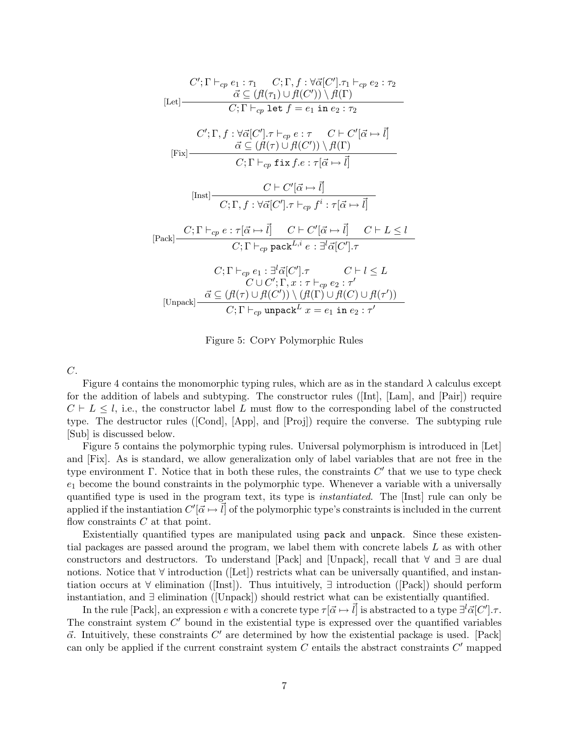$$
C'; \Gamma \vdash_{cp} e_1 : \tau_1 \quad C; \Gamma, f : \forall \vec{\alpha} [C'], \tau_1 \vdash_{cp} e_2 : \tau_2
$$
\n[Let]\n
$$
\overrightarrow{\alpha} \subseteq (f(\tau_1) \cup f(C')) \setminus f(\Gamma)
$$
\n
$$
C; \Gamma \vdash_{cp} \text{let } f = e_1 \text{ in } e_2 : \tau_2
$$
\n
$$
C'; \Gamma, f : \forall \vec{\alpha} [C'], \tau \vdash_{cp} e : \tau \quad C \vdash C' [\vec{\alpha} \mapsto \vec{l}]
$$
\n
$$
\overrightarrow{\alpha} \subseteq (f(\tau) \cup f(C')) \setminus f(\Gamma)
$$
\n[First]\n
$$
C; \Gamma \vdash_{cp} \text{fix } f.e : \tau[\vec{\alpha} \mapsto \vec{l}]
$$
\n[Just]\n
$$
\overrightarrow{C; \Gamma \vdash_{cp} \text{fix } f.e : \tau[\vec{\alpha} \mapsto \vec{l}]}
$$
\n[Test]\n
$$
\overrightarrow{C; \Gamma, f : \forall \vec{\alpha} [C'], \tau \vdash_{cp} f^i : \tau[\vec{\alpha} \mapsto \vec{l}]
$$
\n[Text]\n
$$
\overrightarrow{C; \Gamma \vdash_{cp} e : \tau[\vec{\alpha} \mapsto \vec{l}] \quad C \vdash C'[\vec{\alpha} \mapsto \vec{l}] \quad C \vdash L \leq l
$$
\n[Text]\n
$$
\overrightarrow{C; \Gamma \vdash_{cp} \text{pack}^{L, i} e : \exists^l \vec{\alpha} [C'], \tau \quad C \vdash l \leq L
$$
\n
$$
\overrightarrow{C \cup C'; \Gamma, x : \tau \vdash_{cp} e_2 : \tau'}
$$
\n[Unpack]\n
$$
\overrightarrow{\alpha} \subseteq (f(\tau) \cup f(C')) \setminus (f(\Gamma) \cup f(C) \cup f(\tau'))
$$
\n
$$
\overrightarrow{C; \Gamma \vdash_{cp} \text{unpack} L} x = e_1 \text{ in } e_2 : \tau'
$$

Figure 5: Copy Polymorphic Rules

C.

Figure 4 contains the monomorphic typing rules, which are as in the standard  $\lambda$  calculus except for the addition of labels and subtyping. The constructor rules ([Int], [Lam], and [Pair]) require  $C \vdash L \leq l$ , i.e., the constructor label L must flow to the corresponding label of the constructed type. The destructor rules ([Cond], [App], and [Proj]) require the converse. The subtyping rule [Sub] is discussed below.

Figure 5 contains the polymorphic typing rules. Universal polymorphism is introduced in [Let] and [Fix]. As is standard, we allow generalization only of label variables that are not free in the type environment  $\Gamma$ . Notice that in both these rules, the constraints  $C'$  that we use to type check  $e_1$  become the bound constraints in the polymorphic type. Whenever a variable with a universally quantified type is used in the program text, its type is instantiated. The [Inst] rule can only be applied if the instantiation  $C'[\vec{\alpha} \mapsto \vec{l}]$  of the polymorphic type's constraints is included in the current flow constraints  $C$  at that point.

Existentially quantified types are manipulated using pack and unpack. Since these existential packages are passed around the program, we label them with concrete labels L as with other constructors and destructors. To understand [Pack] and [Unpack], recall that ∀ and ∃ are dual notions. Notice that ∀ introduction ([Let]) restricts what can be universally quantified, and instantiation occurs at ∀ elimination ([Inst]). Thus intuitively, ∃ introduction ([Pack]) should perform instantiation, and ∃ elimination ([Unpack]) should restrict what can be existentially quantified.

In the rule [Pack], an expression e with a concrete type  $\tau[\vec{\alpha} \mapsto \vec{l}]$  is abstracted to a type  $\exists^{l} \vec{\alpha} [C']$ . The constraint system  $C'$  bound in the existential type is expressed over the quantified variables  $\vec{\alpha}$ . Intuitively, these constraints C' are determined by how the existential package is used. [Pack] can only be applied if the current constraint system  $C$  entails the abstract constraints  $C'$  mapped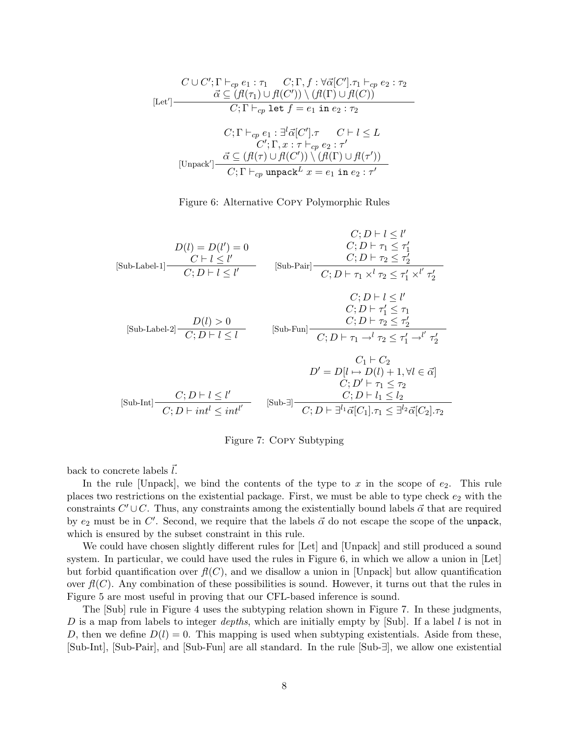$$
C \cup C'; \Gamma \vdash_{cp} e_1 : \tau_1 \quad C; \Gamma, f : \forall \vec{\alpha}[C'], \tau_1 \vdash_{cp} e_2 : \tau_2
$$
\n
$$
[Let'] \frac{\vec{\alpha} \subseteq (\mathcal{H}(\tau_1) \cup \mathcal{H}(C')) \setminus (\mathcal{H}(\Gamma) \cup \mathcal{H}(C))}{C; \Gamma \vdash_{cp} \text{ let } f = e_1 \text{ in } e_2 : \tau_2}
$$
\n
$$
C; \Gamma \vdash_{cp} e_1 : \exists^l \vec{\alpha}[C'], \tau \quad C \vdash l \leq L
$$
\n
$$
C'; \Gamma, x : \tau \vdash_{cp} e_2 : \tau'
$$
\n[Unpack'] 
$$
\frac{\vec{\alpha} \subseteq (\mathcal{H}(\tau) \cup \mathcal{H}(C')) \setminus (\mathcal{H}(\Gamma) \cup \mathcal{H}(\tau'))}{C; \Gamma \vdash_{cp} \text{ unpack}^L x = e_1 \text{ in } e_2 : \tau'}
$$

Figure 6: Alternative Copy Polymorphic Rules



Figure 7: Copy Subtyping

back to concrete labels  $l$ .

In the rule [Unpack], we bind the contents of the type to x in the scope of  $e_2$ . This rule places two restrictions on the existential package. First, we must be able to type check  $e_2$  with the constraints  $C' \cup C$ . Thus, any constraints among the existentially bound labels  $\vec{\alpha}$  that are required by  $e_2$  must be in C'. Second, we require that the labels  $\vec{\alpha}$  do not escape the scope of the unpack, which is ensured by the subset constraint in this rule.

We could have chosen slightly different rules for [Let] and [Unpack] and still produced a sound system. In particular, we could have used the rules in Figure 6, in which we allow a union in [Let] but forbid quantification over  $f(C)$ , and we disallow a union in [Unpack] but allow quantification over  $f(C)$ . Any combination of these possibilities is sound. However, it turns out that the rules in Figure 5 are most useful in proving that our CFL-based inference is sound.

The [Sub] rule in Figure 4 uses the subtyping relation shown in Figure 7. In these judgments, D is a map from labels to integer depths, which are initially empty by [Sub]. If a label l is not in D, then we define  $D(l) = 0$ . This mapping is used when subtyping existentials. Aside from these, [Sub-Int], [Sub-Pair], and [Sub-Fun] are all standard. In the rule [Sub-∃], we allow one existential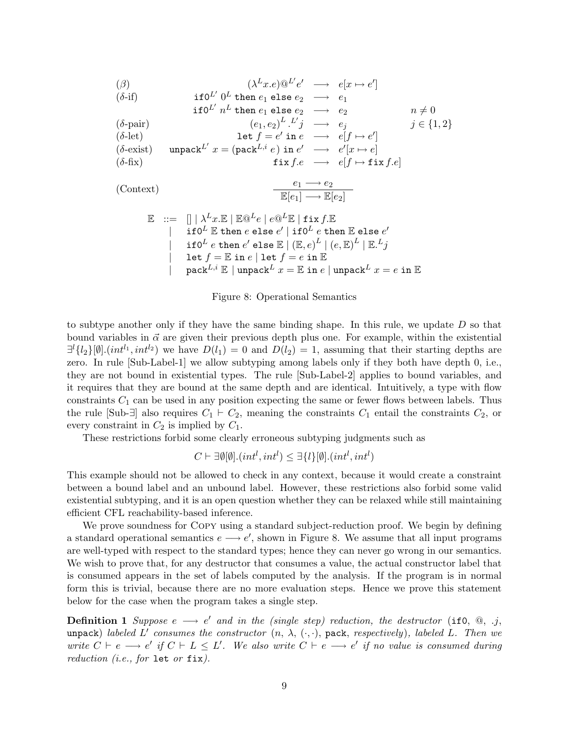$$
(\beta) \qquad (\lambda^L x.e) @^{L'} e' \longrightarrow e[x \mapsto e']
$$

$$
(\delta\text{-if}) \quad \text{if } 0^L \text{ then } e_1 \text{ else } e_2 \longrightarrow e_1
$$

if 
$$
0^{L'}
$$
 n<sup>L</sup> then  $e_1$  else  $e_2 \longrightarrow e_2$   $n \neq 0$   
\n
$$
(e_1, e_2)^{L} L' \neq (e_1, e_2) \qquad i \in [1, 2]
$$

$$
\begin{array}{llll} (\delta\text{-pair}) & (e_1, e_2)^L \cdot L'j & \longrightarrow & e_j & j \in \{1, 2\} \\ (\delta\text{-let}) & \text{let } f = e' \text{ in } e & \longrightarrow & e[f \mapsto e'] \\ (\delta\text{-exist}) & \text{unpack}^{L'} \ x = (\text{pack}^{L, i} e) \text{ in } e' & \longrightarrow & e'[x \mapsto e] \\ (\delta\text{-fix}) & \text{fix } f.e & \longrightarrow & e[f \mapsto \text{fix } f.e] \end{array}
$$

 $(Context)$ 

$$
e_1 \longrightarrow e_2
$$

$$
\mathbb{E}[e_1] \longrightarrow \mathbb{E}[e_2]
$$

$$
\begin{array}{ll} \mathbb{E} & ::= & [] | \lambda^L x. \mathbb{E} \mid \mathbb{E} @^L e \mid e @^L \mathbb{E} \mid \text{fix } f. \mathbb{E} \\ & & | & \text{if } 0^L \mathbb{E} \text{ then } e \text{ else } e' \mid \text{if } 0^L \ e \text{ then } \mathbb{E} \text{ else } e' \\ & & | & \text{if } 0^L \ e \text{ then } e' \text{ else } \mathbb{E} \mid (\mathbb{E}, e)^L \mid (e, \mathbb{E})^L \mid \mathbb{E}.^L j \\ & & | & \text{let } f = \mathbb{E} \text{ in } e \mid \text{let } f = e \text{ in } \mathbb{E} \\ & & | & \text{pack}^{L,i} \mathbb{E} \mid \text{unpack}^{L} x = \mathbb{E} \text{ in } e \mid \text{unpack}^{L} x = e \text{ in } \mathbb{E} \end{array}
$$

#### Figure 8: Operational Semantics

to subtype another only if they have the same binding shape. In this rule, we update  $D$  so that bound variables in  $\vec{\alpha}$  are given their previous depth plus one. For example, within the existential  $\exists^{l} \{l_2\}[\emptyset].(int^{l_1}, int^{l_2})$  we have  $D(l_1) = 0$  and  $D(l_2) = 1$ , assuming that their starting depths are zero. In rule [Sub-Label-1] we allow subtyping among labels only if they both have depth 0, i.e., they are not bound in existential types. The rule [Sub-Label-2] applies to bound variables, and it requires that they are bound at the same depth and are identical. Intuitively, a type with flow constraints  $C_1$  can be used in any position expecting the same or fewer flows between labels. Thus the rule [Sub- $\exists$ ] also requires  $C_1 \vdash C_2$ , meaning the constraints  $C_1$  entail the constraints  $C_2$ , or every constraint in  $C_2$  is implied by  $C_1$ .

These restrictions forbid some clearly erroneous subtyping judgments such as

$$
C \vdash \exists \emptyset [\emptyset].(int^l, int^l) \leq \exists \{l\} [\emptyset].(int^l, int^l)
$$

This example should not be allowed to check in any context, because it would create a constraint between a bound label and an unbound label. However, these restrictions also forbid some valid existential subtyping, and it is an open question whether they can be relaxed while still maintaining efficient CFL reachability-based inference.

We prove soundness for Copy using a standard subject-reduction proof. We begin by defining a standard operational semantics  $e \rightarrow e'$ , shown in Figure 8. We assume that all input programs are well-typed with respect to the standard types; hence they can never go wrong in our semantics. We wish to prove that, for any destructor that consumes a value, the actual constructor label that is consumed appears in the set of labels computed by the analysis. If the program is in normal form this is trivial, because there are no more evaluation steps. Hence we prove this statement below for the case when the program takes a single step.

**Definition 1** Suppose  $e \rightarrow e'$  and in the (single step) reduction, the destructor (if0,  $\mathbb{Q}$ , .j, unpack) labeled L' consumes the constructor  $(n, \lambda, (\cdot, \cdot))$ , pack, respectively), labeled L. Then we write  $C \vdash e \longrightarrow e'$  if  $C \vdash L \leq L'$ . We also write  $C \vdash e \longrightarrow e'$  if no value is consumed during reduction (i.e., for let or  $fix$ ).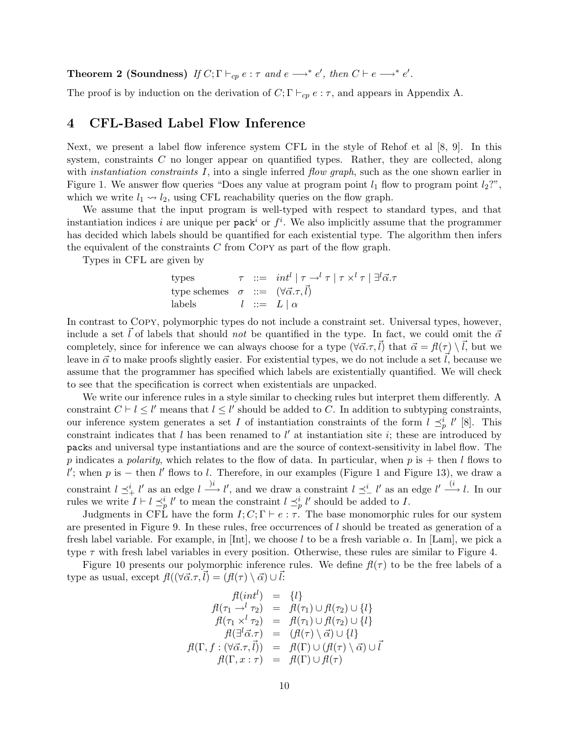**Theorem 2 (Soundness)** If  $C; \Gamma \vdash_{cp} e : \tau$  and  $e \longrightarrow^* e'$ , then  $C \vdash e \longrightarrow^* e'$ .

The proof is by induction on the derivation of  $C; \Gamma \vdash_{cp} e : \tau$ , and appears in Appendix A.

### 4 CFL-Based Label Flow Inference

Next, we present a label flow inference system CFL in the style of Rehof et al [8, 9]. In this system, constraints C no longer appear on quantified types. Rather, they are collected, along with *instantiation constraints*  $I$ , into a single inferred *flow graph*, such as the one shown earlier in Figure 1. We answer flow queries "Does any value at program point  $l_1$  flow to program point  $l_2$ ?", which we write  $l_1 \rightarrow l_2$ , using CFL reachability queries on the flow graph.

We assume that the input program is well-typed with respect to standard types, and that instantiation indices i are unique per pack<sup>i</sup> or  $f^i$ . We also implicitly assume that the programmer has decided which labels should be quantified for each existential type. The algorithm then infers the equivalent of the constraints  $C$  from COPY as part of the flow graph.

Types in CFL are given by

\n
$$
\tau := \int \int \tau \, d\tau \, d\tau
$$
\n and\n  $\tau := \int (\forall \vec{\alpha} \cdot \tau, \vec{l})$ \n

\n\n The series of the following matrices:\n  $\sigma := \int (\forall \vec{\alpha} \cdot \tau, \vec{l})$ \n

\n\n The series of the following matrices:\n  $\sigma$  is:\n  $\sigma$  is:\n  $\sigma$ .\n

In contrast to Copy, polymorphic types do not include a constraint set. Universal types, however, include a set l of labels that should not be quantified in the type. In fact, we could omit the  $\vec{\alpha}$ completely, since for inference we can always choose for a type  $(\forall \vec{\alpha}.\tau,\vec{l})$  that  $\vec{\alpha} = f(\tau) \setminus \vec{l}$ , but we leave in  $\vec{\alpha}$  to make proofs slightly easier. For existential types, we do not include a set  $\vec{l}$ , because we assume that the programmer has specified which labels are existentially quantified. We will check to see that the specification is correct when existentials are unpacked.

We write our inference rules in a style similar to checking rules but interpret them differently. A constraint  $C \vdash l \leq l'$  means that  $l \leq l'$  should be added to C. In addition to subtyping constraints, our inference system generates a set I of instantiation constraints of the form  $l \preceq_p^i l'$  [8]. This constraint indicates that  $l$  has been renamed to  $l'$  at instantiation site  $i$ ; these are introduced by packs and universal type instantiations and are the source of context-sensitivity in label flow. The p indicates a polarity, which relates to the flow of data. In particular, when p is  $+$  then l flows to  $l'$ ; when p is – then  $l'$  flows to l. Therefore, in our examples (Figure 1 and Figure 13), we draw a constraint  $l \preceq^i_\text{+} l'$  as an edge  $l \xrightarrow{j_i} l'$ , and we draw a constraint  $l \preceq^i_\text{-} l'$  as an edge  $l' \xrightarrow{(i} l$ . In our rules we write  $I \vdash l \preceq^i_p l'$  to mean the constraint  $l \preceq^i_p l'$  should be added to I.

Judgments in CFL have the form  $I; C; \Gamma \vdash e : \tau$ . The base monomorphic rules for our system are presented in Figure 9. In these rules, free occurrences of l should be treated as generation of a fresh label variable. For example, in [Int], we choose l to be a fresh variable  $\alpha$ . In [Lam], we pick a type  $\tau$  with fresh label variables in every position. Otherwise, these rules are similar to Figure 4.

Figure 10 presents our polymorphic inference rules. We define  $f(\tau)$  to be the free labels of a type as usual, except  $f\ell((\forall \vec{\alpha}. \tau, \vec{l}) = (f\ell(\tau) \setminus \vec{\alpha}) \cup \vec{l}:$ 

$$
f(\int_{\tau_1}^{\tau_2} f(\tau_1) = \{l\}
$$
\n
$$
f(\tau_1 \to^l \tau_2) = f(\tau_1) \cup f(\tau_2) \cup \{l\}
$$
\n
$$
f(\tau_1 \times^l \tau_2) = f(\tau_1) \cup f(\tau_2) \cup \{l\}
$$
\n
$$
f(\exists^l \vec{\alpha}.\tau) = (f(\tau) \setminus \vec{\alpha}) \cup \{l\}
$$
\n
$$
f(\Gamma, f : (\forall \vec{\alpha}.\tau, \vec{l}) = f(\Gamma) \cup (f(\tau) \setminus \vec{\alpha}) \cup \vec{l}
$$
\n
$$
f(\Gamma, x : \tau) = f(\Gamma) \cup f(\tau)
$$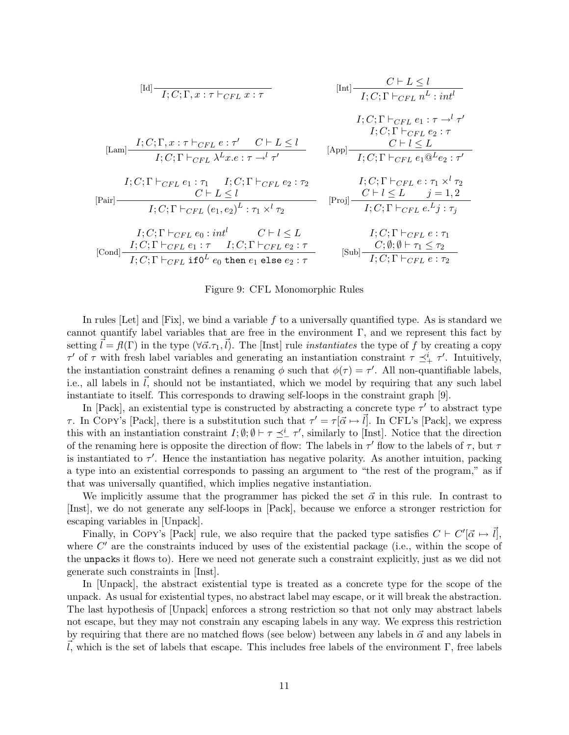$$
[Id] \frac{C \vdash L \le l}{I; C; \Gamma, x : \tau \vdash_{CFL} x : \tau}
$$
\n
$$
[Int] \frac{C \vdash L \le l}{I; C; \Gamma \vdash_{CFL} n^L : int^l}
$$
\n
$$
I; C; \Gamma \vdash_{CFL} e_1 : \tau \to^l \tau'
$$
\n
$$
[Lam] \frac{I; C; \Gamma, x : \tau \vdash_{CFL} e : \tau' \quad C \vdash L \le l}{I; C; \Gamma \vdash_{CFL} \lambda^L x . e : \tau \to^l \tau'}
$$
\n
$$
[App] \frac{C \vdash l \le L}{I; C; \Gamma \vdash_{CFL} e_2 : \tau}
$$
\n
$$
I; C; \Gamma \vdash_{CFL} e_1 : \tau_1 \quad I; C; \Gamma \vdash_{CFL} e_2 : \tau_2
$$
\n
$$
I; C; \Gamma \vdash_{CFL} e_1 \otimes^L e_2 : \tau'
$$
\n
$$
I; C; \Gamma \vdash_{CFL} (e_1, e_2)^L : \tau_1 \times^l \tau_2
$$
\n
$$
[Proj] \frac{C \vdash l \le L}{I; C; \Gamma \vdash_{CFL} e : \tau_1 \times^l \tau_2}
$$
\n
$$
I; C; \Gamma \vdash_{CFL} e_0 : int^l \quad C \vdash l \le L
$$
\n
$$
I; C; \Gamma \vdash_{CFL} e : \tau_1
$$
\n
$$
[Cond] \frac{I; C; \Gamma \vdash_{CFL} e_1 : \tau \quad I; C; \Gamma \vdash_{CFL} e_2 : \tau}{I; C; \Gamma \vdash_{CFL} e_2 : \tau}
$$
\n
$$
[Sub] \frac{C; \emptyset; \emptyset \vdash \tau_1 \le \tau_2}{I; C; \Gamma \vdash_{CFL} e : \tau_2}
$$

Figure 9: CFL Monomorphic Rules

In rules [Let] and  $[Fix]$ , we bind a variable f to a universally quantified type. As is standard we cannot quantify label variables that are free in the environment  $\Gamma$ , and we represent this fact by setting  $\vec{l} = \mathcal{H}(\Gamma)$  in the type  $(\forall \vec{\alpha}.\tau_1, \vec{l})$ . The [Inst] rule *instantiates* the type of f by creating a copy  $\tau'$  of  $\tau$  with fresh label variables and generating an instantiation constraint  $\tau \preceq^i_{+} \tau'$ . Intuitively, the instantiation constraint defines a renaming  $\phi$  such that  $\phi(\tau) = \tau'$ . All non-quantifiable labels, i.e., all labels in  $l$ , should not be instantiated, which we model by requiring that any such label instantiate to itself. This corresponds to drawing self-loops in the constraint graph [9].

In [Pack], an existential type is constructed by abstracting a concrete type  $\tau'$  to abstract type τ. In COPY's [Pack], there is a substitution such that  $τ' = τ[\vec{\alpha} \mapsto \vec{l}]$ . In CFL's [Pack], we express this with an instantiation constraint  $I; \emptyset; \emptyset \vdash \tau \preceq^i_{-} \tau'$ , similarly to [Inst]. Notice that the direction of the renaming here is opposite the direction of flow: The labels in  $\tau'$  flow to the labels of  $\tau$ , but  $\tau$ is instantiated to  $\tau'$ . Hence the instantiation has negative polarity. As another intuition, packing a type into an existential corresponds to passing an argument to "the rest of the program," as if that was universally quantified, which implies negative instantiation.

We implicitly assume that the programmer has picked the set  $\vec{\alpha}$  in this rule. In contrast to [Inst], we do not generate any self-loops in [Pack], because we enforce a stronger restriction for escaping variables in [Unpack].

Finally, in COPY's [Pack] rule, we also require that the packed type satisfies  $C \vdash C'[\vec{\alpha} \mapsto \vec{l}]$ , where  $C'$  are the constraints induced by uses of the existential package (i.e., within the scope of the unpacks it flows to). Here we need not generate such a constraint explicitly, just as we did not generate such constraints in [Inst].

In [Unpack], the abstract existential type is treated as a concrete type for the scope of the unpack. As usual for existential types, no abstract label may escape, or it will break the abstraction. The last hypothesis of [Unpack] enforces a strong restriction so that not only may abstract labels not escape, but they may not constrain any escaping labels in any way. We express this restriction by requiring that there are no matched flows (see below) between any labels in  $\vec{\alpha}$  and any labels in  $\vec{l}$ , which is the set of labels that escape. This includes free labels of the environment Γ, free labels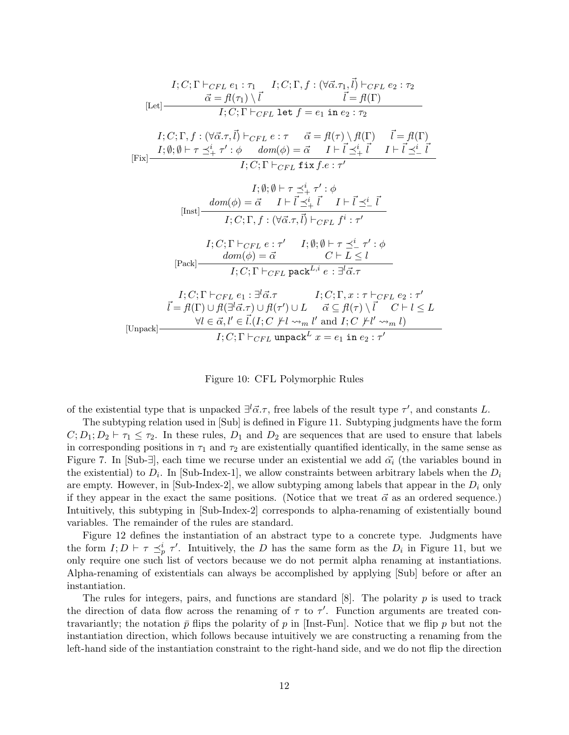$$
I; C; \Gamma \vdash_{CFL} e_1 : \tau_1 \qquad I; C; \Gamma, f : (\forall \vec{\alpha}.\tau_1, \vec{l}) \vdash_{CFL} e_2 : \tau_2
$$
\n
$$
[Let]
$$
\n
$$
\vec{\alpha} = f\ell(\tau_1) \setminus \vec{l} \qquad \vec{l} = f\ell(\Gamma)
$$
\n
$$
I; C; \Gamma, f : (\forall \vec{\alpha}.\tau, \vec{l}) \vdash_{CFL} e : \tau \qquad \vec{\alpha} = f\ell(\tau) \setminus f\ell(\Gamma) \qquad \vec{l} = f\ell(\Gamma)
$$
\n
$$
[Fix]
$$
\n
$$
I; \emptyset; \emptyset \vdash \tau \preceq^i_+ \tau' : \phi \qquad dom(\phi) = \vec{\alpha} \qquad I \vdash \vec{l} \preceq^i_+ \vec{l} \qquad I \vdash \vec{l} \preceq^i_- \vec{l}
$$
\n
$$
I; C; \Gamma \vdash_{CFL} fix f.e : \tau'
$$
\n
$$
I; \emptyset; \emptyset \vdash \tau \preceq^i_+ \tau' : \phi
$$
\n
$$
[Inst]
$$
\n
$$
dom(\phi) = \vec{\alpha} \qquad I \vdash \vec{l} \preceq^i_+ \vec{l} \qquad I \vdash \vec{l} \preceq^i_- \vec{l}
$$
\n
$$
I; C; \Gamma, f : (\forall \vec{\alpha}.\tau, \vec{l}) \vdash_{CFL} f^i : \tau'
$$
\n
$$
I; C; \Gamma \vdash_{CFL} e : \tau' \qquad I; \emptyset; \emptyset \vdash \tau \preceq^i_- \tau' : \phi
$$
\n
$$
[Pack]
$$
\n
$$
[Pack]
$$
\n
$$
I; C; \Gamma \vdash_{CFL} \text{pack}^{L,i} e : \exists^l \vec{\alpha}.\tau
$$
\n
$$
\vec{l} = f\ell(\Gamma) \cup f(\exists^l \vec{\alpha}.\tau) \cup f(\tau') \cup L \qquad \vec{\alpha} \subseteq f(\tau) \setminus \vec{l} \qquad C \vdash l \leq L
$$
\n
$$
[Unpack]
$$
\n
$$
Vl \in \vec{\alpha}, l' \in \vec{l}. (I; C \not\models l \sim_m l' \text{ and } I
$$

Figure 10: CFL Polymorphic Rules

of the existential type that is unpacked  $\exists^{l} \vec{\alpha}.\tau$ , free labels of the result type  $\tau'$ , and constants L.

The subtyping relation used in [Sub] is defined in Figure 11. Subtyping judgments have the form  $C; D_1; D_2 \vdash \tau_1 \leq \tau_2$ . In these rules,  $D_1$  and  $D_2$  are sequences that are used to ensure that labels in corresponding positions in  $\tau_1$  and  $\tau_2$  are existentially quantified identically, in the same sense as Figure 7. In [Sub- $\exists$ ], each time we recurse under an existential we add  $\vec{\alpha_i}$  (the variables bound in the existential) to  $D_i$ . In [Sub-Index-1], we allow constraints between arbitrary labels when the  $D_i$ are empty. However, in  $\text{Sub-Index-2}$ , we allow subtyping among labels that appear in the  $D_i$  only if they appear in the exact the same positions. (Notice that we treat  $\vec{\alpha}$  as an ordered sequence.) Intuitively, this subtyping in [Sub-Index-2] corresponds to alpha-renaming of existentially bound variables. The remainder of the rules are standard.

Figure 12 defines the instantiation of an abstract type to a concrete type. Judgments have the form  $I; D \vdash \tau \preceq^i_p \tau'$ . Intuitively, the D has the same form as the  $D_i$  in Figure 11, but we only require one such list of vectors because we do not permit alpha renaming at instantiations. Alpha-renaming of existentials can always be accomplished by applying [Sub] before or after an instantiation.

The rules for integers, pairs, and functions are standard  $[8]$ . The polarity p is used to track the direction of data flow across the renaming of  $\tau$  to  $\tau'$ . Function arguments are treated contravariantly; the notation  $\bar{p}$  flips the polarity of p in [Inst-Fun]. Notice that we flip p but not the instantiation direction, which follows because intuitively we are constructing a renaming from the left-hand side of the instantiation constraint to the right-hand side, and we do not flip the direction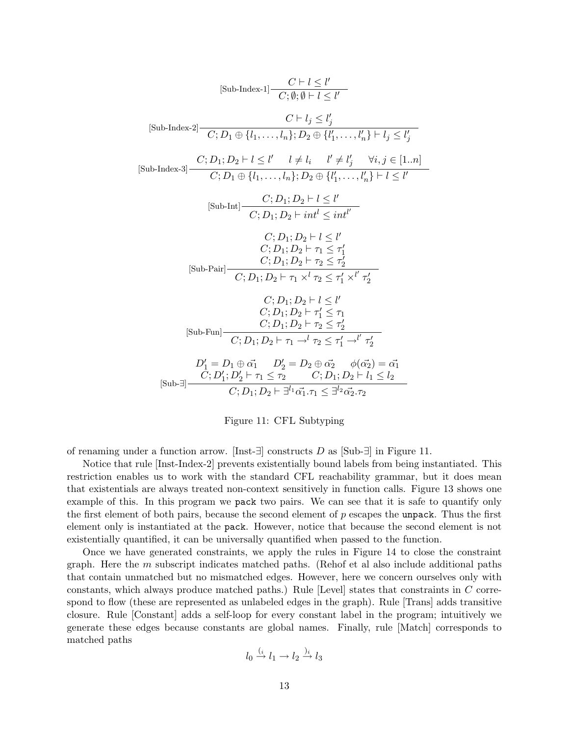$$
[\text{Sub-Index-1}] \frac{C \vdash l \le l'}{C; \emptyset; \emptyset \vdash l \le l'}
$$
\n
$$
[\text{Sub-Index-2}] \frac{C \vdash l_j \le l'_j}{C; D_1 \oplus \{l_1, \ldots, l_n\}; D_2 \oplus \{l'_1, \ldots, l'_n\} \vdash l_j \le l'_j}
$$
\n
$$
[\text{Sub-Index-3}] \frac{C; D_1; D_2 \vdash l \le l' \quad l \ne l_i \quad l' \ne l'_j \quad \forall i, j \in [1..n]}{C; D_1 \oplus \{l_1, \ldots, l_n\}; D_2 \oplus \{l'_1, \ldots, l'_n\} \vdash l \le l'}
$$
\n
$$
[\text{Sub-Int}] \frac{C; D_1; D_2 \vdash l \le l'}{C; D_1; D_2 \vdash int'} \le int'}{C; D_1; D_2 \vdash int'} \frac{C; D_1; D_2 \vdash l \le l'}{C; D_1; D_2 \vdash \tau_1 \le \tau'_1}
$$
\n
$$
[\text{Sub-Pair}] \frac{C; D_1; D_2 \vdash \tau_2 \le \tau'_2}{C; D_1; D_2 \vdash \tau_1 \times l \tau_2 \le \tau'_1 \times l' \tau'_2}
$$
\n
$$
[\text{Sub-Fun}] \frac{C; D_1; D_2 \vdash l \le l'}{C; D_1; D_2 \vdash \tau_1 \le \tau_1 \le \tau_1}
$$
\n
$$
[\text{Sub-Fun}] \frac{C; D_1; D_2 \vdash l \le \tau_1}{C; D_1; D_2 \vdash \tau_2 \le \tau'_2}
$$
\n
$$
[Sub-Fun] \frac{C; D_1; D_2 \vdash \tau_1 \le \tau_1}{C; D_1; D_2 \vdash \tau_1 \cdot l \cdot \tau_2 \le \tau'_1}
$$
\n
$$
[Sub-Fun] \frac{D'_1}{C; D_1; D_2 \vdash \tau_1 \cdot l \cdot \tau_2 \le \tau'_1 \cdot l \cdot l \cdot l \cdot l \cdot l \cdot l \cdot l \cdot l \cdot l}}{C; D_1; D_2 \vdash \tau_1 \le \tau_2 \quad C; D_1; D_2 \
$$



of renaming under a function arrow. [Inst- $\exists$ ] constructs D as [Sub- $\exists$ ] in Figure 11.

Notice that rule [Inst-Index-2] prevents existentially bound labels from being instantiated. This restriction enables us to work with the standard CFL reachability grammar, but it does mean that existentials are always treated non-context sensitively in function calls. Figure 13 shows one example of this. In this program we pack two pairs. We can see that it is safe to quantify only the first element of both pairs, because the second element of p escapes the unpack. Thus the first element only is instantiated at the pack. However, notice that because the second element is not existentially quantified, it can be universally quantified when passed to the function.

Once we have generated constraints, we apply the rules in Figure 14 to close the constraint graph. Here the  $m$  subscript indicates matched paths. (Rehof et al also include additional paths that contain unmatched but no mismatched edges. However, here we concern ourselves only with constants, which always produce matched paths.) Rule [Level] states that constraints in C correspond to flow (these are represented as unlabeled edges in the graph). Rule [Trans] adds transitive closure. Rule [Constant] adds a self-loop for every constant label in the program; intuitively we generate these edges because constants are global names. Finally, rule [Match] corresponds to matched paths

$$
l_0 \xrightarrow{(i} l_1 \to l_2 \xrightarrow{j_i} l_3
$$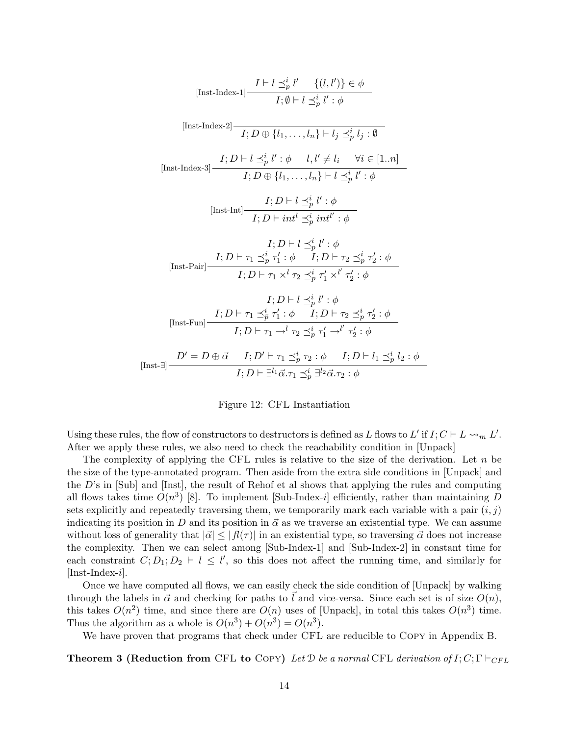$$
[Inst\text{-Index-1}] \frac{I \vdash l \preceq_p^i l' \{(l, l')\} \in \phi}{I; \emptyset \vdash l \preceq_p^i l' : \phi}
$$
\n
$$
[Inst\text{-Index-2}] \frac{I \vdash l \preceq_p^i l' : \phi}{I; D \oplus \{l_1, \ldots, l_n\} \vdash l_j \preceq_p^i l_j : \emptyset}
$$
\n
$$
[Inst\text{-Index-3}] \frac{I; D \vdash l \preceq_p^i l' : \phi \quad l, l' \neq l_i \quad \forall i \in [1..n]}{I; D \oplus \{l_1, \ldots, l_n\} \vdash l \preceq_p^i l' : \phi}
$$
\n
$$
[Inst\text{-Int}] \frac{I; D \vdash l \preceq_p^i l' : \phi}{I; D \vdash int^l \preceq_p^i int^l : \phi}
$$
\n
$$
I; D \vdash l \preceq_p^i l' : \phi
$$
\n
$$
[Inst\text{-Pair}] \frac{I; D \vdash \tau_1 \preceq_p^i \tau_1' : \phi \quad I; D \vdash \tau_2 \preceq_p^i \tau_2' : \phi}{I; D \vdash \tau_1 \times^l \tau_2 \preceq_p^i \tau_1' \times l' \tau_2' : \phi}
$$
\n
$$
I; D \vdash \tau_1 \preceq_p^i l' : \phi
$$
\n
$$
[Inst\text{-Fun}] \frac{I; D \vdash \tau_1 \preceq_p^i \tau_1' : \phi \quad I; D \vdash \tau_2 \preceq_p^i \tau_2' : \phi}{I; D \vdash \tau_1 \rightarrow^l \tau_2 \preceq_p^i \tau_1' \rightarrow l' \tau_2' : \phi}
$$
\n
$$
[Inst\text{-Fun}] \frac{D' = D \oplus \vec{\alpha} \quad I; D' \vdash \tau_1 \preceq_p^i \tau_2 : \phi \quad I; D \vdash l_1 \preceq_p^i l_2 : \phi}{I; D \vdash \exists l \exists \vec{\alpha}, \tau_1 \preceq_p^i \exists^l \vec{\alpha}, \tau_2 : \phi}
$$

Figure 12: CFL Instantiation

Using these rules, the flow of constructors to destructors is defined as L flows to L' if  $I; C \vdash L \leadsto_m L'$ . After we apply these rules, we also need to check the reachability condition in [Unpack]

The complexity of applying the CFL rules is relative to the size of the derivation. Let  $n$  be the size of the type-annotated program. Then aside from the extra side conditions in [Unpack] and the D's in [Sub] and [Inst], the result of Rehof et al shows that applying the rules and computing all flows takes time  $O(n^3)$  [8]. To implement [Sub-Index-i] efficiently, rather than maintaining D sets explicitly and repeatedly traversing them, we temporarily mark each variable with a pair  $(i, j)$ indicating its position in D and its position in  $\vec{\alpha}$  as we traverse an existential type. We can assume without loss of generality that  $|\vec{\alpha}| \leq |f(\tau)|$  in an existential type, so traversing  $\vec{\alpha}$  does not increase the complexity. Then we can select among [Sub-Index-1] and [Sub-Index-2] in constant time for each constraint  $C; D_1; D_2 \vdash l \leq l'$ , so this does not affect the running time, and similarly for [Inst-Index-i].

Once we have computed all flows, we can easily check the side condition of [Unpack] by walking through the labels in  $\vec{\alpha}$  and checking for paths to  $\vec{l}$  and vice-versa. Since each set is of size  $O(n)$ , this takes  $O(n^2)$  time, and since there are  $O(n)$  uses of [Unpack], in total this takes  $O(n^3)$  time. Thus the algorithm as a whole is  $O(n^3) + O(n^3) = O(n^3)$ .

We have proven that programs that check under CFL are reducible to COPY in Appendix B.

**Theorem 3 (Reduction from CFL to Copy)** Let  $\mathcal{D}$  be a normal CFL derivation of  $I; C; \Gamma \vdash_{CFL}$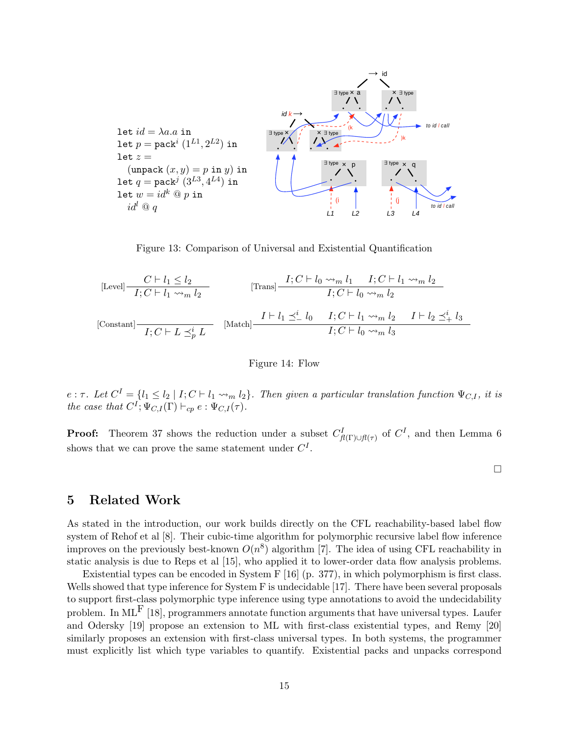

Figure 13: Comparison of Universal and Existential Quantification

$$
\begin{array}{llll}\n\text{[Level]} & \begin{array}{l} C \vdash l_1 \le l_2 \\ \hline I; C \vdash l_1 \leadsto_m l_2 \end{array} & \text{[Trans]} \\ \hline \end{array} & \begin{array}{l} I; C \vdash l_0 \leadsto_m l_1 \quad I; C \vdash l_1 \leadsto_m l_2 \\ \hline I; C \vdash l_0 \leadsto_m l_2 \end{array} \end{array}
$$
\n
$$
\begin{array}{llll}\n\text{[Constant]} & \begin{array}{l} I \vdash l_1 \preceq^i_{-} l_0 \quad I; C \vdash l_1 \leadsto_m l_2 \quad I \vdash l_2 \preceq^i_{+} l_3 \\ \hline I; C \vdash l_0 \leadsto_m l_3 \end{array} & \begin{array}{l} I \vdash l_1 \preceq^i_{-} l_0 \quad I; C \vdash l_0 \leadsto_m l_3 \end{array} \end{array}
$$

Figure 14: Flow

 $e:\tau$ . Let  $C^{I} = \{l_1 \leq l_2 \mid I; C \vdash l_1 \leadsto_m l_2\}$ . Then given a particular translation function  $\Psi_{C,I}$ , it is the case that  $C^I$ ;  $\Psi_{C,I}(\Gamma) \vdash_{cp} e : \Psi_{C,I}(\tau)$ .

**Proof:** Theorem 37 shows the reduction under a subset  $C_{f(\Gamma)\cup f(\tau)}^I$  of  $C^I$ , and then Lemma 6 shows that we can prove the same statement under  $C^{I}$ .

 $\Box$ 

### 5 Related Work

As stated in the introduction, our work builds directly on the CFL reachability-based label flow system of Rehof et al [8]. Their cubic-time algorithm for polymorphic recursive label flow inference improves on the previously best-known  $O(n^8)$  algorithm [7]. The idea of using CFL reachability in static analysis is due to Reps et al [15], who applied it to lower-order data flow analysis problems.

Existential types can be encoded in System F [16] (p. 377), in which polymorphism is first class. Wells showed that type inference for System F is undecidable [17]. There have been several proposals to support first-class polymorphic type inference using type annotations to avoid the undecidability problem. In ML<sup>F</sup> [18], programmers annotate function arguments that have universal types. Laufer and Odersky [19] propose an extension to ML with first-class existential types, and Remy [20] similarly proposes an extension with first-class universal types. In both systems, the programmer must explicitly list which type variables to quantify. Existential packs and unpacks correspond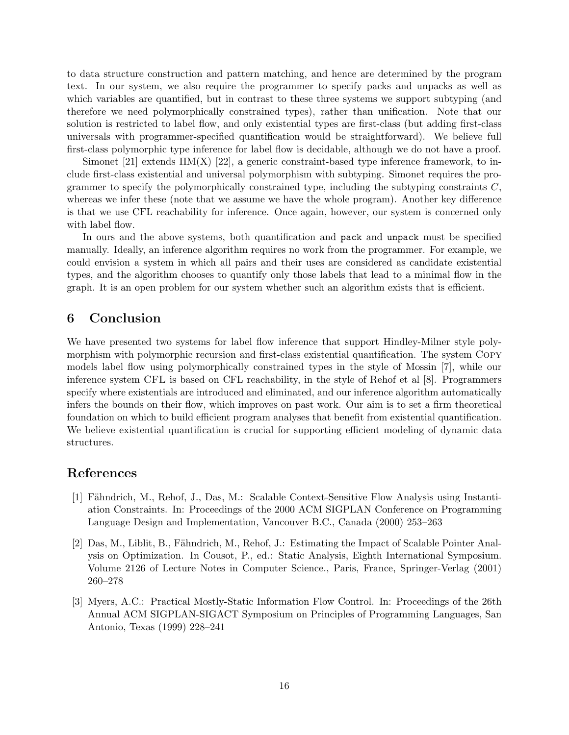to data structure construction and pattern matching, and hence are determined by the program text. In our system, we also require the programmer to specify packs and unpacks as well as which variables are quantified, but in contrast to these three systems we support subtyping (and therefore we need polymorphically constrained types), rather than unification. Note that our solution is restricted to label flow, and only existential types are first-class (but adding first-class universals with programmer-specified quantification would be straightforward). We believe full first-class polymorphic type inference for label flow is decidable, although we do not have a proof.

Simonet [21] extends  $HM(X)$  [22], a generic constraint-based type inference framework, to include first-class existential and universal polymorphism with subtyping. Simonet requires the programmer to specify the polymorphically constrained type, including the subtyping constraints  $C$ , whereas we infer these (note that we assume we have the whole program). Another key difference is that we use CFL reachability for inference. Once again, however, our system is concerned only with label flow.

In ours and the above systems, both quantification and pack and unpack must be specified manually. Ideally, an inference algorithm requires no work from the programmer. For example, we could envision a system in which all pairs and their uses are considered as candidate existential types, and the algorithm chooses to quantify only those labels that lead to a minimal flow in the graph. It is an open problem for our system whether such an algorithm exists that is efficient.

### 6 Conclusion

We have presented two systems for label flow inference that support Hindley-Milner style polymorphism with polymorphic recursion and first-class existential quantification. The system Copy models label flow using polymorphically constrained types in the style of Mossin [7], while our inference system CFL is based on CFL reachability, in the style of Rehof et al [8]. Programmers specify where existentials are introduced and eliminated, and our inference algorithm automatically infers the bounds on their flow, which improves on past work. Our aim is to set a firm theoretical foundation on which to build efficient program analyses that benefit from existential quantification. We believe existential quantification is crucial for supporting efficient modeling of dynamic data structures.

### References

- [1] Fähndrich, M., Rehof, J., Das, M.: Scalable Context-Sensitive Flow Analysis using Instantiation Constraints. In: Proceedings of the 2000 ACM SIGPLAN Conference on Programming Language Design and Implementation, Vancouver B.C., Canada (2000) 253–263
- [2] Das, M., Liblit, B., Fähndrich, M., Rehof, J.: Estimating the Impact of Scalable Pointer Analysis on Optimization. In Cousot, P., ed.: Static Analysis, Eighth International Symposium. Volume 2126 of Lecture Notes in Computer Science., Paris, France, Springer-Verlag (2001) 260–278
- [3] Myers, A.C.: Practical Mostly-Static Information Flow Control. In: Proceedings of the 26th Annual ACM SIGPLAN-SIGACT Symposium on Principles of Programming Languages, San Antonio, Texas (1999) 228–241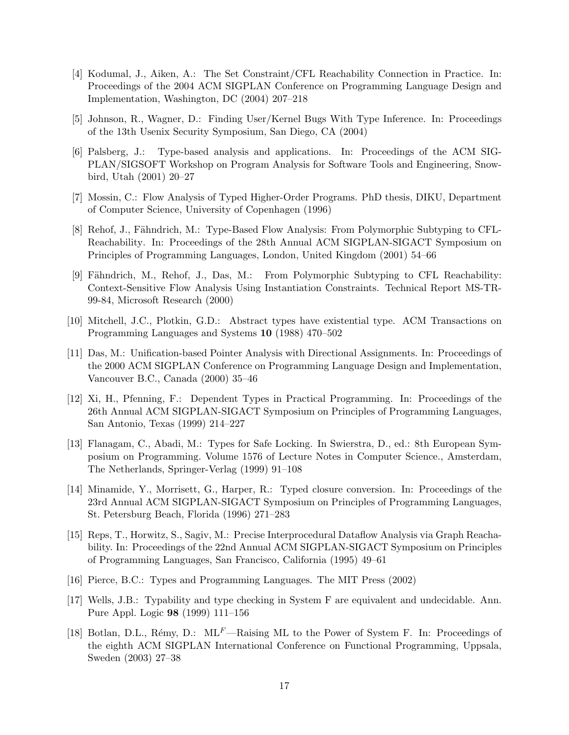- [4] Kodumal, J., Aiken, A.: The Set Constraint/CFL Reachability Connection in Practice. In: Proceedings of the 2004 ACM SIGPLAN Conference on Programming Language Design and Implementation, Washington, DC (2004) 207–218
- [5] Johnson, R., Wagner, D.: Finding User/Kernel Bugs With Type Inference. In: Proceedings of the 13th Usenix Security Symposium, San Diego, CA (2004)
- [6] Palsberg, J.: Type-based analysis and applications. In: Proceedings of the ACM SIG-PLAN/SIGSOFT Workshop on Program Analysis for Software Tools and Engineering, Snowbird, Utah (2001) 20–27
- [7] Mossin, C.: Flow Analysis of Typed Higher-Order Programs. PhD thesis, DIKU, Department of Computer Science, University of Copenhagen (1996)
- [8] Rehof, J., Fähndrich, M.: Type-Based Flow Analysis: From Polymorphic Subtyping to CFL-Reachability. In: Proceedings of the 28th Annual ACM SIGPLAN-SIGACT Symposium on Principles of Programming Languages, London, United Kingdom (2001) 54–66
- [9] Fähndrich, M., Rehof, J., Das, M.: From Polymorphic Subtyping to CFL Reachability: Context-Sensitive Flow Analysis Using Instantiation Constraints. Technical Report MS-TR-99-84, Microsoft Research (2000)
- [10] Mitchell, J.C., Plotkin, G.D.: Abstract types have existential type. ACM Transactions on Programming Languages and Systems 10 (1988) 470–502
- [11] Das, M.: Unification-based Pointer Analysis with Directional Assignments. In: Proceedings of the 2000 ACM SIGPLAN Conference on Programming Language Design and Implementation, Vancouver B.C., Canada (2000) 35–46
- [12] Xi, H., Pfenning, F.: Dependent Types in Practical Programming. In: Proceedings of the 26th Annual ACM SIGPLAN-SIGACT Symposium on Principles of Programming Languages, San Antonio, Texas (1999) 214–227
- [13] Flanagam, C., Abadi, M.: Types for Safe Locking. In Swierstra, D., ed.: 8th European Symposium on Programming. Volume 1576 of Lecture Notes in Computer Science., Amsterdam, The Netherlands, Springer-Verlag (1999) 91–108
- [14] Minamide, Y., Morrisett, G., Harper, R.: Typed closure conversion. In: Proceedings of the 23rd Annual ACM SIGPLAN-SIGACT Symposium on Principles of Programming Languages, St. Petersburg Beach, Florida (1996) 271–283
- [15] Reps, T., Horwitz, S., Sagiv, M.: Precise Interprocedural Dataflow Analysis via Graph Reachability. In: Proceedings of the 22nd Annual ACM SIGPLAN-SIGACT Symposium on Principles of Programming Languages, San Francisco, California (1995) 49–61
- [16] Pierce, B.C.: Types and Programming Languages. The MIT Press (2002)
- [17] Wells, J.B.: Typability and type checking in System F are equivalent and undecidable. Ann. Pure Appl. Logic 98 (1999) 111–156
- [18] Botlan, D.L., Rémy, D.:  $ML<sup>F</sup>$ —Raising ML to the Power of System F. In: Proceedings of the eighth ACM SIGPLAN International Conference on Functional Programming, Uppsala, Sweden (2003) 27–38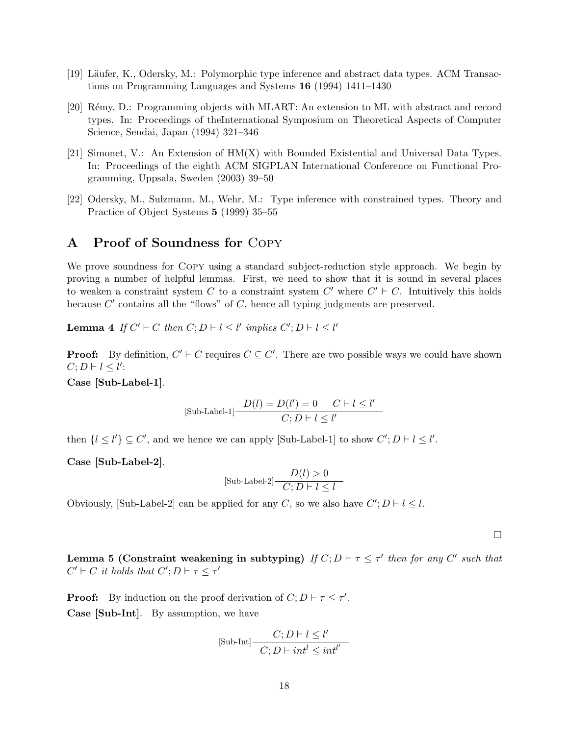- [19] Läufer, K., Odersky, M.: Polymorphic type inference and abstract data types. ACM Transactions on Programming Languages and Systems 16 (1994) 1411–1430
- [20] R´emy, D.: Programming objects with MLART: An extension to ML with abstract and record types. In: Proceedings of theInternational Symposium on Theoretical Aspects of Computer Science, Sendai, Japan (1994) 321–346
- [21] Simonet, V.: An Extension of HM(X) with Bounded Existential and Universal Data Types. In: Proceedings of the eighth ACM SIGPLAN International Conference on Functional Programming, Uppsala, Sweden (2003) 39–50
- [22] Odersky, M., Sulzmann, M., Wehr, M.: Type inference with constrained types. Theory and Practice of Object Systems 5 (1999) 35–55

### A Proof of Soundness for Copy

We prove soundness for Copy using a standard subject-reduction style approach. We begin by proving a number of helpful lemmas. First, we need to show that it is sound in several places to weaken a constraint system C to a constraint system  $C'$  where  $C' \vdash C$ . Intuitively this holds because  $C'$  contains all the "flows" of  $C$ , hence all typing judgments are preserved.

**Lemma 4** If  $C' \vdash C$  then  $C; D \vdash l \leq l'$  implies  $C'; D \vdash l \leq l'$ 

**Proof:** By definition,  $C' \vdash C$  requires  $C \subseteq C'$ . There are two possible ways we could have shown  $C; D \vdash l \leq l'$ :

Case [Sub-Label-1].

$$
[\text{Sub-Label-1}] \frac{D(l) = D(l') = 0 \quad C \vdash l \le l'}{C; D \vdash l \le l'}
$$

then  $\{l \leq l'\} \subseteq C'$ , and we hence we can apply [Sub-Label-1] to show  $C'; D \vdash l \leq l'$ .

Case [Sub-Label-2].

$$
[\text{Sub-Label-2}] \frac{D(l) > 0}{C; D \vdash l \le l}
$$

Obviously, [Sub-Label-2] can be applied for any C, so we also have  $C'$ ;  $D \vdash l \leq l$ .

 $\Box$ 

Lemma 5 (Constraint weakening in subtyping) If  $C; D \vdash \tau \leq \tau'$  then for any C' such that  $C' \vdash C$  it holds that  $C'; D \vdash \tau \leq \tau'$ 

**Proof:** By induction on the proof derivation of  $C; D \vdash \tau \leq \tau'$ . Case [Sub-Int]. By assumption, we have

$$
[\text{Sub-Int}] \frac{C; D \vdash l \leq l'}{C; D \vdash int^{l} \leq int^{l'}}
$$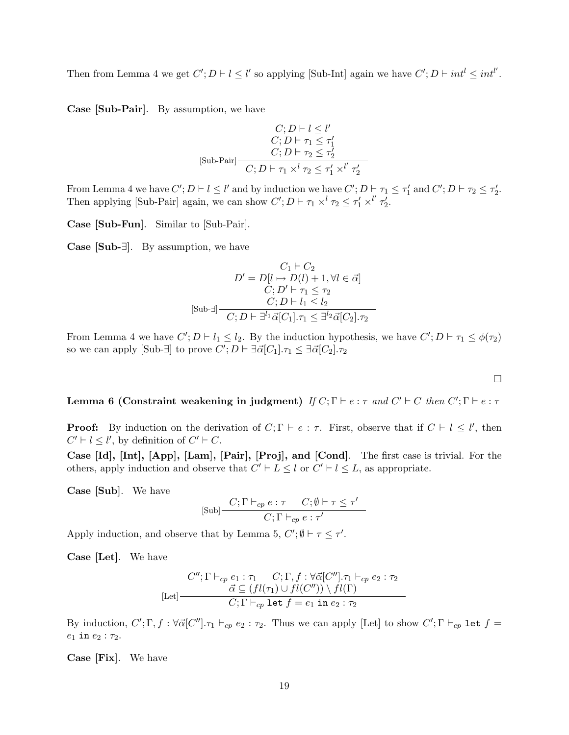Then from Lemma 4 we get  $C'$ ;  $D \vdash l \leq l'$  so applying [Sub-Int] again we have  $C'$ ;  $D \vdash int^{l} \leq int^{l'}$ .

Case [Sub-Pair]. By assumption, we have

$$
\begin{array}{c} C; D \vdash l \leq l'\\ C; D \vdash \tau_1 \leq \tau'_1\\ C; D \vdash \tau_2 \leq \tau'_2\\ \text{[Sub-Pair]} \end{array}
$$

$$
\begin{array}{c} C; D \vdash \tau_2 \leq \tau'_1 \times l' \ \tau'_2\\ \end{array}
$$

From Lemma 4 we have  $C'; D \vdash l \leq l'$  and by induction we have  $C'; D \vdash \tau_1 \leq \tau'_1$  and  $C'; D \vdash \tau_2 \leq \tau'_2$ . Then applying [Sub-Pair] again, we can show  $C'$ ;  $D \vdash \tau_1 \times^l \tau_2 \leq \tau'_1 \times^{l'} \tau'_2$ .

Case [Sub-Fun]. Similar to [Sub-Pair].

Case [Sub-∃]. By assumption, we have

$$
C_1 \vdash C_2
$$
  
\n
$$
D' = D[l \mapsto D(l) + 1, \forall l \in \vec{\alpha}]
$$
  
\n
$$
C; D' \vdash \tau_1 \le \tau_2
$$
  
\n
$$
C; D \vdash l_1 \le l_2
$$
  
\n
$$
C; D \vdash \exists^l \vec{\alpha}[C_1].\tau_1 \le \exists^{l_2} \vec{\alpha}[C_2].\tau_2
$$

From Lemma 4 we have  $C'; D \vdash l_1 \leq l_2$ . By the induction hypothesis, we have  $C'; D \vdash \tau_1 \leq \phi(\tau_2)$ so we can apply [Sub- $\exists$ ] to prove  $C'; D \vdash \exists \vec{\alpha}[C_1].\tau_1 \leq \exists \vec{\alpha}[C_2].\tau_2$ 

 $\Box$ 

Lemma 6 (Constraint weakening in judgment) If  $C; \Gamma \vdash e : \tau$  and  $C' \vdash C$  then  $C'; \Gamma \vdash e : \tau$ 

**Proof:** By induction on the derivation of  $C; \Gamma \vdash e : \tau$ . First, observe that if  $C \vdash l \leq l'$ , then  $C' \vdash l \leq l'$ , by definition of  $C' \vdash C$ .

Case [Id], [Int], [App], [Lam], [Pair], [Proj], and [Cond]. The first case is trivial. For the others, apply induction and observe that  $C' \vdash L \leq l$  or  $C' \vdash l \leq L$ , as appropriate.

Case [Sub]. We have

$$
[\text{Sub}] \frac{C; \Gamma \vdash_{cp} e : \tau \quad C; \emptyset \vdash \tau \leq \tau'}{C; \Gamma \vdash_{cp} e : \tau'}
$$

Apply induction, and observe that by Lemma 5,  $C'$ ;  $\emptyset \vdash \tau \leq \tau'$ .

Case [Let]. We have

$$
[Let]
$$
\n
$$
C''; \Gamma \vdash_{cp} e_1 : \tau_1 \quad C; \Gamma, f : \forall \vec{\alpha} [C''], \tau_1 \vdash_{cp} e_2 : \tau_2
$$
\n
$$
\vec{\alpha} \subseteq (fl(\tau_1) \cup fl(C'')) \setminus fl(\Gamma)
$$
\n
$$
C; \Gamma \vdash_{cp} \text{let } f = e_1 \text{ in } e_2 : \tau_2
$$

By induction,  $C'; \Gamma, f : \forall \vec{\alpha} [C''] \cdot \tau_1 \vdash_{cp} e_2 : \tau_2$ . Thus we can apply [Let] to show  $C'; \Gamma \vdash_{cp} \texttt{let} f =$  $e_1$  in  $e_2$  :  $\tau_2$ .

Case [Fix]. We have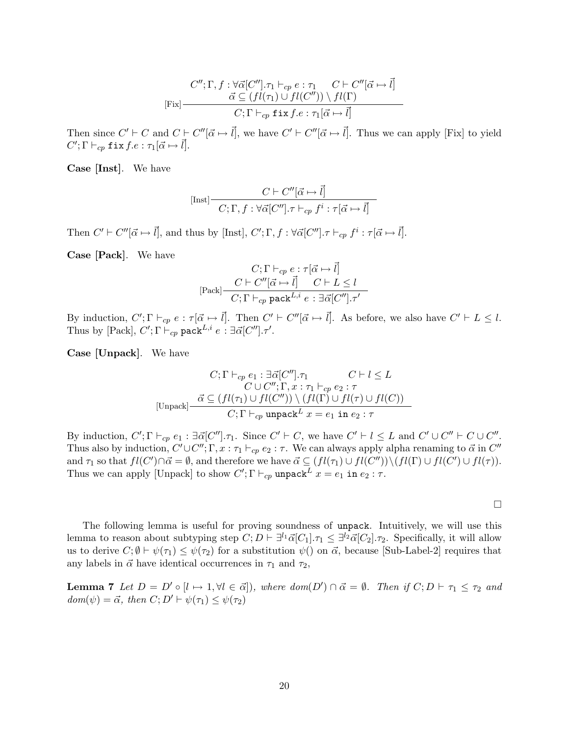$$
C''; \Gamma, f: \forall \vec{\alpha}[C''], \tau_1 \vdash_{cp} e : \tau_1 \quad C \vdash C''[\vec{\alpha} \mapsto \vec{l}]
$$

$$
\vec{\alpha} \subseteq (fl(\tau_1) \cup fl(C'')) \setminus fl(\Gamma)
$$

$$
C; \Gamma \vdash_{cp} \text{fix } f.e: \tau_1[\vec{\alpha} \mapsto \vec{l}]
$$

Then since  $C' \vdash C$  and  $C \vdash C''[\vec{\alpha} \mapsto \vec{l}]$ , we have  $C' \vdash C''[\vec{\alpha} \mapsto \vec{l}]$ . Thus we can apply [Fix] to yield  $C'; \Gamma \vdash_{cp} \mathtt{fix} \, f.e: \tau_1[\vec{\alpha} \mapsto \vec{l}].$ 

Case [Inst]. We have

$$
[\text{Inst}] \frac{C \vdash C''[\vec{\alpha} \mapsto \vec{l}]}{C; \Gamma, f : \forall \vec{\alpha}[C''], \tau \vdash_{cp} f^i : \tau[\vec{\alpha} \mapsto \vec{l}]}
$$

Then  $C' \vdash C''[\vec{\alpha} \mapsto \vec{l}]$ , and thus by [Inst],  $C'; \Gamma, f : \forall \vec{\alpha}[C''] \ldotp \tau \vdash_{cp} f^i : \tau[\vec{\alpha} \mapsto \vec{l}]$ .

Case [Pack]. We have

$$
C; \Gamma \vdash_{cp} e : \tau[\vec{\alpha} \mapsto \vec{l}]
$$

$$
[
$$
Pack
$$
\frac{C \vdash C''[\vec{\alpha} \mapsto \vec{l}]}{C; \Gamma \vdash_{cp} \text{pack}^{L,i} e : \exists \vec{\alpha}[C''], \tau'}
$$

By induction,  $C'; \Gamma \vdash_{cp} e : \tau[\vec{\alpha} \mapsto \vec{l}].$  Then  $C' \vdash C''[\vec{\alpha} \mapsto \vec{l}].$  As before, we also have  $C' \vdash L \leq l$ . Thus by [Pack],  $C'; \Gamma \vdash_{cp} \mathsf{pack}^{L,i} e : \exists \vec{\alpha}[C''], \tau'.$ 

Case [Unpack]. We have

$$
C; \Gamma \vdash_{cp} e_1 : \exists \vec{\alpha}[C''], \tau_1 \qquad C \vdash l \leq L
$$

$$
C \cup C''; \Gamma, x : \tau_1 \vdash_{cp} e_2 : \tau
$$

$$
[\text{Unpack}] \frac{\vec{\alpha} \subseteq (fl(\tau_1) \cup fl(C'')) \setminus (fl(\Gamma) \cup fl(\tau) \cup fl(C))}{C; \Gamma \vdash_{cp} \text{ unpack}^L x = e_1 \text{ in } e_2 : \tau}
$$

By induction,  $C'; \Gamma \vdash_{cp} e_1 : \exists \vec{\alpha}[C''] \ldotp \tau_1$ . Since  $C' \vdash C$ , we have  $C' \vdash l \leq L$  and  $C' \cup C'' \vdash C \cup C''$ . Thus also by induction,  $C' \cup C''$ ;  $\Gamma$ ,  $x : \tau_1 \vdash_{cp} e_2 : \tau$ . We can always apply alpha renaming to  $\vec{\alpha}$  in  $C''$ and  $\tau_1$  so that  $fl(C') \cap \vec{\alpha} = \emptyset$ , and therefore we have  $\vec{\alpha} \subseteq (fl(\tau_1) \cup fl(C'')) \setminus (fl(\Gamma) \cup fl(C') \cup fl(\tau)).$ Thus we can apply [Unpack] to show  $C'; \Gamma \vdash_{cp} \text{unpack}^L x = e_1$  in  $e_2 : \tau$ .

 $\Box$ 

The following lemma is useful for proving soundness of unpack. Intuitively, we will use this lemma to reason about subtyping step  $C; D \vdash \exists^{l_1} \vec{\alpha}[C_1].\tau_1 \leq \exists^{l_2} \vec{\alpha}[C_2].\tau_2$ . Specifically, it will allow us to derive  $C; \emptyset \vdash \psi(\tau_1) \leq \psi(\tau_2)$  for a substitution  $\psi()$  on  $\vec{\alpha}$ , because [Sub-Label-2] requires that any labels in  $\vec{\alpha}$  have identical occurrences in  $\tau_1$  and  $\tau_2$ ,

**Lemma 7** Let  $D = D' \circ [l \mapsto 1, \forall l \in \vec{\alpha}]$ , where  $dom(D') \cap \vec{\alpha} = \emptyset$ . Then if  $C; D \vdash \tau_1 \leq \tau_2$  and  $dom(\psi) = \vec{\alpha}$ , then  $C; D' \vdash \psi(\tau_1) \leq \psi(\tau_2)$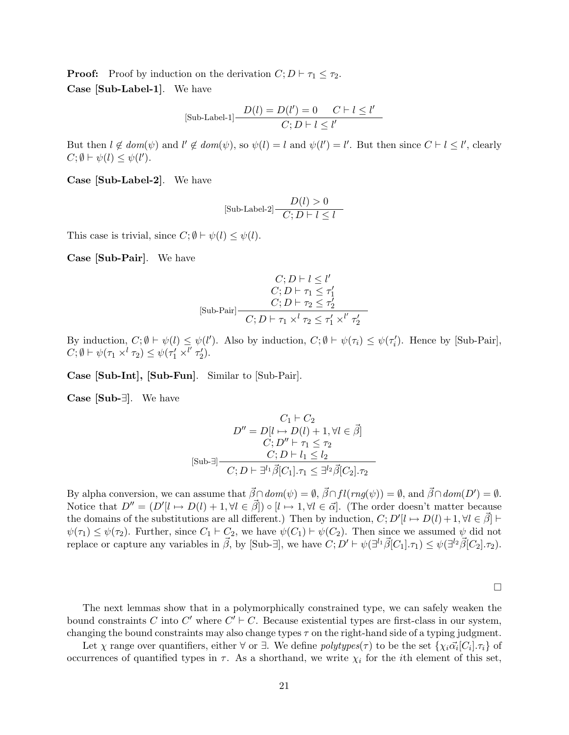**Proof:** Proof by induction on the derivation  $C; D \vdash \tau_1 \leq \tau_2$ . Case [Sub-Label-1]. We have

$$
[\text{Sub-Label-1}] \frac{D(l) = D(l') = 0 \quad C \vdash l \le l'}{C; D \vdash l \le l'}
$$

But then  $l \notin dom(\psi)$  and  $l' \notin dom(\psi)$ , so  $\psi(l) = l$  and  $\psi(l') = l'$ . But then since  $C \vdash l \leq l'$ , clearly  $C; \emptyset \vdash \psi(l) \leq \psi(l').$ 

Case [Sub-Label-2]. We have

$$
[\text{Sub-Label-2}] \frac{D(l) > 0}{C; D \vdash l \le l}
$$

This case is trivial, since  $C$ ;  $\emptyset \vdash \psi(l) \leq \psi(l)$ .

Case [Sub-Pair]. We have

$$
\begin{array}{c}C;D\vdash l\leq l'\\ C;D\vdash \tau_1\leq \tau'_1\\ C;D\vdash \tau_2\leq \tau'_2\\ \text{[Sub-Pair]} \begin{array}{c}C;D\vdash \tau_1\times^l\tau_2\leq \tau'_1\times^{l'}\tau'_2\end{array}\end{array}
$$

By induction,  $C; \emptyset \vdash \psi(l) \leq \psi(l')$ . Also by induction,  $C; \emptyset \vdash \psi(\tau_i) \leq \psi(\tau_i')$ . Hence by [Sub-Pair],  $C; \emptyset \vdash \psi(\tau_1 \times^l \tau_2) \leq \psi(\tau_1' \times^{l'} \tau_2').$ 

Case [Sub-Int], [Sub-Fun]. Similar to [Sub-Pair].

Case [Sub-∃]. We have

$$
C_1 \vdash C_2
$$
  
\n
$$
D'' = D[l \mapsto D(l) + 1, \forall l \in \vec{\beta}]
$$
  
\n
$$
C; D'' \vdash \tau_1 \leq \tau_2
$$
  
\n
$$
C; D \vdash l_1 \leq l_2
$$
  
\n
$$
C; D \vdash \exists^l \vec{\beta}[C_1].\tau_1 \leq \exists^{l_2} \vec{\beta}[C_2].\tau_2
$$

By alpha conversion, we can assume that  $\vec{\beta} \cap dom(\psi) = \emptyset$ ,  $\vec{\beta} \cap fl(rng(\psi)) = \emptyset$ , and  $\vec{\beta} \cap dom(D') = \emptyset$ . Notice that  $D'' = (D'[\ell \mapsto D(\ell) + 1, \forall \ell \in \vec{\beta}] \circ [\ell \mapsto 1, \forall \ell \in \vec{\alpha}]$ . (The order doesn't matter because the domains of the substitutions are all different.) Then by induction,  $C; D'[l \mapsto D(l) + 1, \forall l \in \vec{\beta}]$  $\psi(\tau_1) \leq \psi(\tau_2)$ . Further, since  $C_1 \vdash C_2$ , we have  $\psi(C_1) \vdash \psi(C_2)$ . Then since we assumed  $\psi$  did not replace or capture any variables in  $\vec{\beta}$ , by [Sub- $\exists$ ], we have  $C; D' \vdash \psi(\exists^{l_1} \vec{\beta}[C_1], \tau_1) \leq \psi(\exists^{l_2} \vec{\beta}[C_2], \tau_2)$ .

 $\Box$ 

The next lemmas show that in a polymorphically constrained type, we can safely weaken the bound constraints C into C' where  $C' \vdash C$ . Because existential types are first-class in our system, changing the bound constraints may also change types  $\tau$  on the right-hand side of a typing judgment.

Let  $\chi$  range over quantifiers, either  $\forall$  or  $\exists$ . We define  $polytypes(\tau)$  to be the set  $\{\chi_i \vec{\alpha_i} [C_i] . \tau_i\}$  of occurrences of quantified types in  $\tau$ . As a shorthand, we write  $\chi_i$  for the *i*th element of this set,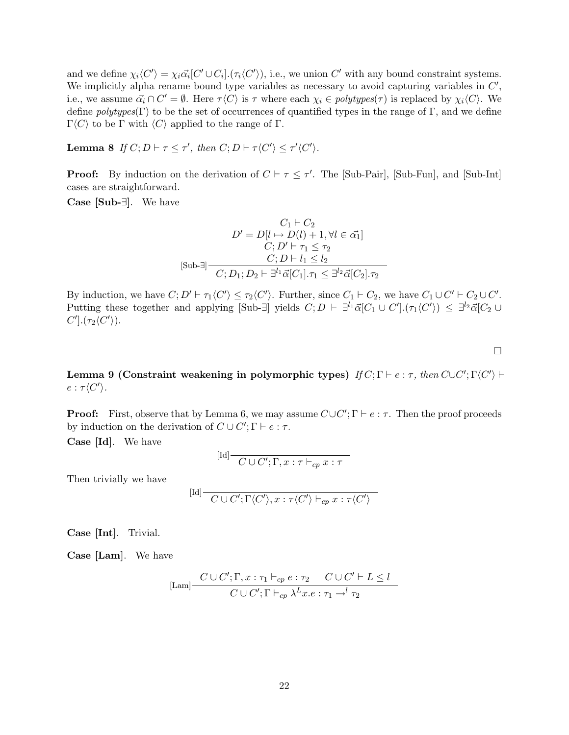and we define  $\chi_i \langle C' \rangle = \chi_i \vec{\alpha_i} [C' \cup C_i] \cdot (\tau_i \langle C' \rangle)$ , i.e., we union C' with any bound constraint systems. We implicitly alpha rename bound type variables as necessary to avoid capturing variables in  $C'$ , i.e., we assume  $\vec{\alpha_i} \cap C' = \emptyset$ . Here  $\tau \langle C \rangle$  is  $\tau$  where each  $\chi_i \in polytypes(\tau)$  is replaced by  $\chi_i \langle C \rangle$ . We define  $polytypes(\Gamma)$  to be the set of occurrences of quantified types in the range of Γ, and we define Γ $\langle C \rangle$  to be Γ with  $\langle C \rangle$  applied to the range of Γ.

**Lemma 8** If  $C; D \vdash \tau \leq \tau'$ , then  $C; D \vdash \tau \langle C' \rangle \leq \tau' \langle C' \rangle$ .

**Proof:** By induction on the derivation of  $C \vdash \tau \leq \tau'$ . The [Sub-Pair], [Sub-Fun], and [Sub-Int] cases are straightforward.

Case [Sub-∃]. We have

$$
C_1 \vdash C_2
$$
  
\n
$$
D' = D[l \mapsto D(l) + 1, \forall l \in \vec{\alpha_1}]
$$
  
\n
$$
C; D' \vdash \tau_1 \leq \tau_2
$$
  
\n
$$
C; D \vdash l_1 \leq l_2
$$
  
\n
$$
C; D_1; D_2 \vdash \exists^{l_1} \vec{\alpha}[C_1].\tau_1 \leq \exists^{l_2} \vec{\alpha}[C_2].\tau_2
$$

By induction, we have  $C; D' \vdash \tau_1 \langle C' \rangle \leq \tau_2 \langle C' \rangle$ . Further, since  $C_1 \vdash C_2$ , we have  $C_1 \cup C' \vdash C_2 \cup C'$ . Putting these together and applying  $[\text{Sub-}\exists]$  yields  $C; D \vdash \exists^{l_1} \vec{\alpha} [C_1 \cup C'] \cdot (\tau_1 \langle C') \rangle \leq \exists^{l_2} \vec{\alpha} [C_2 \cup C']$  $C'$ ]. $(\tau_2\langle C'\rangle)$ .

Lemma 9 (Constraint weakening in polymorphic types)  $\textit{If } C; \Gamma \vdash e : \tau, \textit{then } C \cup C'; \Gamma \langle C' \rangle \vdash$  $e: \tau \langle C' \rangle$ .

 $\Box$ 

**Proof:** First, observe that by Lemma 6, we may assume  $C \cup C'$ ;  $\Gamma \vdash e : \tau$ . Then the proof proceeds by induction on the derivation of  $C \cup C'; \Gamma \vdash e : \tau$ .

Case [Id]. We have

$$
[\mathrm{Id}] \over \overline{C \cup C'; \Gamma, x : \tau \vdash_{cp} x : \tau}
$$

Then trivially we have

$$
[\mathrm{Id}] \over \mathbb{C} \cup C'; \Gamma \langle C' \rangle, x : \tau \langle C' \rangle \vdash_{cp} x : \tau \langle C' \rangle
$$

Case [Int]. Trivial.

Case [Lam]. We have

$$
\text{[Lam]} \frac{C \cup C'; \Gamma, x : \tau_1 \vdash_{cp} e : \tau_2 \quad C \cup C' \vdash L \le l}{C \cup C'; \Gamma \vdash_{cp} \lambda^L x.e : \tau_1 \rightarrow^l \tau_2}
$$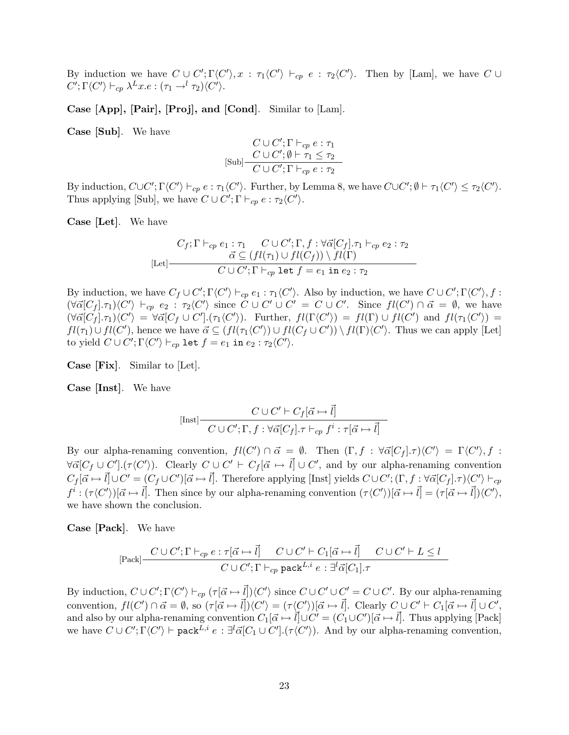By induction we have  $C \cup C'$ ;  $\Gamma \langle C' \rangle$ ,  $x : \tau_1 \langle C' \rangle \vdash_{cp} e : \tau_2 \langle C' \rangle$ . Then by [Lam], we have  $C \cup C'$  $C'; \Gamma \langle C' \rangle \vdash_{cp} \lambda^L x.e : (\tau_1 \rightarrow^l \tau_2) \langle C' \rangle.$ 

Case [App], [Pair], [Proj], and [Cond]. Similar to [Lam].

Case [Sub]. We have

$$
C \cup C'; \Gamma \vdash_{cp} e : \tau_1
$$
  
[Sub] 
$$
\frac{C \cup C'; \emptyset \vdash \tau_1 \leq \tau_2}{C \cup C'; \Gamma \vdash_{cp} e : \tau_2}
$$

By induction,  $C \cup C'$ ;  $\Gamma \langle C' \rangle \vdash_{cp} e : \tau_1 \langle C' \rangle$ . Further, by Lemma 8, we have  $C \cup C'$ ;  $\emptyset \vdash \tau_1 \langle C' \rangle \leq \tau_2 \langle C' \rangle$ . Thus applying [Sub], we have  $C \cup C'$ ;  $\Gamma \vdash_{cp} e : \tau_2 \langle C' \rangle$ .

Case [Let]. We have

$$
C_f; \Gamma \vdash_{cp} e_1 : \tau_1 \quad C \cup C'; \Gamma, f : \forall \vec{\alpha} [C_f].\tau_1 \vdash_{cp} e_2 : \tau_2
$$
\n
$$
\vec{\alpha} \subseteq (fl(\tau_1) \cup fl(C_f)) \setminus fl(\Gamma)
$$
\n
$$
C \cup C'; \Gamma \vdash_{cp} \text{let } f = e_1 \text{ in } e_2 : \tau_2
$$

By induction, we have  $C_f \cup C'; \Gamma\langle C' \rangle \vdash_{cp} e_1 : \tau_1\langle C' \rangle$ . Also by induction, we have  $C \cup C'; \Gamma\langle C' \rangle, f :$  $(\forall \vec{\alpha}[C_f].\tau_1)\langle C'\rangle \vdash_{cp} e_2 : \tau_2\langle C'\rangle \text{ since } C\cup C' \cup C' = C\cup C'. \text{ Since } fl(C') \cap \vec{\alpha} = \emptyset, \text{ we have}$  $(\forall \vec{\alpha}[C_f].\tau_1)\langle C'\rangle = \forall \vec{\alpha}[C_f \cup C'].(\tau_1\langle C'\rangle)$ . Further,  $fl(\Gamma\langle C'\rangle) = fl(\Gamma) \cup fl(C')$  and  $fl(\tau_1\langle C'\rangle) =$  $fl(\tau_1) \cup fl(C')$ , hence we have  $\vec{\alpha} \subseteq (fl(\tau_1 \langle C' \rangle) \cup fl(C_f \cup C')) \setminus fl(\Gamma) \langle C' \rangle$ . Thus we can apply [Let] to yield  $C \cup C'; \Gamma\langle C'\rangle \vdash_{cp} \mathtt{let} f = e_1 \mathtt{in} \ e_2 : \tau_2\langle C'\rangle.$ 

Case [Fix]. Similar to [Let].

Case [Inst]. We have

$$
[\text{Inst}] \frac{C \cup C' \vdash C_f[\vec{\alpha} \mapsto \vec{l}]}{C \cup C'; \Gamma, f : \forall \vec{\alpha}[C_f].\tau \vdash_{cp} f^i : \tau[\vec{\alpha} \mapsto \vec{l}]}
$$

By our alpha-renaming convention,  $fl(C') \cap \vec{\alpha} = \emptyset$ . Then  $(\Gamma, f : \forall \vec{\alpha}[C_f].\tau) \langle C' \rangle = \Gamma \langle C' \rangle, f$ :  $\forall \vec{\alpha}[C_f \cup C'].(\tau\langle C'\rangle)$ . Clearly  $C \cup C' \vdash C_f[\vec{\alpha} \mapsto \vec{l}] \cup C'$ , and by our alpha-renaming convention  $C_f[\vec{\alpha} \mapsto \vec{l}] \cup C' = (C_f \cup C')[\vec{\alpha} \mapsto \vec{l}]$ . Therefore applying [Inst] yields  $C \cup C'$ ;  $(\Gamma, f : \forall \vec{\alpha}[C_f].\tau) \langle C' \rangle \vdash_{cp}$  $f^i : (\tau \langle C' \rangle)[\vec{\alpha} \mapsto \vec{l}]$ . Then since by our alpha-renaming convention  $(\tau \langle C' \rangle)[\vec{\alpha} \mapsto \vec{l}] = (\tau [\vec{\alpha} \mapsto \vec{l}] \langle C' \rangle$ , we have shown the conclusion.

Case [Pack]. We have

$$
[\text{Pack}] \frac{C \cup C'; \Gamma \vdash_{cp} e : \tau[\vec{\alpha} \mapsto \vec{l}] \quad C \cup C' \vdash C_1[\vec{\alpha} \mapsto \vec{l}] \quad C \cup C' \vdash L \le l}{C \cup C'; \Gamma \vdash_{cp} \text{pack}^{L,i} e : \exists^l \vec{\alpha}[C_1].\tau}
$$

By induction,  $C \cup C'$ ;  $\Gamma \langle C' \rangle \vdash_{cp} (\tau [\vec{\alpha} \mapsto \vec{l}] \rangle \langle C' \rangle$  since  $C \cup C' \cup C' = C \cup C'$ . By our alpha-renaming convention,  $fl(C') \cap \vec{\alpha} = \emptyset$ , so  $(\tau[\vec{\alpha} \mapsto \vec{l}])\langle C' \rangle = (\tau \langle C' \rangle)[\vec{\alpha} \mapsto \vec{l}]$ . Clearly  $C \cup C' \vdash C_1[\vec{\alpha} \mapsto \vec{l}] \cup C'$ , and also by our alpha-renaming convention  $C_1[\vec{\alpha} \mapsto \vec{l}] \cup C' = (C_1 \cup C')[\vec{\alpha} \mapsto \vec{l}]$ . Thus applying [Pack] we have  $C \cup C'$ ;  $\Gamma \langle C' \rangle \vdash$  pack<sup>L,i</sup>  $e : \exists^{l} \vec{\alpha}[C_1 \cup C']$ .  $(\tau \langle C' \rangle)$ . And by our alpha-renaming convention,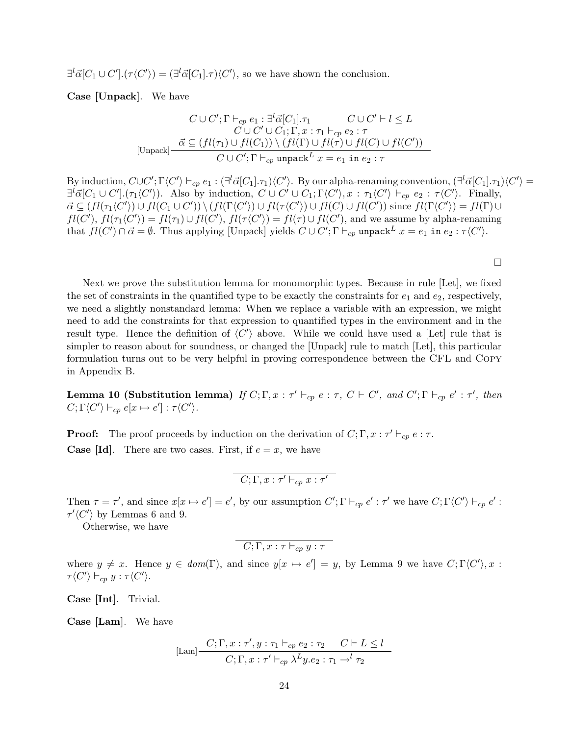$\exists^l \vec{\alpha}[C_1 \cup C'] \cdot (\tau \langle C' \rangle) = (\exists^l \vec{\alpha}[C_1] \cdot \tau) \langle C' \rangle$ , so we have shown the conclusion.

Case [Unpack]. We have

$$
C \cup C'; \Gamma \vdash_{cp} e_1 : \exists^l \vec{\alpha}[C_1].\tau_1 \qquad C \cup C' \vdash l \leq L
$$
  
\n
$$
C \cup C' \cup C_1; \Gamma, x : \tau_1 \vdash_{cp} e_2 : \tau
$$
  
\n
$$
\frac{\vec{\alpha} \subseteq (fl(\tau_1) \cup fl(C_1)) \setminus (fl(\Gamma) \cup fl(\tau) \cup fl(C') \cup fl(C'))}{C \cup C'; \Gamma \vdash_{cp} \text{ unpack}^L x = e_1 \text{ in } e_2 : \tau}
$$

By induction,  $C \cup C'$ ;  $\Gamma \langle C' \rangle \vdash_{cp} e_1 : (\exists^l \vec{\alpha}[C_1].\tau_1) \langle C' \rangle$ . By our alpha-renaming convention,  $(\exists^l \vec{\alpha}[C_1].\tau_1) \langle C' \rangle =$  $\exists^{l} \vec{\alpha}[C_1 \cup C'] \cdot (\tau_1 \langle C' \rangle)$ . Also by induction,  $C \cup C' \cup C_1$ ;  $\Gamma \langle C' \rangle$ ,  $x : \tau_1 \langle C' \rangle \vdash_{cp} e_2 : \tau \langle C' \rangle$ . Finally,  $\vec{\alpha} \subseteq (fl(\tau_1 \langle C' \rangle) \cup fl(C_1 \cup C')) \setminus (fl(\Gamma \langle C' \rangle) \cup fl(\tau \langle C' \rangle) \cup fl(C) \cup fl(C'))$  since  $fl(\Gamma \langle C' \rangle) = fl(\Gamma) \cup$  $fl(C')$ ,  $fl(\tau_1(C')) = fl(\tau_1) \cup fl(C')$ ,  $fl(\tau\langle C')\rangle = fl(\tau) \cup fl(C')$ , and we assume by alpha-renaming that  $fl(C') \cap \vec{\alpha} = \emptyset$ . Thus applying [Unpack] yields  $C \cup C'; \Gamma \vdash_{cp}$  unpack $L x = e_1$  in  $e_2 : \tau \langle C' \rangle$ .

 $\Box$ 

Next we prove the substitution lemma for monomorphic types. Because in rule [Let], we fixed the set of constraints in the quantified type to be exactly the constraints for  $e_1$  and  $e_2$ , respectively, we need a slightly nonstandard lemma: When we replace a variable with an expression, we might need to add the constraints for that expression to quantified types in the environment and in the result type. Hence the definition of  $\langle C' \rangle$  above. While we could have used a [Let] rule that is simpler to reason about for soundness, or changed the [Unpack] rule to match [Let], this particular formulation turns out to be very helpful in proving correspondence between the CFL and Copy in Appendix B.

**Lemma 10 (Substitution lemma)** If  $C; \Gamma, x : \tau' \vdash_{cp} e : \tau$ ,  $C \vdash C'$ , and  $C'; \Gamma \vdash_{cp} e' : \tau'$ , then  $C; \Gamma \langle C' \rangle \vdash_{cp} e[x \mapsto e'] : \tau \langle C' \rangle.$ 

**Proof:** The proof proceeds by induction on the derivation of  $C; \Gamma, x : \tau' \vdash_{cp} e : \tau$ . **Case [Id].** There are two cases. First, if  $e = x$ , we have

$$
\boxed{C;\Gamma,x:\tau'\vdash_{cp}x:\tau'}
$$

Then  $\tau = \tau'$ , and since  $x[x \mapsto e'] = e'$ , by our assumption  $C'; \Gamma \vdash_{cp} e' : \tau'$  we have  $C; \Gamma \langle C' \rangle \vdash_{cp} e'$ :  $\tau'\langle C'\rangle$  by Lemmas 6 and 9.

Otherwise, we have

$$
\boxed{C;\Gamma,x:\tau \vdash_{cp} y:\tau}
$$

where  $y \neq x$ . Hence  $y \in dom(\Gamma)$ , and since  $y[x \mapsto e'] = y$ , by Lemma 9 we have  $C; \Gamma\langle C'\rangle, x$ :  $\tau \langle C' \rangle \vdash_{cp} y : \tau \langle C' \rangle.$ 

Case [Int]. Trivial.

Case [Lam]. We have

$$
\text{[Lam]} \frac{C; \Gamma, x: \tau', y: \tau_1 \vdash_{cp} e_2: \tau_2 \quad C \vdash L \le l}{C; \Gamma, x: \tau' \vdash_{cp} \lambda^L y. e_2: \tau_1 \rightarrow^l \tau_2}
$$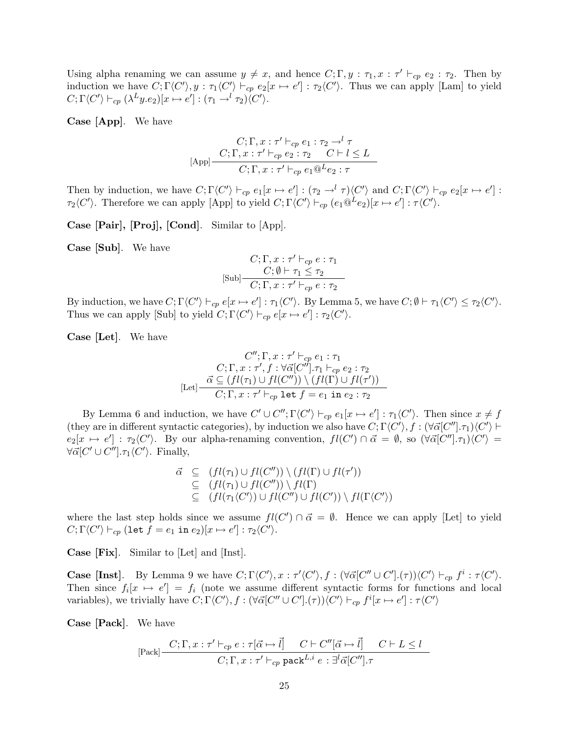Using alpha renaming we can assume  $y \neq x$ , and hence  $C; \Gamma, y : \tau_1, x : \tau' \vdash_{cp} e_2 : \tau_2$ . Then by induction we have  $C; \Gamma\langle C'\rangle, y : \tau_1\langle C'\rangle \vdash_{cp} e_2[x \mapsto e'] : \tau_2\langle C'\rangle$ . Thus we can apply [Lam] to yield  $C; \Gamma \langle C' \rangle \vdash_{cp} (\lambda^L y.e_2)[x \mapsto e'] : (\tau_1 \rightarrow^l \tau_2) \langle C' \rangle.$ 

Case [App]. We have

$$
C; \Gamma, x : \tau' \vdash_{cp} e_1 : \tau_2 \to^l \tau
$$
  
[App]
$$
\frac{C; \Gamma, x : \tau' \vdash_{cp} e_2 : \tau_2 \quad C \vdash l \leq L}{C; \Gamma, x : \tau' \vdash_{cp} e_1 @^L e_2 : \tau}
$$

Then by induction, we have  $C; \Gamma\langle C'\rangle \vdash_{cp} e_1[x \mapsto e'] : (\tau_2 \rightarrow^l \tau) \langle C'\rangle$  and  $C; \Gamma\langle C'\rangle \vdash_{cp} e_2[x \mapsto e'] :$  $\tau_2\langle C'\rangle$ . Therefore we can apply [App] to yield  $C; \Gamma\langle C'\rangle \vdash_{cp} (e_1 @^L e_2)[x \mapsto e'] : \tau\langle C'\rangle$ .

Case [Pair], [Proj], [Cond]. Similar to [App].

Case [Sub]. We have

$$
C; \Gamma, x : \tau' \vdash_{cp} e : \tau_1
$$
  

$$
[Sub]
$$

$$
C; \emptyset \vdash \tau_1 \leq \tau_2
$$

$$
C; \Gamma, x : \tau' \vdash_{cp} e : \tau_2
$$

By induction, we have  $C; \Gamma\langle C'\rangle \vdash_{cp} e[x \mapsto e'] : \tau_1\langle C'\rangle$ . By Lemma 5, we have  $C; \emptyset \vdash \tau_1\langle C'\rangle \leq \tau_2\langle C'\rangle$ . Thus we can apply [Sub] to yield  $C; \Gamma \langle C' \rangle \vdash_{cp} e[x \mapsto e'] : \tau_2 \langle C' \rangle$ .

Case [Let]. We have

$$
C''; \Gamma, x : \tau' \vdash_{cp} e_1 : \tau_1
$$

$$
C; \Gamma, x : \tau', f : \forall \vec{\alpha}[C''], \tau_1 \vdash_{cp} e_2 : \tau_2
$$

$$
[Let] \frac{\vec{\alpha} \subseteq (fl(\tau_1) \cup fl(C'')) \setminus (fl(\Gamma) \cup fl(\tau'))}{C; \Gamma, x : \tau' \vdash_{cp} \text{ let } f = e_1 \text{ in } e_2 : \tau_2}
$$

By Lemma 6 and induction, we have  $C' \cup C''$ ;  $\Gamma \langle C' \rangle \vdash_{cp} e_1[x \mapsto e']$ :  $\tau_1 \langle C' \rangle$ . Then since  $x \neq f$ (they are in different syntactic categories), by induction we also have  $C; \Gamma\langle C'\rangle, f : (\forall \vec{\alpha}[C''], \tau_1) \langle C'\rangle \vdash$  $e_2[x \mapsto e'] : \tau_2\langle C'\rangle$ . By our alpha-renaming convention,  $fl(C') \cap \vec{\alpha} = \emptyset$ , so  $(\forall \vec{\alpha}[C''], \tau_1)\langle C'\rangle =$  $\forall \vec{\alpha}[C' \cup C''] \ldotp \tau_1 \langle C' \rangle$ . Finally,

$$
\vec{\alpha} \subseteq (fl(\tau_1) \cup fl(C'')) \setminus (fl(\Gamma) \cup fl(\tau'))
$$
  
\n
$$
\subseteq (fl(\tau_1) \cup fl(C'')) \setminus fl(\Gamma)
$$
  
\n
$$
\subseteq (fl(\tau_1 \langle C' \rangle) \cup fl(C'') \cup fl(C')) \setminus fl(\Gamma \langle C' \rangle)
$$

where the last step holds since we assume  $fl(C') \cap \vec{\alpha} = \emptyset$ . Hence we can apply [Let] to yield  $C; \Gamma\langle C'\rangle \vdash_{cp} (\texttt{let}~ f = e_1 \texttt{ in } e_2)[x \mapsto e'] : \tau_2\langle C'\rangle.$ 

Case [Fix]. Similar to [Let] and [Inst].

**Case [Inst].** By Lemma 9 we have  $C; \Gamma \langle C' \rangle, x : \tau' \langle C' \rangle, f : (\forall \vec{\alpha} [C'' \cup C'] .(\tau)) \langle C' \rangle \vdash_{cp} f^i : \tau \langle C' \rangle$ . Then since  $f_i[x \mapsto e'] = f_i$  (note we assume different syntactic forms for functions and local variables), we trivially have  $C; \Gamma\langle C'\rangle, f : (\forall \vec{\alpha}[C'' \cup C'].(\tau))\langle C'\rangle \vdash_{cp} f^i[x \mapsto e'] : \tau\langle C'\rangle$ 

Case [Pack]. We have

$$
[\text{Pack}] \frac{C; \Gamma, x: \tau' \vdash_{cp} e: \tau[\vec{\alpha} \mapsto \vec{l}] \quad C \vdash C''[\vec{\alpha} \mapsto \vec{l}] \quad C \vdash L \le l}{C; \Gamma, x: \tau' \vdash_{cp} \text{ pack}^{L,i} e: \exists^{l} \vec{\alpha}[C''], \tau}
$$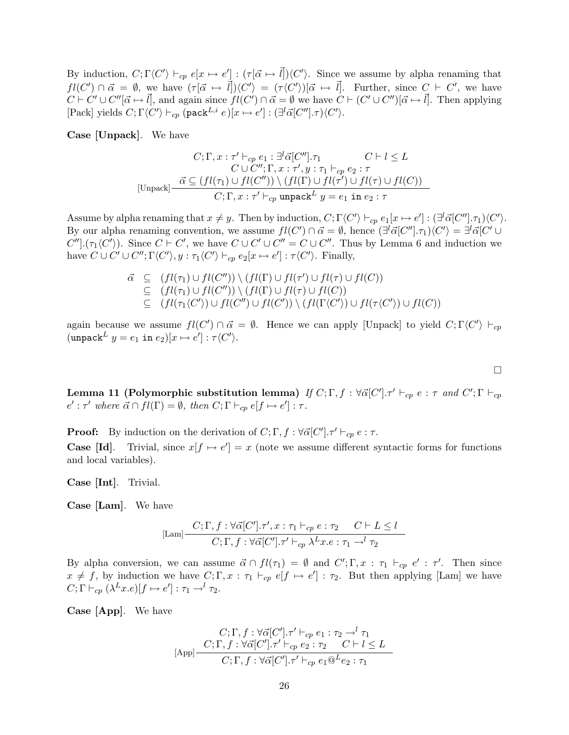By induction,  $C; \Gamma\langle C'\rangle \vdash_{cp} e[x \mapsto e'] : (\tau[\vec{\alpha} \mapsto \vec{l}])\langle C'\rangle$ . Since we assume by alpha renaming that  $fl(C') \cap \vec{\alpha} = \emptyset$ , we have  $(\tau[\vec{\alpha} \mapsto \vec{l}] \setminus C') = (\tau \langle C' \rangle)[\vec{\alpha} \mapsto \vec{l}]$ . Further, since  $C \vdash C'$ , we have  $C \vdash C' \cup C''[\vec{\alpha} \mapsto \vec{l}]$ , and again since  $fl(C') \cap \vec{\alpha} = \emptyset$  we have  $C \vdash (C' \cup C'')[\vec{\alpha} \mapsto \vec{l}]$ . Then applying [Pack] yields  $C; \Gamma\langle C'\rangle \vdash_{cp} (\texttt{pack}^{L,i} e)[x \mapsto e'] : (\exists^l \vec{\alpha}[C''], \tau) \langle C'\rangle.$ 

Case [Unpack]. We have

$$
C; \Gamma, x : \tau' \vdash_{cp} e_1 : \exists^l \vec{\alpha}[C''], \tau_1 \qquad C \vdash l \leq L
$$
  
\n
$$
C \cup C''; \Gamma, x : \tau', y : \tau_1 \vdash_{cp} e_2 : \tau
$$
  
\n
$$
[\text{Unpack}] \xrightarrow{\vec{\alpha} \subseteq (fl(\tau_1) \cup fl(C'')) \setminus (fl(\Gamma) \cup fl(\tau') \cup fl(\tau) \cup fl(C))}
$$
  
\n
$$
C; \Gamma, x : \tau' \vdash_{cp} \text{unpack} L y = e_1 \text{ in } e_2 : \tau
$$

Assume by alpha renaming that  $x \neq y$ . Then by induction,  $C; \Gamma \langle C' \rangle \vdash_{cp} e_1[x \mapsto e'] : (\exists^l \vec{\alpha}[C''], \tau_1) \langle C' \rangle$ . By our alpha renaming convention, we assume  $fl(C') \cap \vec{\alpha} = \emptyset$ , hence  $(\exists^{l} \vec{\alpha}[C''], \tau_1) \langle C' \rangle = \exists^{l} \vec{\alpha}[C' \cup \tau_1]$  $C''$ ]. $(\tau_1 \langle C' \rangle)$ . Since  $C \vdash C'$ , we have  $C \cup C' \cup C'' = C \cup C''$ . Thus by Lemma 6 and induction we have  $C \cup C' \cup C''$ ;  $\Gamma\langle C' \rangle$ ,  $y : \tau_1\langle C' \rangle \vdash_{cp} e_2[x \mapsto e'] : \tau\langle C' \rangle$ . Finally,

$$
\vec{\alpha} \subseteq (fl(\tau_1) \cup fl(C'')) \setminus (fl(\Gamma) \cup fl(\tau') \cup fl(\tau) \cup fl(C))
$$
\n
$$
\subseteq (fl(\tau_1) \cup fl(C'')) \setminus (fl(\Gamma) \cup fl(\tau) \cup fl(C))
$$
\n
$$
\subseteq (fl(\tau_1 \langle C' \rangle) \cup fl(C'') \cup fl(C')) \setminus (fl(\Gamma \langle C' \rangle) \cup fl(\tau \langle C' \rangle) \cup fl(C))
$$

again because we assume  $fl(C') \cap \vec{\alpha} = \emptyset$ . Hence we can apply [Unpack] to yield  $C; \Gamma\langle C' \rangle \vdash_{cp}$  $(\mathtt{unpack}^L \ y = e_1 \mathtt{ in } \ e_2)[x \mapsto e'] : \tau\langle C' \rangle.$ 

Lemma 11 (Polymorphic substitution lemma) If  $C;\Gamma,f:\forall \vec{\alpha}[C']. \tau' \vdash_{cp} e:\tau$  and  $C';\Gamma \vdash_{cp}$  $e': \tau'$  where  $\vec{\alpha} \cap fl(\Gamma) = \emptyset$ , then  $C; \Gamma \vdash_{cp} e[f \mapsto e'] : \tau$ .

 $\Box$ 

**Proof:** By induction on the derivation of  $C; \Gamma, f : \forall \vec{\alpha}[C'], \tau' \vdash_{cp} e : \tau$ . **Case [Id].** Trivial, since  $x[f \mapsto e'] = x$  (note we assume different syntactic forms for functions and local variables).

Case [Int]. Trivial.

Case [Lam]. We have

$$
\text{[Lam]} \frac{C; \Gamma, f: \forall \vec{\alpha}[C'], \tau', x: \tau_1 \vdash_{cp} e: \tau_2 \quad C \vdash L \le l}{C; \Gamma, f: \forall \vec{\alpha}[C'], \tau' \vdash_{cp} \lambda^L x. e: \tau_1 \rightarrow^l \tau_2}
$$

By alpha conversion, we can assume  $\vec{\alpha} \cap fl(\tau_1) = \emptyset$  and  $C'; \Gamma, x : \tau_1 \vdash_{cp} e' : \tau'.$  Then since  $x \neq f$ , by induction we have  $C; \Gamma, x : \tau_1 \vdash_{cp} e[f \mapsto e'] : \tau_2$ . But then applying [Lam] we have  $C; \Gamma \vdash_{cp} (\lambda^L x.e)[f \mapsto e'] : \tau_1 \rightarrow^l \tau_2.$ 

Case [App]. We have

$$
C; \Gamma, f: \forall \vec{\alpha}[C'], \tau' \vdash_{cp} e_1 : \tau_2 \to^l \tau_1
$$
  
[App] 
$$
\frac{C; \Gamma, f: \forall \vec{\alpha}[C'], \tau' \vdash_{cp} e_2 : \tau_2 \quad C \vdash l \leq L}{C; \Gamma, f: \forall \vec{\alpha}[C'], \tau' \vdash_{cp} e_1 @^L e_2 : \tau_1}
$$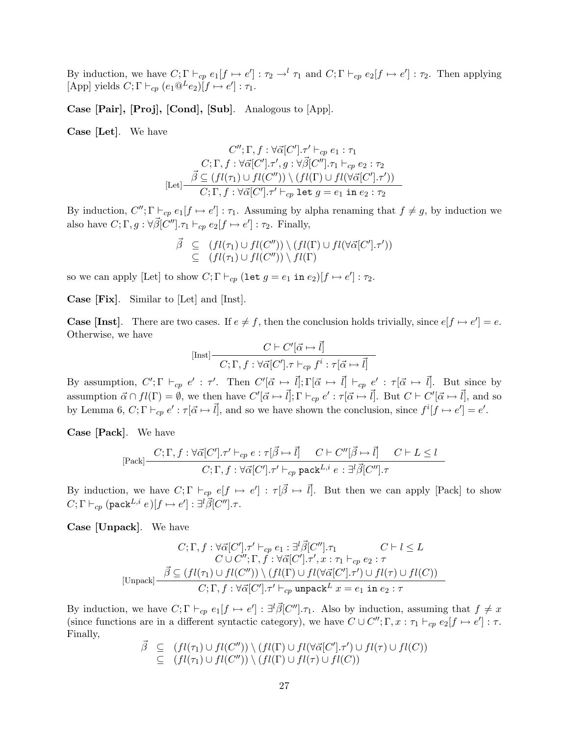By induction, we have  $C; \Gamma \vdash_{cp} e_1[f \mapsto e'] : \tau_2 \to^l \tau_1$  and  $C; \Gamma \vdash_{cp} e_2[f \mapsto e'] : \tau_2$ . Then applying [App] yields  $C; \Gamma \vdash_{cp} (e_1 @^L e_2)[f \mapsto e'] : \tau_1.$ 

Case [Pair], [Proj], [Cond], [Sub]. Analogous to [App].

Case [Let]. We have

$$
C''; \Gamma, f : \forall \vec{\alpha}[C'], \tau' \vdash_{cp} e_1 : \tau_1
$$

$$
C; \Gamma, f : \forall \vec{\alpha}[C'], \tau', g : \forall \vec{\beta}[C''], \tau_1 \vdash_{cp} e_2 : \tau_2
$$

$$
[\text{Let}] \frac{\vec{\beta} \subseteq (fl(\tau_1) \cup fl(C'')) \setminus (fl(\Gamma) \cup fl(\forall \vec{\alpha}[C'], \tau'))}{C; \Gamma, f : \forall \vec{\alpha}[C'], \tau' \vdash_{cp} \text{ let } g = e_1 \text{ in } e_2 : \tau_2}
$$

By induction,  $C''$ ;  $\Gamma \vdash_{cp} e_1[f \mapsto e'] : \tau_1$ . Assuming by alpha renaming that  $f \neq g$ , by induction we also have  $C; \Gamma, g: \forall \vec{\beta}[C''], \tau_1 \vdash_{cp} e_2[f \mapsto e'] : \tau_2$ . Finally,

$$
\vec{\beta} \subseteq (fl(\tau_1) \cup fl(C'')) \setminus (fl(\Gamma) \cup fl(\forall \vec{\alpha}[C'], \tau')) \subseteq (fl(\tau_1) \cup fl(C'')) \setminus fl(\Gamma)
$$

so we can apply [Let] to show  $C; \Gamma \vdash_{cp} (\texttt{let} \ g = e_1 \texttt{ in } e_2)[f \mapsto e'] : \tau_2$ .

Case [Fix]. Similar to [Let] and [Inst].

**Case [Inst].** There are two cases. If  $e \neq f$ , then the conclusion holds trivially, since  $e[f \mapsto e'] = e$ . Otherwise, we have

$$
[\text{Inst}] \frac{C \vdash C'[\vec{\alpha} \mapsto \vec{l}]}{C; \Gamma, f : \forall \vec{\alpha}[C']. \tau \vdash_{cp} f^i : \tau[\vec{\alpha} \mapsto \vec{l}]}
$$

By assumption,  $C'; \Gamma \vdash_{cp} e' : \tau'.$  Then  $C'[\vec{\alpha} \mapsto \vec{l}]; \Gamma[\vec{\alpha} \mapsto \vec{l}] \vdash_{cp} e' : \tau[\vec{\alpha} \mapsto \vec{l}].$  But since by assumption  $\vec{\alpha} \cap fl(\Gamma) = \emptyset$ , we then have  $C'[\vec{\alpha} \mapsto \vec{l}]; \Gamma \vdash_{cp} e' : \tau[\vec{\alpha} \mapsto \vec{l}].$  But  $C \vdash C'[\vec{\alpha} \mapsto \vec{l}],$  and so by Lemma 6,  $C; \Gamma \vdash_{cp} e': \tau[\vec{\alpha} \mapsto \vec{l}]$ , and so we have shown the conclusion, since  $f^i[f \mapsto e']=e'.$ 

Case [Pack]. We have

$$
\text{[Pack]} \frac{C;\Gamma, f: \forall \vec{\alpha}[C'], \tau' \vdash_{cp} e: \tau[\vec{\beta} \mapsto \vec{l}] \quad C \vdash C''[\vec{\beta} \mapsto \vec{l}] \quad C \vdash L \le l}{C;\Gamma, f: \forall \vec{\alpha}[C'], \tau' \vdash_{cp} \text{pack}^{L,i} e: \exists^l \vec{\beta}[C''], \tau'}
$$

By induction, we have  $C; \Gamma \vdash_{cp} e[f \mapsto e'] : \tau[\vec{\beta} \mapsto \vec{l}]$ . But then we can apply [Pack] to show  $C;\Gamma\vdash_{cp} (\mathsf{pack}^{L,i}|e)[f\mapsto e']:\exists^l\vec{\beta}[C''] .\tau.$ 

Case [Unpack]. We have

$$
C; \Gamma, f: \forall \vec{\alpha}[C'], \tau' \vdash_{cp} e_1 : \exists^l \vec{\beta}[C''], \tau_1 \qquad C \vdash l \leq L
$$
  
\n
$$
C \cup C''; \Gamma, f: \forall \vec{\alpha}[C'], \tau', x: \tau_1 \vdash_{cp} e_2: \tau
$$
  
\n
$$
[\text{Unpack}] - \frac{\vec{\beta} \subseteq (fl(\tau_1) \cup fl(C'')) \setminus (fl(\Gamma) \cup fl(\forall \vec{\alpha}[C'], \tau') \cup fl(\tau) \cup fl(C))}{C; \Gamma, f: \forall \vec{\alpha}[C'], \tau' \vdash_{cp} \text{unpack}^L x = e_1 \text{ in } e_2: \tau}
$$

By induction, we have  $C; \Gamma \vdash_{cp} e_1[f \mapsto e'] : \exists^l \vec{\beta}[C''] \ldotp \tau_1$ . Also by induction, assuming that  $f \neq x$ (since functions are in a different syntactic category), we have  $C \cup C''$ ;  $\Gamma$ ,  $x : \tau_1 \vdash_{cp} e_2[f \mapsto e'] : \tau$ . Finally,

$$
\begin{array}{rcl}\n\vec{\beta} & \subseteq & (fl(\tau_1) \cup fl(C'')) \setminus (fl(\Gamma) \cup fl(\forall \vec{\alpha}[C'], \tau') \cup fl(\tau) \cup fl(C)) \\
& \subseteq & (fl(\tau_1) \cup fl(C'')) \setminus (fl(\Gamma) \cup fl(\tau) \cup fl(C))\n\end{array}
$$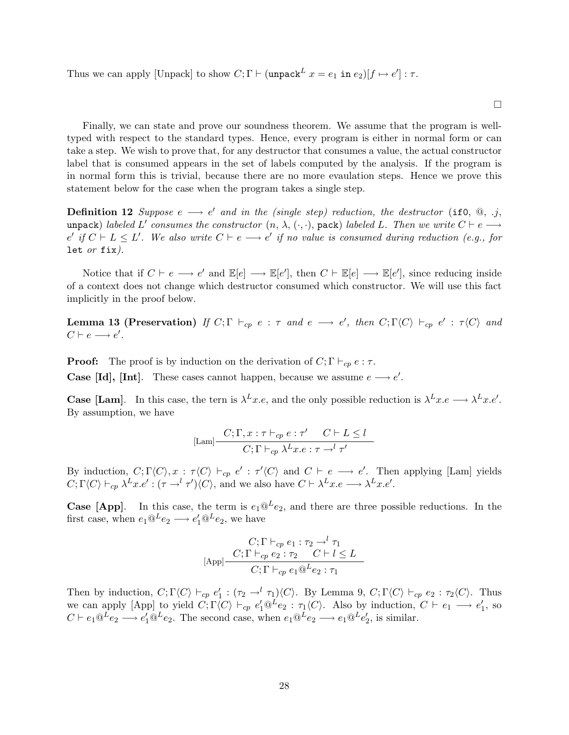Thus we can apply [Unpack] to show  $C; \Gamma \vdash ($ unpack $L x = e_1$  in  $e_2$ )[ $f \mapsto e'$ ]:  $\tau$ .

Finally, we can state and prove our soundness theorem. We assume that the program is welltyped with respect to the standard types. Hence, every program is either in normal form or can take a step. We wish to prove that, for any destructor that consumes a value, the actual constructor label that is consumed appears in the set of labels computed by the analysis. If the program is in normal form this is trivial, because there are no more evaulation steps. Hence we prove this statement below for the case when the program takes a single step.

**Definition 12** Suppose  $e \rightarrow e'$  and in the (single step) reduction, the destructor (if0,  $\textcircled{a}$ , .j, unpack) labeled L' consumes the constructor  $(n, \lambda, (\cdot, \cdot),$  pack) labeled L. Then we write  $C \vdash e \longrightarrow$  $e'$  if  $C \vdash L \leq L'$ . We also write  $C \vdash e \longrightarrow e'$  if no value is consumed during reduction (e.g., for let  $or$  fix).

Notice that if  $C \vdash e \longrightarrow e'$  and  $\mathbb{E}[e] \longrightarrow \mathbb{E}[e']$ , then  $C \vdash \mathbb{E}[e] \longrightarrow \mathbb{E}[e']$ , since reducing inside of a context does not change which destructor consumed which constructor. We will use this fact implicitly in the proof below.

**Lemma 13 (Preservation)** If  $C; \Gamma \vdash_{cp} e : \tau$  and  $e \longrightarrow e'$ , then  $C; \Gamma \langle C \rangle \vdash_{cp} e' : \tau \langle C \rangle$  and  $C \vdash e \longrightarrow e'.$ 

**Proof:** The proof is by induction on the derivation of  $C; \Gamma \vdash_{cp} e : \tau$ . **Case [Id], [Int].** These cases cannot happen, because we assume  $e \rightarrow e'$ .

**Case [Lam].** In this case, the tern is  $\lambda^L x.e.$ , and the only possible reduction is  $\lambda^L x.e. \longrightarrow \lambda^L x.e'.$ By assumption, we have

$$
[\text{Lam}] \frac{C; \Gamma, x: \tau \vdash_{cp} e: \tau' \quad C \vdash L \le l}{C; \Gamma \vdash_{cp} \lambda^L x. e: \tau \to^l \tau'}
$$

By induction,  $C; \Gamma\langle C\rangle, x : \tau\langle C\rangle \vdash_{cp} e' : \tau'\langle C\rangle$  and  $C \vdash e \longrightarrow e'$ . Then applying [Lam] yields  $C; \Gamma \langle C \rangle \vdash_{cp} \lambda^{L} x.e' : (\tau \to^{l} \tau') \langle C \rangle$ , and we also have  $C \vdash \lambda^{L} x.e \longrightarrow \lambda^{L} x.e'.$ 

**Case [App].** In this case, the term is  $e_1@^L e_2$ , and there are three possible reductions. In the first case, when  $e_1@^L e_2 \longrightarrow e'_1@^L e_2$ , we have

$$
C; \Gamma \vdash_{cp} e_1 : \tau_2 \to^l \tau_1
$$
  
[App]
$$
\frac{C; \Gamma \vdash_{cp} e_2 : \tau_2 \quad C \vdash l \leq L}{C; \Gamma \vdash_{cp} e_1 @^L e_2 : \tau_1}
$$

Then by induction,  $C; \Gamma\langle C \rangle \vdash_{cp} e'_1 : (\tau_2 \to^l \tau_1)\langle C \rangle$ . By Lemma 9,  $C; \Gamma\langle C \rangle \vdash_{cp} e_2 : \tau_2\langle C \rangle$ . Thus we can apply [App] to yield  $C; \Gamma \langle C \rangle \vdash_{cp} e'_1 @^L e_2 : \tau_1 \langle C \rangle$ . Also by induction,  $C \vdash e_1 \longrightarrow e'_1$ , so  $C \vdash e_1 @^L e_2 \longrightarrow e'_1 @^L e_2.$  The second case, when  $e_1 @^L e_2 \longrightarrow e_1 @^L e'_2$ , is similar.

 $\Box$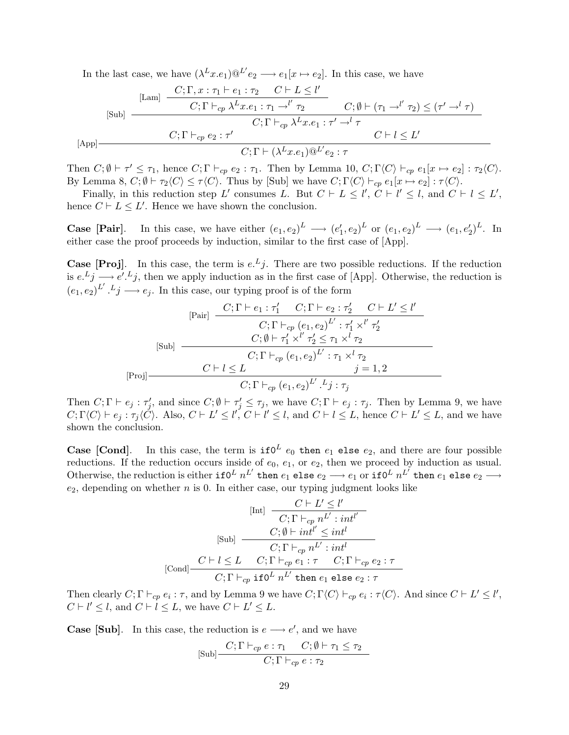In the last case, we have  $(\lambda^L x.e_1) @^{L'}e_2 \longrightarrow e_1[x \mapsto e_2]$ . In this case, we have

$$
[\text{Sub}] \quad \frac{[L\text{am}]}{C; \Gamma \vdash_{cp} \lambda^{L} x \cdot e_{1} : \tau_{1} \to^{l'} \tau_{2}} \quad C; \emptyset \vdash (\tau_{1} \to^{l'} \tau_{2}) \leq (\tau' \to^{l} \tau) \quad \text{(Sub)}
$$
\n
$$
[S\text{ub}] \quad \frac{C; \Gamma \vdash_{cp} \lambda^{L} x \cdot e_{1} : \tau_{1} \to^{l'} \tau_{2}}{C; \Gamma \vdash_{cp} \lambda^{L} x \cdot e_{1} : \tau' \to^{l} \tau \quad \text{(App)}
$$
\n
$$
[App]
$$
\n
$$
[\text{App}] \quad \frac{C; \Gamma \vdash_{cp} e_{2} : \tau'}{C; \Gamma \vdash (\lambda^{L} x \cdot e_{1}) @^{L'} e_{2} : \tau}
$$

Then  $C; \emptyset \vdash \tau' \leq \tau_1$ , hence  $C; \Gamma \vdash_{cp} e_2 : \tau_1$ . Then by Lemma 10,  $C; \Gamma\langle C \rangle \vdash_{cp} e_1[x \mapsto e_2] : \tau_2\langle C \rangle$ . By Lemma 8,  $C; \emptyset \vdash \tau_2 \langle C \rangle \leq \tau \langle C \rangle$ . Thus by [Sub] we have  $C; \Gamma \langle C \rangle \vdash_{cp} e_1[x \mapsto e_2] : \tau \langle C \rangle$ .

Finally, in this reduction step L' consumes L. But  $C \vdash L \leq l'$ ,  $C \vdash l' \leq l$ , and  $C \vdash l \leq L'$ , hence  $C \vdash L \leq L'$ . Hence we have shown the conclusion.

**Case [Pair].** In this case, we have either  $(e_1, e_2)^L \longrightarrow (e'_1, e_2)^L$  or  $(e_1, e_2)^L \longrightarrow (e_1, e'_2)^L$ . In either case the proof proceeds by induction, similar to the first case of [App].

**Case [Proj].** In this case, the term is  $e^{i}$ . There are two possible reductions. If the reduction is  $e^{L}j \longrightarrow e^{L}j$ , then we apply induction as in the first case of [App]. Otherwise, the reduction is  $(e_1, e_2)^{L'}$ .  $L_j \longrightarrow e_j$ . In this case, our typing proof is of the form

[Psi] 
$$
\frac{C; \Gamma \vdash e_1 : \tau_1' \quad C; \Gamma \vdash e_2 : \tau_2' \quad C \vdash L' \le l'}{C; \Gamma \vdash_{cp} (e_1, e_2)^{L'} : \tau_1' \times^{l'} \tau_2'}
$$
  
\n[Sub] 
$$
\frac{C; \emptyset \vdash \tau_1' \times^{l'} \tau_2' \le \tau_1 \times^{l} \tau_2}{C; \Gamma \vdash_{cp} (e_1, e_2)^{L'} : \tau_1 \times^{l} \tau_2}
$$
  
\n[Proj] 
$$
\frac{C \vdash l \le L \qquad j = 1, 2}{C; \Gamma \vdash_{cp} (e_1, e_2)^{L'} \cdot Lj : \tau_j}
$$

Then  $C; \Gamma \vdash e_j : \tau'_j$ , and since  $C; \emptyset \vdash \tau'_j \leq \tau_j$ , we have  $C; \Gamma \vdash e_j : \tau_j$ . Then by Lemma 9, we have  $C; \Gamma\langle C \rangle \vdash e_j : \tau_j \langle C \rangle$ . Also,  $C \vdash L' \leq l'$ ,  $C \vdash l' \leq l$ , and  $C \vdash l \leq L$ , hence  $C \vdash L' \leq L$ , and we have shown the conclusion.

**Case [Cond].** In this case, the term is  $if0^L e_0$  then  $e_1$  else  $e_2$ , and there are four possible reductions. If the reduction occurs inside of  $e_0$ ,  $e_1$ , or  $e_2$ , then we proceed by induction as usual. Otherwise, the reduction is either  $\texttt{if0}^L$   $n^{L'}$  then  $e_1$  else  $e_2$   $\longrightarrow$   $e_1$  or  $\texttt{if0}^L$   $n^{L'}$  then  $e_1$  else  $e_2$   $\longrightarrow$  $e_2$ , depending on whether n is 0. In either case, our typing judgment looks like

$$
[\text{Int}] \quad \frac{C \vdash L' \leq l'}{C; \Gamma \vdash_{cp} n^{L'} : int^{l'}}\n[\text{Sub}] \quad \frac{C; \emptyset \vdash int^{l'} \leq int^{l'}}{C; \Gamma \vdash_{cp} n^{L'} : int^{l}}\n[\text{Cond}] \quad \frac{C \vdash l \leq L \quad C; \Gamma \vdash_{cp} e_1 : \tau \quad C; \Gamma \vdash_{cp} e_2 : \tau}{C; \Gamma \vdash_{cp} \text{ if } 0^L n^{L'} \text{ then } e_1 \text{ else } e_2 : \tau}
$$

Then clearly  $C; \Gamma \vdash_{cp} e_i : \tau$ , and by Lemma 9 we have  $C; \Gamma \langle C \rangle \vdash_{cp} e_i : \tau \langle C \rangle$ . And since  $C \vdash L' \leq l'$ ,  $C \vdash l' \leq l$ , and  $C \vdash l \leq L$ , we have  $C \vdash L' \leq L$ .

**Case [Sub].** In this case, the reduction is  $e \rightarrow e'$ , and we have

$$
[\text{Sub}] \frac{C; \Gamma \vdash_{cp} e : \tau_1 \quad C; \emptyset \vdash \tau_1 \le \tau_2}{C; \Gamma \vdash_{cp} e : \tau_2}
$$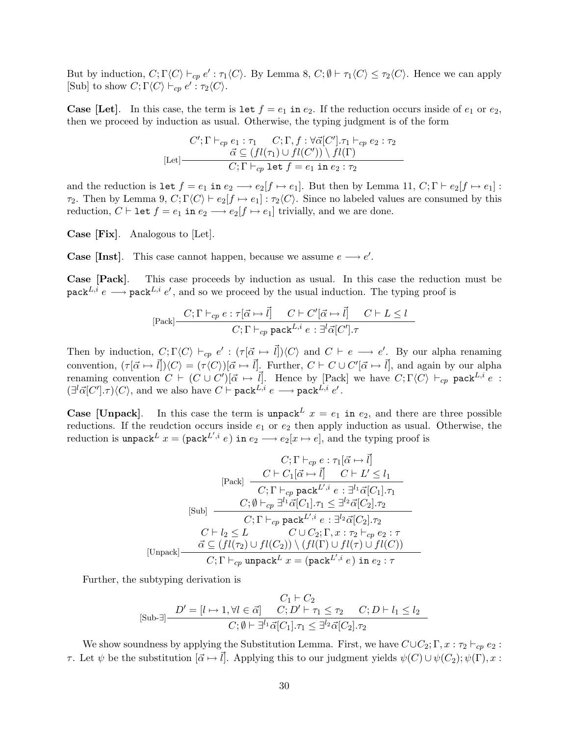But by induction,  $C; \Gamma \langle C \rangle \vdash_{cp} e' : \tau_1 \langle C \rangle$ . By Lemma 8,  $C; \emptyset \vdash \tau_1 \langle C \rangle \leq \tau_2 \langle C \rangle$ . Hence we can apply [Sub] to show  $C; \Gamma\langle C \rangle \vdash_{cp} e' : \tau_2\langle C \rangle$ .

**Case [Let].** In this case, the term is let  $f = e_1$  in  $e_2$ . If the reduction occurs inside of  $e_1$  or  $e_2$ , then we proceed by induction as usual. Otherwise, the typing judgment is of the form

$$
[Let]
$$
\n
$$
C'; \Gamma \vdash_{cp} e_1 : \tau_1 \quad C; \Gamma, f : \forall \vec{\alpha}[C'], \tau_1 \vdash_{cp} e_2 : \tau_2
$$
\n
$$
\vec{\alpha} \subseteq (fl(\tau_1) \cup fl(C')) \setminus fl(\Gamma)
$$
\n
$$
C; \Gamma \vdash_{cp} \text{let } f = e_1 \text{ in } e_2 : \tau_2
$$

and the reduction is let  $f = e_1$  in  $e_2 \longrightarrow e_2[f \mapsto e_1]$ . But then by Lemma 11,  $C; \Gamma \vdash e_2[f \mapsto e_1]$ :  $\tau_2$ . Then by Lemma 9,  $C; \Gamma\langle C \rangle \vdash e_2[f \mapsto e_1] : \tau_2\langle C \rangle$ . Since no labeled values are consumed by this reduction,  $C \vdash \text{let } f = e_1 \text{ in } e_2 \longrightarrow e_2[f \mapsto e_1]$  trivially, and we are done.

Case [Fix]. Analogous to [Let].

**Case [Inst].** This case cannot happen, because we assume  $e \rightarrow e'$ .

Case [Pack]. This case proceeds by induction as usual. In this case the reduction must be pack<sup>L,i</sup>  $e \longrightarrow$  pack<sup>L,i</sup>  $e'$ , and so we proceed by the usual induction. The typing proof is

$$
[\text{Pack}] \frac{C; \Gamma \vdash_{cp} e : \tau[\vec{\alpha} \mapsto \vec{l}] \quad C \vdash C'[\vec{\alpha} \mapsto \vec{l}] \quad C \vdash L \le l}{C; \Gamma \vdash_{cp} \text{pack}^{L,i} e : \exists^l \vec{\alpha}[C'], \tau}
$$

Then by induction,  $C; \Gamma\langle C\rangle \vdash_{cp} e' : (\tau[\vec{\alpha} \mapsto \vec{l}])\langle C\rangle$  and  $C \vdash e \longrightarrow e'$ . By our alpha renaming convention,  $({\tau[\vec{\alpha} \mapsto \vec{l}]})\langle C \rangle = ({\tau \langle C \rangle})[\vec{\alpha} \mapsto \vec{l}]$ . Further,  $C \vdash C \cup C'[\vec{\alpha} \mapsto \vec{l}]$ , and again by our alpha renaming convention  $C \vdash (C \cup C')[\vec{\alpha} \mapsto \vec{l}]$ . Hence by [Pack] we have  $C; \Gamma\langle C \rangle \vdash_{cp}$  pack<sup>L,i</sup> e :  $(\exists^{l}\vec{\alpha}[C'],\tau)\langle C\rangle$ , and we also have  $C\vdash \mathtt{pack}^{L,i}$   $e\longrightarrow \mathtt{pack}^{L,i}$   $e'$ .

**Case [Unpack].** In this case the term is unpack<sup>L</sup>  $x = e_1$  in  $e_2$ , and there are three possible reductions. If the reudction occurs inside  $e_1$  or  $e_2$  then apply induction as usual. Otherwise, the reduction is unpack  $L x = (\text{pack}^{L',i} e)$  in  $e_2 \longrightarrow e_2[x \mapsto e]$ , and the typing proof is

$$
C; \Gamma \vdash_{cp} e : \tau_1[\vec{\alpha} \mapsto \vec{l}]
$$
\n
$$
[
$$
\n
$$
[
$$
\n
$$
[
$$
\n
$$
[
$$
\n
$$
[
$$
\n
$$
[
$$
\n
$$
[
$$
\n
$$
[
$$
\n
$$
[
$$
\n
$$
[
$$
\n
$$
C; \Gamma \vdash_{cp} \text{pack}^{L',i} e : \exists^{l_1} \vec{\alpha}[C_1].\tau_1
$$
\n
$$
[
$$
\n
$$
[
$$
\n
$$
[
$$
\n
$$
[
$$
\n
$$
[
$$
\n
$$
[
$$
\n
$$
[
$$
\n
$$
[
$$
\n
$$
[
$$
\n
$$
[
$$
\n
$$
[
$$
\n
$$
[
$$
\n
$$
[
$$
\n
$$
[
$$
\n
$$
[
$$
\n
$$
[
$$
\n
$$
[
$$
\n
$$
[
$$
\n
$$
[
$$
\n
$$
[
$$
\n
$$
[
$$
\n
$$
[
$$
\n
$$
[
$$
\n
$$
[
$$
\n
$$
[
$$
\n
$$
[
$$
\n
$$
[
$$
\n
$$
[
$$
\n
$$
[
$$
\n
$$
[
$$
\n
$$
[
$$
\n
$$
[
$$
\n
$$
[
$$
\n
$$
[
$$
\n
$$
[
$$
\n
$$
[
$$
\n
$$
[
$$
\n
$$
[
$$
\n
$$
[
$$
\n
$$
[
$$
\n
$$
[
$$
\n
$$
[
$$
\n
$$
[
$$
\n
$$
[
$$
\n
$$
[
$$
\n
$$
[
$$
\n
$$
[
$$
\n
$$
[
$$
\n
$$
[
$$
\n
$$
[
$$
\n
$$
[
$$
\n<math display="</math>

Further, the subtyping derivation is

$$
C_1 \vdash C_2
$$
  
[Sub- $\exists$ ] 
$$
\frac{D' = [l \mapsto 1, \forall l \in \vec{\alpha}] \quad C; D' \vdash \tau_1 \leq \tau_2 \quad C; D \vdash l_1 \leq l_2}{C; \emptyset \vdash \exists^{l_1} \vec{\alpha}[C_1].\tau_1 \leq \exists^{l_2} \vec{\alpha}[C_2].\tau_2}
$$

We show soundness by applying the Substitution Lemma. First, we have  $C\cup C_2$ ; Γ,  $x : \tau_2 \vdash_{cp} e_2$ : τ. Let ψ be the substitution  $[α | ∼ ∂]$ . Applying this to our judgment yields  $ψ(C) ∪ ψ(C<sub>2</sub>); ψ(Γ), x$ :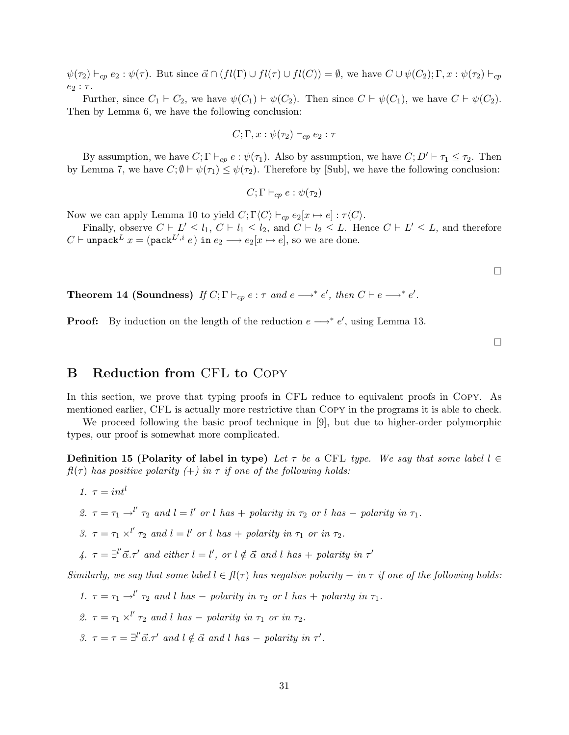$\psi(\tau_2) \vdash_{cp} e_2 : \psi(\tau)$ . But since  $\vec{\alpha} \cap (fl(\Gamma) \cup fl(\tau) \cup fl(C)) = \emptyset$ , we have  $C \cup \psi(C_2); \Gamma, x : \psi(\tau_2) \vdash_{cp}$  $e_2$ :  $\tau$ .

Further, since  $C_1 \vdash C_2$ , we have  $\psi(C_1) \vdash \psi(C_2)$ . Then since  $C \vdash \psi(C_1)$ , we have  $C \vdash \psi(C_2)$ . Then by Lemma 6, we have the following conclusion:

$$
C;\Gamma,x:\psi(\tau_2)\vdash_{cp}e_2:\tau
$$

By assumption, we have  $C; \Gamma \vdash_{cp} e : \psi(\tau_1)$ . Also by assumption, we have  $C; D' \vdash \tau_1 \leq \tau_2$ . Then by Lemma 7, we have  $C; \emptyset \vdash \psi(\tau_1) \leq \psi(\tau_2)$ . Therefore by [Sub], we have the following conclusion:

 $C; \Gamma \vdash_{cn} e : \psi(\tau_2)$ 

Now we can apply Lemma 10 to yield  $C; \Gamma\langle C\rangle \vdash_{cp} e_2[x \mapsto e]: \tau\langle C\rangle$ .

Finally, observe  $C \vdash L' \leq l_1, C \vdash l_1 \leq l_2$ , and  $C \vdash l_2 \leq L$ . Hence  $C \vdash L' \leq L$ , and therefore  $C \vdash \texttt{unpack}^L x = (\texttt{pack}^{L',i} e) \texttt{ in } e_2 \longrightarrow e_2[x \mapsto e],$  so we are done.

**Theorem 14 (Soundness)** If  $C; \Gamma \vdash_{cp} e : \tau$  and  $e \longrightarrow^* e'$ , then  $C \vdash e \longrightarrow^* e'$ .

**Proof:** By induction on the length of the reduction  $e \rightarrow e'$ , using Lemma 13.

### B Reduction from CFL to Copy

In this section, we prove that typing proofs in CFL reduce to equivalent proofs in Copy. As mentioned earlier, CFL is actually more restrictive than Copy in the programs it is able to check.

We proceed following the basic proof technique in [9], but due to higher-order polymorphic types, our proof is somewhat more complicated.

Definition 15 (Polarity of label in type) Let  $\tau$  be a CFL type. We say that some label  $l \in$  $f_l(\tau)$  has positive polarity  $(+)$  in  $\tau$  if one of the following holds:

- 1.  $\tau = int^l$
- 2.  $\tau = \tau_1 \rightarrow^{l'} \tau_2$  and  $l = l'$  or l has  $+$  polarity in  $\tau_2$  or l has  $-$  polarity in  $\tau_1$ .
- 3.  $\tau = \tau_1 \times^{l'} \tau_2$  and  $l = l'$  or l has + polarity in  $\tau_1$  or in  $\tau_2$ .

4.  $\tau = \exists^{l'} \vec{\alpha} . \tau'$  and either  $l = l'$ , or  $l \notin \vec{\alpha}$  and l has + polarity in  $\tau'$ 

Similarly, we say that some label  $l \in \mathcal{H}(\tau)$  has negative polarity  $-$  in  $\tau$  if one of the following holds:

1.  $\tau = \tau_1 \rightarrow^{l'} \tau_2$  and l has – polarity in  $\tau_2$  or l has + polarity in  $\tau_1$ . 2.  $\tau = \tau_1 \times^{l'} \tau_2$  and l has – polarity in  $\tau_1$  or in  $\tau_2$ . 3.  $\tau = \tau = \exists^{l'} \vec{\alpha} . \tau'$  and  $l \notin \vec{\alpha}$  and l has – polarity in  $\tau'$ .

 $\Box$ 

 $\Box$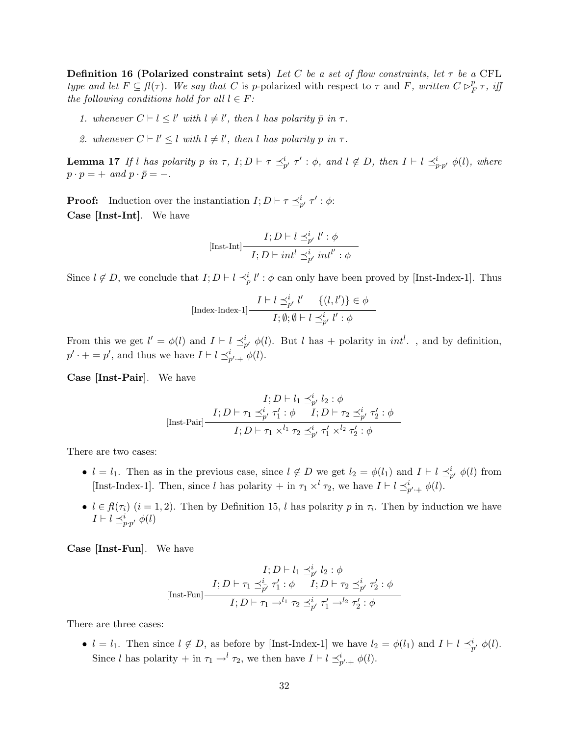**Definition 16 (Polarized constraint sets)** Let C be a set of flow constraints, let  $\tau$  be a CFL type and let  $F \subseteq \mathcal{H}(\tau)$ . We say that C is p-polarized with respect to  $\tau$  and F, written  $C \triangleright^p_I$  $_{F}^{p}\tau ,\; i\!f\!\!\!\!/$ the following conditions hold for all  $l \in F$ :

- 1. whenever  $C \vdash l \leq l'$  with  $l \neq l'$ , then l has polarity  $\bar{p}$  in  $\tau$ .
- 2. whenever  $C \vdash l' \leq l$  with  $l \neq l'$ , then l has polarity p in  $\tau$ .

**Lemma 17** If l has polarity p in  $\tau$ ,  $I; D \vdash \tau \preceq^i_{p'} \tau' : \phi$ , and  $l \notin D$ , then  $I \vdash l \preceq^i_{p \cdot p'} \phi(l)$ , where  $p \cdot p = + \text{ and } p \cdot \bar{p} = -$ .

**Proof:** Induction over the instantiation  $I; D \vdash \tau \preceq^i_{p'} \tau' : \phi$ : Case [Inst-Int]. We have

$$
[\text{Inst-Int}] \frac{I; D \vdash l \preceq^i_{p'} l' : \phi}{I; D \vdash int^l \preceq^i_{p'} int^{l'} : \phi}
$$

Since  $l \notin D$ , we conclude that  $I; D \vdash l \leq_p^i l' : \phi$  can only have been proved by [Inst-Index-1]. Thus

$$
[\text{Index-Index-1}] \frac{I \vdash l \preceq^i_{p'} l' \quad \{(l, l')\} \in \phi}{I; \emptyset; \emptyset \vdash l \preceq^i_{p'} l' : \phi}
$$

From this we get  $l' = \phi(l)$  and  $I \vdash l \preceq^i_{p'} \phi(l)$ . But l has + polarity in int<sup>l</sup>., and by definition,  $p' \cdot + = p'$ , and thus we have  $I \vdash l \preceq_{p' \cdot +}^{i} \phi(l)$ .

Case [Inst-Pair]. We have

$$
I; D \vdash l_1 \preceq_{p'}^i l_2 : \phi
$$
  
[Inst-Pair] 
$$
\frac{I; D \vdash \tau_1 \preceq_{p'}^i \tau_1' : \phi \qquad I; D \vdash \tau_2 \preceq_{p'}^i \tau_2' : \phi}{I; D \vdash \tau_1 \times^{l_1} \tau_2 \preceq_{p'}^i \tau_1' \times^{l_2} \tau_2' : \phi}
$$

There are two cases:

- $l = l_1$ . Then as in the previous case, since  $l \notin D$  we get  $l_2 = \phi(l_1)$  and  $I \vdash l \preceq^i_{p'} \phi(l)$  from [Inst-Index-1]. Then, since l has polarity  $+$  in  $\tau_1 \times^l \tau_2$ , we have  $I \vdash l \preceq^i_{p'+l} \phi(l)$ .
- $l \in \mathcal{H}(\tau_i)$   $(i = 1, 2)$ . Then by Definition 15, l has polarity p in  $\tau_i$ . Then by induction we have  $I \vdash l \preceq^i_{p \cdot p'} \phi(l)$

Case [Inst-Fun]. We have

$$
I; D \vdash l_1 \preceq_{p'}^i l_2 : \phi
$$
  
[Inst-Fun] 
$$
\frac{I; D \vdash \tau_1 \preceq_{p'}^i \tau_1' : \phi \qquad I; D \vdash \tau_2 \preceq_{p'}^i \tau_2' : \phi}{I; D \vdash \tau_1 \rightarrow^{l_1} \tau_2 \preceq_{p'}^i \tau_1' \rightarrow^{l_2} \tau_2' : \phi}
$$

There are three cases:

•  $l = l_1$ . Then since  $l \notin D$ , as before by [Inst-Index-1] we have  $l_2 = \phi(l_1)$  and  $I \vdash l \preceq^i_{p'} \phi(l)$ . Since l has polarity + in  $\tau_1 \rightarrow^{l} \tau_2$ , we then have  $I \vdash l \preceq^i_{p'+l} \phi(l)$ .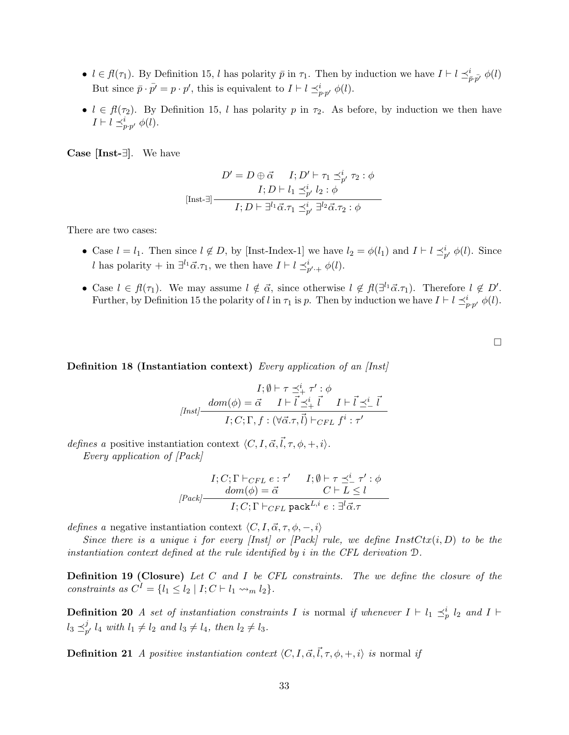- $l \in \mathcal{H}(\tau_1)$ . By Definition 15, l has polarity  $\bar{p}$  in  $\tau_1$ . Then by induction we have  $I \vdash l \preceq_{\bar{p}, \bar{p'}}^i \phi(l)$ But since  $\bar{p} \cdot \bar{p'} = p \cdot p'$ , this is equivalent to  $I \vdash l \preceq_{p \cdot p'}^i \phi(l)$ .
- $l \in \mathcal{H}(\tau_2)$ . By Definition 15, l has polarity p in  $\tau_2$ . As before, by induction we then have  $I \vdash l \preceq_{p \cdot p'}^i \phi(l).$

Case [Inst-∃]. We have

$$
D' = D \oplus \vec{\alpha} \qquad I; D' \vdash \tau_1 \preceq_{p'}^i \tau_2 : \phi
$$

$$
I; D \vdash l_1 \preceq_{p'}^i l_2 : \phi
$$

$$
I; D \vdash \exists^{l_1} \vec{\alpha}. \tau_1 \preceq_{p'}^i \exists^{l_2} \vec{\alpha}. \tau_2 : \phi
$$

There are two cases:

- Case  $l = l_1$ . Then since  $l \notin D$ , by [Inst-Index-1] we have  $l_2 = \phi(l_1)$  and  $I \vdash l \preceq^i_{p'} \phi(l)$ . Since l has polarity + in  $\exists^{l_1} \vec{\alpha}.\tau_1$ , we then have  $I \vdash l \preceq^i_{p'+l} \phi(l)$ .
- Case  $l \in \mathcal{H}(\tau_1)$ . We may assume  $l \notin \vec{\alpha}$ , since otherwise  $l \notin \mathcal{H}(\exists^{l_1} \vec{\alpha}.\tau_1)$ . Therefore  $l \notin D'$ . Further, by Definition 15 the polarity of l in  $\tau_1$  is p. Then by induction we have  $I \vdash l \preceq_{p \cdot p'}^i \phi(l)$ .

Definition 18 (Instantiation context) Every application of an [Inst]

$$
I; \emptyset \vdash \tau \preceq^i_+ \tau' : \phi
$$

$$
[Inst] \frac{dom(\phi) = \vec{\alpha} \quad I \vdash \vec{l} \preceq^i_+ \vec{l} \quad I \vdash \vec{l} \preceq^i_- \vec{l}}{I; C; \Gamma, f : (\forall \vec{\alpha}.\tau, \vec{l}) \vdash_{CFL} f^i : \tau'}
$$

defines a positive instantiation context  $\langle C, I, \vec{\alpha}, \vec{l}, \tau, \phi, +, i \rangle$ .

Every application of [Pack]

$$
I; C; \Gamma \vdash_{CFL} e : \tau' \qquad I; \emptyset \vdash \tau \preceq^i_{-} \tau' : \phi
$$

$$
[Pack] \qquad \qquad \overline{dom(\phi) = \vec{\alpha}} \qquad \qquad C \vdash L \le l
$$

$$
I; C; \Gamma \vdash_{CFL} \text{pack}^{L,i} e : \exists^l \vec{\alpha} . \tau
$$

defines a negative instantiation context  $\langle C, I, \vec{\alpha}, \tau, \phi, -, i \rangle$ 

Since there is a unique i for every [Inst] or [Pack] rule, we define  $InstCtx(i, D)$  to be the instantiation context defined at the rule identified by i in the CFL derivation  $\mathcal{D}$ .

Definition 19 (Closure) Let C and I be CFL constraints. The we define the closure of the constraints as  $C^I = \{l_1 \leq l_2 \mid I; C \vdash l_1 \leadsto_m l_2\}.$ 

**Definition 20** A set of instantiation constraints I is normal if whenever  $I \vdash l_1 \preceq^i_{p} l_2$  and  $I \vdash$  $l_3 \preceq_n^j$  $p<sub>p'</sub> l<sub>4</sub> with  $l_1 \neq l_2$  and  $l_3 \neq l_4$ , then  $l_2 \neq l_3$ .$ 

**Definition 21** A positive instantiation context  $\langle C, I, \vec{\alpha}, \vec{l}, \tau, \phi, +, i \rangle$  is normal if

 $\Box$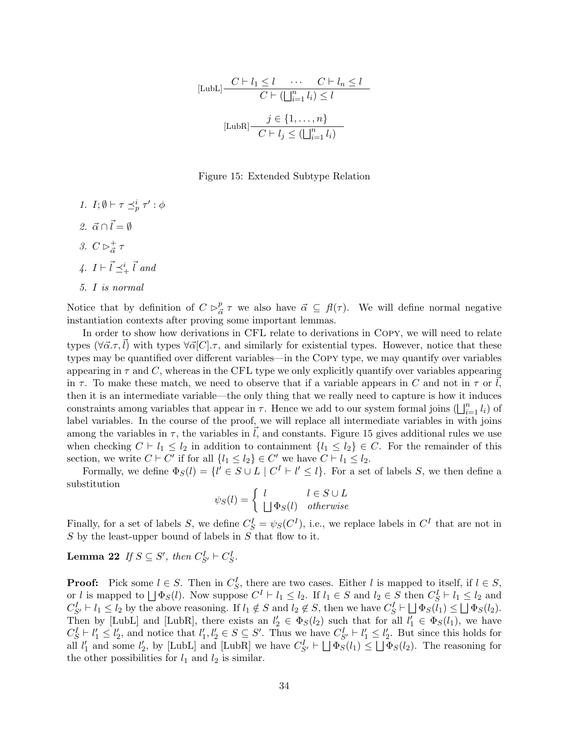$$
[\text{LubL}] \frac{C \vdash l_1 \le l \quad \cdots \quad C \vdash l_n \le l}{C \vdash (\bigsqcup_{i=1}^{n} l_i) \le l}
$$

$$
[\text{LubR}] \frac{j \in \{1, \ldots, n\}}{C \vdash l_j \le (\bigsqcup_{i=1}^{n} l_i)}
$$

#### Figure 15: Extended Subtype Relation

- 1.  $I; \emptyset \vdash \tau \preceq^i_p \tau' : \phi$
- 2.  $\vec{\alpha} \cap \vec{l} = \emptyset$
- 3.  $C \triangleright_{\vec{\alpha}}^+$  $^+_{\vec{\alpha}}$   $^{\tau}$
- 4.  $I \vdash \vec{l} \preceq^i_{+} \vec{l}$  and
- 5. I is normal

Notice that by definition of  $C \rhd_{\tilde{\sigma}}^p$  $\frac{p}{\vec{\alpha}} \tau$  we also have  $\vec{\alpha} \subseteq f(\tau)$ . We will define normal negative instantiation contexts after proving some important lemmas.

In order to show how derivations in CFL relate to derivations in Copy, we will need to relate types  $(\forall \vec{\alpha}.\tau,l)$  with types  $\forall \vec{\alpha}[C].\tau$ , and similarly for existential types. However, notice that these types may be quantified over different variables—in the Copy type, we may quantify over variables appearing in  $\tau$  and C, whereas in the CFL type we only explicitly quantify over variables appearing in  $\tau$ . To make these match, we need to observe that if a variable appears in C and not in  $\tau$  or l, then it is an intermediate variable—the only thing that we really need to capture is how it induces constraints among variables that appear in  $\tau$ . Hence we add to our system formal joins  $(\bigsqcup_{i=1}^n l_i)$  of label variables. In the course of the proof, we will replace all intermediate variables in with joins among the variables in  $\tau$ , the variables in l, and constants. Figure 15 gives additional rules we use when checking  $C \vdash l_1 \leq l_2$  in addition to containment  $\{l_1 \leq l_2\} \in C$ . For the remainder of this section, we write  $C \vdash C'$  if for all  $\{l_1 \leq l_2\} \in C'$  we have  $C \vdash l_1 \leq l_2$ .

Formally, we define  $\Phi_S(l) = \{l' \in S \cup L \mid C^I \vdash l' \leq l\}$ . For a set of labels S, we then define a substitution

 $\psi_S(l) = \begin{cases} l & l \in S \cup L \\ l & l \in S \end{cases}$  $\bigcup \Phi_S(l)$  otherwise

Finally, for a set of labels S, we define  $C_S^I = \psi_S(C^I)$ , i.e., we replace labels in  $C^I$  that are not in  $S$  by the least-upper bound of labels in  $\tilde{S}$  that flow to it.

**Lemma 22** If  $S \subseteq S'$ , then  $C_{S'}^I \vdash C_S^I$ .

**Proof:** Pick some  $l \in S$ . Then in  $C_S^I$ , there are two cases. Either l is mapped to itself, if  $l \in S$ , or *l* is mapped to  $\bigcup \Phi_S(l)$ . Now suppose  $C^I \vdash l_1 \leq l_2$ . If  $l_1 \in S$  and  $l_2 \in S$  then  $C_S^I \vdash l_1 \leq l_2$  and  $C_{S'}^I \vdash l_1 \leq l_2$  by the above reasoning. If  $l_1 \notin S$  and  $l_2 \notin S$ , then we have  $C_S^I \vdash \bigsqcup \Phi_S(l_1) \leq \bigsqcup \Phi_S(l_2)$ . Then by [LubL] and [LubR], there exists an  $l'_2 \in \Phi_S(l_2)$  such that for all  $l'_1 \in \Phi_S(l_1)$ , we have  $C_S^I \vdash l'_1 \le l'_2$ , and notice that  $l'_1, l'_2 \in S \subseteq S'$ . Thus we have  $C_{S'}^I \vdash l'_1 \le l'_2$ . But since this holds for all  $l'_1$  and some  $l'_2$ , by [LubL] and [LubR] we have  $C_{S'}^I \vdash \bigsqcup \Phi_S(l_1) \leq \bigsqcup \Phi_S(l_2)$ . The reasoning for the other possibilities for  $l_1$  and  $l_2$  is similar.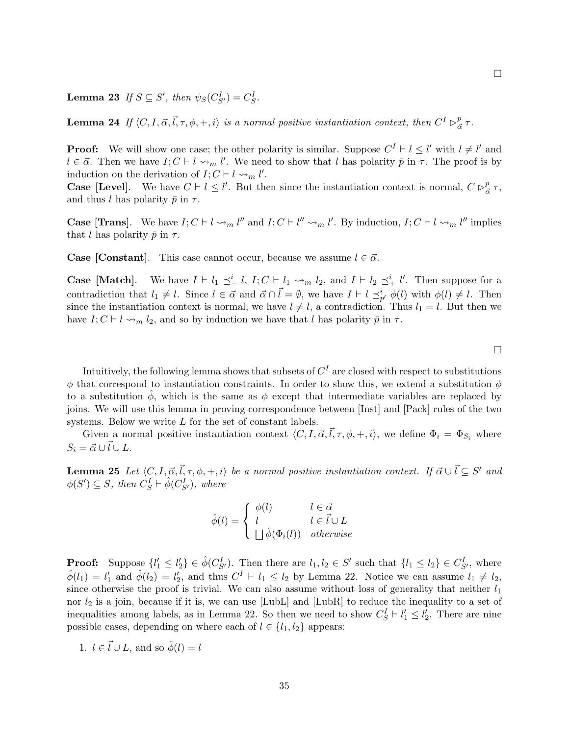**Lemma 23** If  $S \subseteq S'$ , then  $\psi_S(C_{S'}^I) = C_S^I$ .

**Lemma 24** If  $\langle C, I, \vec{\alpha}, \vec{l}, \tau, \phi, +, i \rangle$  is a normal positive instantiation context, then  $C^I \triangleright^p_{\vec{\alpha}}$  $\frac{p}{\vec{\alpha}}$   $\tau$ .

**Proof:** We will show one case; the other polarity is similar. Suppose  $C^I \vdash l \leq l'$  with  $l \neq l'$  and  $l \in \vec{\alpha}$ . Then we have  $I; C \vdash l \leadsto_m l'$ . We need to show that l has polarity  $\bar{p}$  in  $\tau$ . The proof is by induction on the derivation of  $I; C \vdash l \leadsto_m l'$ .

**Case [Level].** We have  $C \vdash l \leq l'$ . But then since the instantiation context is normal,  $C \rhd_{\overline{a}}^p$  $\frac{p}{\vec{\alpha}}\,\tau,$ and thus l has polarity  $\bar{p}$  in  $\tau$ .

**Case [Trans]**. We have  $I; C \vdash l \leadsto_m l''$  and  $I; C \vdash l'' \leadsto_m l'$ . By induction,  $I; C \vdash l \leadsto_m l''$  implies that l has polarity  $\bar{p}$  in  $\tau$ .

**Case [Constant].** This case cannot occur, because we assume  $l \in \vec{\alpha}$ .

**Case [Match]**. We have  $I \vdash l_1 \preceq_l^i l$ ,  $I; C \vdash l_1 \leadsto_m l_2$ , and  $I \vdash l_2 \preceq_l^i l'$ . Then suppose for a contradiction that  $l_1 \neq l$ . Since  $l \in \vec{\alpha}$  and  $\vec{\alpha} \cap \vec{l} = \emptyset$ , we have  $I \vdash l \preceq_{p'}^i \phi(l)$  with  $\phi(l) \neq l$ . Then since the instantiation context is normal, we have  $l \neq l$ , a contradiction. Thus  $l_1 = l$ . But then we have  $I; C \vdash l \leadsto_m l_2$ , and so by induction we have that l has polarity  $\bar{p}$  in  $\tau$ .

 $\Box$ 

Intuitively, the following lemma shows that subsets of  $C^{I}$  are closed with respect to substitutions  $\phi$  that correspond to instantiation constraints. In order to show this, we extend a substitution  $\phi$ to a substitution  $\phi$ , which is the same as  $\phi$  except that intermediate variables are replaced by joins. We will use this lemma in proving correspondence between [Inst] and [Pack] rules of the two systems. Below we write L for the set of constant labels.

Given a normal positive instantiation context  $\langle C, I, \vec{\alpha}, \vec{l}, \tau, \phi, +, i \rangle$ , we define  $\Phi_i = \Phi_{S_i}$  where  $S_i = \vec{\alpha} \cup \vec{l} \cup L.$ 

**Lemma 25** Let  $\langle C, I, \vec{\alpha}, \vec{l}, \tau, \phi, +, i \rangle$  be a normal positive instantiation context. If  $\vec{\alpha} \cup \vec{l} \subseteq S'$  and  $\phi(S') \subseteq S$ , then  $C_S^I \vdash \hat{\phi}(C_{S'}^I)$ , where

$$
\hat{\phi}(l) = \begin{cases} \phi(l) & l \in \vec{\alpha} \\ l & l \in \vec{l} \cup L \\ \Box \hat{\phi}(\Phi_i(l)) & otherwise \end{cases}
$$

**Proof:** Suppose  $\{l'_1 \leq l'_2\} \in \hat{\phi}(C_{S'}^I)$ . Then there are  $l_1, l_2 \in S'$  such that  $\{l_1 \leq l_2\} \in C_{S'}^I$ , where  $\hat{\phi}(l_1) = l'_1$  and  $\hat{\phi}(l_2) = l'_2$ , and thus  $C^I \vdash l_1 \leq l_2$  by Lemma 22. Notice we can assume  $l_1 \neq l_2$ , since otherwise the proof is trivial. We can also assume without loss of generality that neither  $l_1$ nor  $l_2$  is a join, because if it is, we can use [LubL] and [LubR] to reduce the inequality to a set of inequalities among labels, as in Lemma 22. So then we need to show  $C_S^I \vdash l'_1 \leq l'_2$ . There are nine possible cases, depending on where each of  $l \in \{l_1, l_2\}$  appears:

1.  $l \in \vec{l} \cup L$ , and so  $\hat{\phi}(l) = l$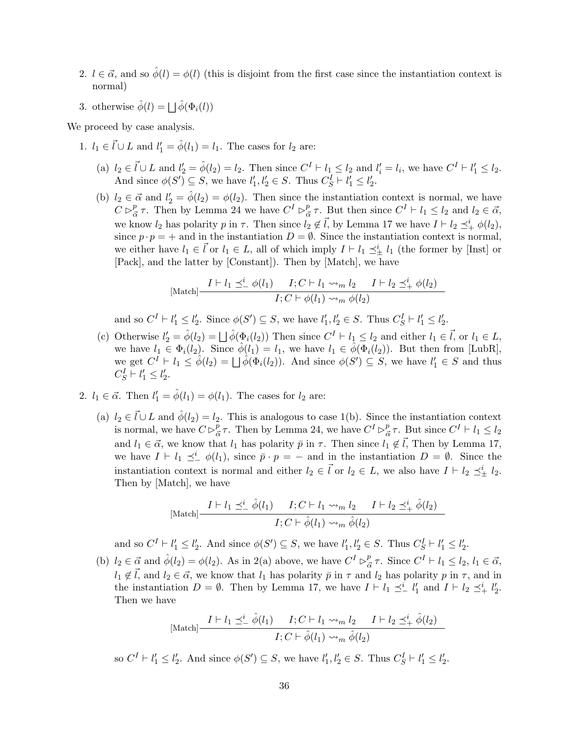- 2.  $l \in \vec{\alpha}$ , and so  $\hat{\phi}(l) = \phi(l)$  (this is disjoint from the first case since the instantiation context is normal)
- 3. otherwise  $\hat{\phi}(l) = \bigsqcup \hat{\phi}(\Phi_i(l))$

We proceed by case analysis.

- 1.  $l_1 \in \vec{l} \cup L$  and  $l'_1 = \hat{\phi}(l_1) = l_1$ . The cases for  $l_2$  are:
	- (a)  $l_2 \in \vec{l} \cup L$  and  $l'_2 = \hat{\phi}(l_2) = l_2$ . Then since  $C^I \vdash l_1 \leq l_2$  and  $l'_i = l_i$ , we have  $C^I \vdash l'_1 \leq l_2$ . And since  $\phi(S') \subseteq S$ , we have  $l'_1, l'_2 \in S$ . Thus  $C_S^I \vdash l'_1 \leq l'_2$ .
	- (b)  $l_2 \in \vec{\alpha}$  and  $l'_2 = \hat{\phi}(l_2) = \phi(l_2)$ . Then since the instantiation context is normal, we have  $C \rhd_{\bar{\alpha}}^p$  $\frac{p}{\alpha}$   $\tau$ . Then by Lemma 24 we have  $C^{I} \triangleright_{\bar{\alpha}}^{p}$  $\frac{p}{\vec{\alpha}} \tau$ . But then since  $C^I \vdash l_1 \leq l_2$  and  $l_2 \in \vec{\alpha}$ , we know  $l_2$  has polarity p in  $\tau$ . Then since  $l_2 \notin \vec{l}$ , by Lemma 17 we have  $I \vdash l_2 \preceq^i_{+} \phi(l_2)$ , since  $p \cdot p = +$  and in the instantiation  $D = \emptyset$ . Since the instantiation context is normal, we either have  $l_1 \in \vec{l}$  or  $l_1 \in L$ , all of which imply  $I \vdash l_1 \preceq^i_{\pm} l_1$  (the former by [Inst] or [Pack], and the latter by [Constant]). Then by [Match], we have

$$
\text{[Match]}\frac{I \vdash l_1 \preceq^i_\text{--} \phi(l_1) \qquad I; C \vdash l_1 \leadsto_m l_2 \qquad I \vdash l_2 \preceq^i_\text{+} \phi(l_2)}{I; C \vdash \phi(l_1) \leadsto_m \phi(l_2)}
$$

and so  $C^I \vdash l'_1 \leq l'_2$ . Since  $\phi(S') \subseteq S$ , we have  $l'_1, l'_2 \in S$ . Thus  $C_S^I \vdash l'_1 \leq l'_2$ .

- (c) Otherwise  $l'_2 = \hat{\phi}(l_2) = \bigsqcup \hat{\phi}(\Phi_i(l_2))$  Then since  $C^I \vdash l_1 \leq l_2$  and either  $l_1 \in \vec{l}$ , or  $l_1 \in L$ , we have  $l_1 \in \Phi_i(l_2)$ . Since  $\hat{\phi}(l_1) = l_1$ , we have  $l_1 \in \hat{\phi}(\Phi_i(l_2))$ . But then from [LubR], we get  $C^I \vdash l_1 \leq \hat{\phi}(l_2) = \bigsqcup \hat{\phi}(\Phi_i(l_2)).$  And since  $\phi(S') \subseteq S$ , we have  $l'_1 \in S$  and thus  $C_S^I \vdash l'_1 \leq l'_2.$
- 2.  $l_1 \in \vec{\alpha}$ . Then  $l'_1 = \hat{\phi}(l_1) = \phi(l_1)$ . The cases for  $l_2$  are:
	- (a)  $l_2 \in \vec{l} \cup L$  and  $\hat{\phi}(l_2) = l_2$ . This is analogous to case 1(b). Since the instantiation context is normal, we have  $C \triangleright^p_{\bar{\rho}}$  $\frac{p}{\vec{\alpha}}\tau$ . Then by Lemma 24, we have  $C^{I} \rhd_{\vec{\alpha}}^{p}$  $\frac{p}{\vec{\alpha}} \tau$ . But since  $C^I \vdash l_1 \leq l_2$ and  $l_1 \in \vec{\alpha}$ , we know that  $l_1$  has polarity  $\bar{p}$  in  $\tau$ . Then since  $l_1 \notin \vec{l}$ , Then by Lemma 17, we have  $I \vdash l_1 \preceq^i \phi(l_1)$ , since  $\bar{p} \cdot p = -$  and in the instantiation  $D = \emptyset$ . Since the instantiation context is normal and either  $l_2 \in \vec{l}$  or  $l_2 \in L$ , we also have  $I \vdash l_2 \preceq^i_{\pm} l_2$ . Then by [Match], we have

$$
\text{[Match]}\frac{I \vdash l_1 \preceq^i_{-} \hat{\phi}(l_1) \qquad I; C \vdash l_1 \leadsto_m l_2 \qquad I \vdash l_2 \preceq^i_{+} \hat{\phi}(l_2)}{I; C \vdash \hat{\phi}(l_1) \leadsto_m \hat{\phi}(l_2)}
$$

and so  $C^I \vdash l'_1 \leq l'_2$ . And since  $\phi(S') \subseteq S$ , we have  $l'_1, l'_2 \in S$ . Thus  $C_S^I \vdash l'_1 \leq l'_2$ .

(b)  $l_2 \in \vec{\alpha}$  and  $\hat{\phi}(l_2) = \phi(l_2)$ . As in 2(a) above, we have  $C^I \triangleright^p_{\vec{\alpha}}$  $_{\vec{\alpha}}^p \tau$ . Since  $C^I \vdash l_1 \leq l_2, l_1 \in \vec{\alpha}$ ,  $l_1 \notin \vec{l}$ , and  $l_2 \in \vec{\alpha}$ , we know that  $l_1$  has polarity  $\vec{p}$  in  $\tau$  and  $l_2$  has polarity  $p$  in  $\tau$ , and in the instantiation  $D = \emptyset$ . Then by Lemma 17, we have  $I \vdash l_1 \preceq_l^i l'_1$  and  $I \vdash l_2 \preceq_l^i l'_2$ . Then we have

$$
\text{[Match]} \frac{I \vdash l_1 \preceq^i_{-} \hat{\phi}(l_1) \qquad I; C \vdash l_1 \leadsto_m l_2 \qquad I \vdash l_2 \preceq^i_{+} \hat{\phi}(l_2)}{I; C \vdash \hat{\phi}(l_1) \leadsto_m \hat{\phi}(l_2)}
$$

so  $C^I \vdash l'_1 \leq l'_2$ . And since  $\phi(S') \subseteq S$ , we have  $l'_1, l'_2 \in S$ . Thus  $C_S^I \vdash l'_1 \leq l'_2$ .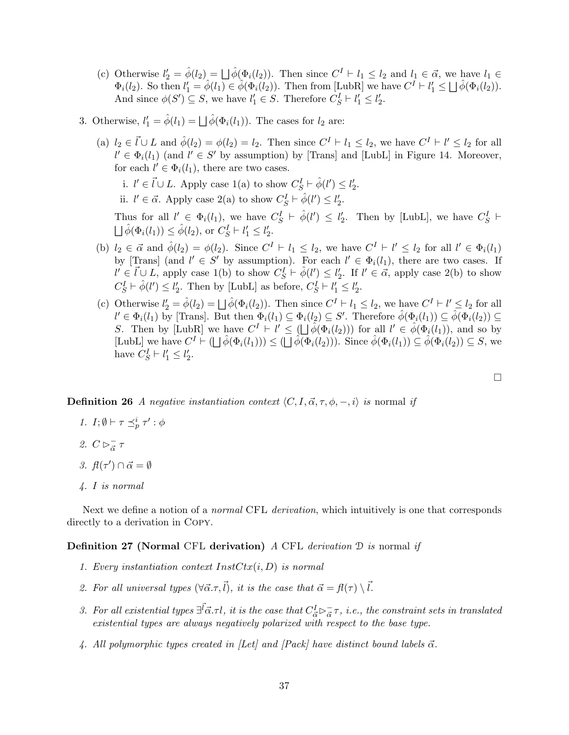- (c) Otherwise  $l'_2 = \hat{\phi}(l_2) = \bigsqcup \hat{\phi}(\Phi_i(l_2))$ . Then since  $C^I \vdash l_1 \leq l_2$  and  $l_1 \in \vec{\alpha}$ , we have  $l_1 \in \vec{\alpha}$  $\Phi_i(l_2)$ . So then  $l'_1 = \hat{\phi}(l_1) \in \hat{\phi}(\Phi_i(l_2))$ . Then from [LubR] we have  $C^I \vdash l'_1 \leq \bigsqcup \hat{\phi}(\Phi_i(l_2))$ . And since  $\phi(S') \subseteq S$ , we have  $l'_1 \in S$ . Therefore  $C_S^I \vdash l'_1 \leq l'_2$ .
- 3. Otherwise,  $l'_1 = \hat{\phi}(l_1) = \bigsqcup \hat{\phi}(\Phi_i(l_1))$ . The cases for  $l_2$  are:
	- (a)  $l_2 \in \vec{l} \cup L$  and  $\hat{\phi}(l_2) = \phi(l_2) = l_2$ . Then since  $C^I \vdash l_1 \leq l_2$ , we have  $C^I \vdash l' \leq l_2$  for all  $l' \in \Phi_i(l_1)$  (and  $l' \in S'$  by assumption) by [Trans] and [LubL] in Figure 14. Moreover, for each  $l' \in \Phi_i(l_1)$ , there are two cases.

i.  $l' \in \vec{l} \cup L$ . Apply case 1(a) to show  $C_S^I \vdash \hat{\phi}(l') \leq l'_2$ .

ii.  $l' \in \vec{\alpha}$ . Apply case 2(a) to show  $C_S^I \vdash \hat{\phi}(l') \leq l'_2$ .

Thus for all  $l' \in \Phi_i(l_1)$ , we have  $C_S^I \vdash \hat{\phi}(l') \leq l'_2$ . Then by [LubL], we have  $C_S^I \vdash$  $\bigsqcup \hat{\phi}(\Phi_i(l_1)) \leq \hat{\phi}(l_2)$ , or  $C_S^I \vdash l'_1 \leq l'_2$ .

- (b)  $l_2 \in \vec{\alpha}$  and  $\hat{\phi}(l_2) = \phi(l_2)$ . Since  $C^I \vdash l_1 \leq l_2$ , we have  $C^I \vdash l' \leq l_2$  for all  $l' \in \Phi_i(l_1)$ by [Trans] (and  $l' \in S'$  by assumption). For each  $l' \in \Phi_i(l_1)$ , there are two cases. If  $l' \in \vec{l} \cup L$ , apply case 1(b) to show  $C_S^{\vec{l}} \vdash \hat{\phi}(l') \leq l'_2$ . If  $l' \in \vec{\alpha}$ , apply case 2(b) to show  $C_S^I \vdash \hat{\phi}(l') \leq l'_2$ . Then by [LubL] as before,  $C_S^I \vdash l'_1 \leq l'_2$ .
- (c) Otherwise  $l'_2 = \hat{\phi}(l_2) = \bigsqcup \hat{\phi}(\Phi_i(l_2))$ . Then since  $C^I \vdash l_1 \leq l_2$ , we have  $C^I \vdash l' \leq l_2$  for all  $l' \in \Phi_i(l_1)$  by [Trans]. But then  $\Phi_i(l_1) \subseteq \Phi_i(l_2) \subseteq S'$ . Therefore  $\hat{\phi}(\Phi_i(l_1)) \subseteq \hat{\phi}(\Phi_i(l_2)) \subseteq S'$ . S. Then by [LubR] we have  $C^I \vdash l' \leq (\bigsqcup \hat{\phi}(\Phi_i(l_2)))$  for all  $l' \in \hat{\phi}(\Phi_i(l_1))$ , and so by [LubL] we have  $C^I \vdash (\bigsqcup \hat{\phi}(\Phi_i(l_1))) \leq (\bigsqcup \hat{\phi}(\Phi_i(l_2)))$ . Since  $\hat{\phi}(\Phi_i(l_1)) \subseteq \hat{\phi}(\Phi_i(l_2)) \subseteq S$ , we have  $C_S^I \vdash l'_1 \leq l'_2$ .

 $\Box$ 

**Definition 26** A negative instantiation context  $\langle C, I, \vec{\alpha}, \tau, \phi, -, i \rangle$  is normal if

- 1.  $I; \emptyset \vdash \tau \preceq^i_p \tau' : \phi$
- 2.  $C \rhd_{\vec{\alpha}}^ \overline{\vec{\alpha}}$   $\tau$
- 3.  $f(\tau') \cap \vec{\alpha} = \emptyset$
- 4. I is normal

Next we define a notion of a *normal* CFL *derivation*, which intuitively is one that corresponds directly to a derivation in Copy.

**Definition 27 (Normal CFL derivation)** A CFL derivation  $\mathcal{D}$  is normal if

- 1. Every instantiation context  $InstCtx(i, D)$  is normal
- 2. For all universal types  $(\forall \vec{\alpha}.\tau,\vec{l})$ , it is the case that  $\vec{\alpha} = f(\tau) \setminus \vec{l}$ .
- 3. For all existential types  $\exists^{\vec{l}} \vec{\alpha} \cdot \tau l$ , it is the case that  $C^I_{\vec{\alpha}} \rhd_{\vec{\alpha}}^ \frac{1}{\vec{\alpha}}\tau$ , *i.e.*, the constraint sets in translated existential types are always negatively polarized with respect to the base type.
- 4. All polymorphic types created in [Let] and [Pack] have distinct bound labels  $\vec{\alpha}$ .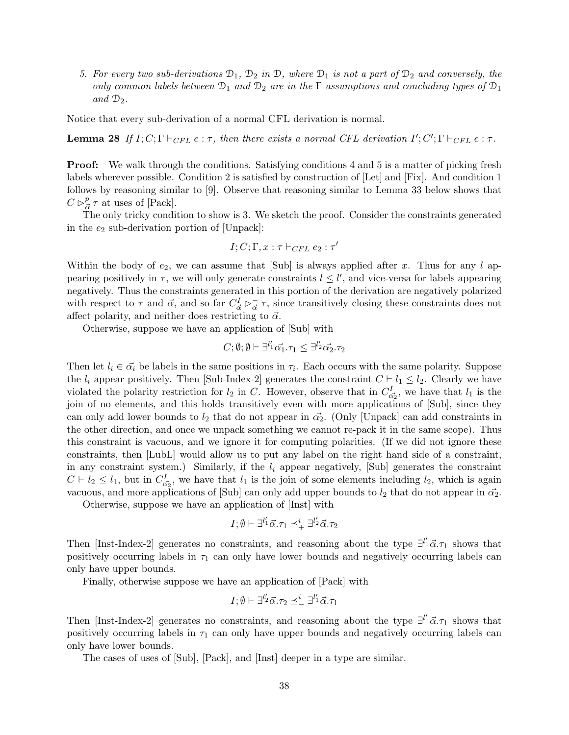5. For every two sub-derivations  $\mathcal{D}_1$ ,  $\mathcal{D}_2$  in  $\mathcal{D}_2$ , where  $\mathcal{D}_1$  is not a part of  $\mathcal{D}_2$  and conversely, the only common labels between  $\mathcal{D}_1$  and  $\mathcal{D}_2$  are in the  $\Gamma$  assumptions and concluding types of  $\mathcal{D}_1$ and  $\mathcal{D}_2$ .

Notice that every sub-derivation of a normal CFL derivation is normal.

**Lemma 28** If  $I; C; \Gamma \vdash_{CFL} e : \tau$ , then there exists a normal CFL derivation  $I'; C'; \Gamma \vdash_{CFL} e : \tau$ .

**Proof:** We walk through the conditions. Satisfying conditions 4 and 5 is a matter of picking fresh labels wherever possible. Condition 2 is satisfied by construction of [Let] and [Fix]. And condition 1 follows by reasoning similar to [9]. Observe that reasoning similar to Lemma 33 below shows that  $C \rhd_{\bar{\alpha}}^p$  $\frac{p}{\vec{\alpha}} \tau$  at uses of [Pack].

The only tricky condition to show is 3. We sketch the proof. Consider the constraints generated in the  $e_2$  sub-derivation portion of [Unpack]:

$$
I;C;\Gamma,x:\tau\vdash_{CFL} e_2:\tau'
$$

Within the body of  $e_2$ , we can assume that [Sub] is always applied after x. Thus for any l appearing positively in  $\tau$ , we will only generate constraints  $l \leq l'$ , and vice-versa for labels appearing negatively. Thus the constraints generated in this portion of the derivation are negatively polarized with respect to  $\tau$  and  $\vec{\alpha}$ , and so far  $C_{\vec{\alpha}}^I \rhd_{\vec{\alpha}}^ \frac{1}{\alpha}$   $\tau$ , since transitively closing these constraints does not affect polarity, and neither does restricting to  $\vec{\alpha}$ .

Otherwise, suppose we have an application of [Sub] with

$$
C; \emptyset; \emptyset \vdash \exists^{l'_1} \vec{\alpha_1} . \tau_1 \leq \exists^{l'_2} \vec{\alpha_2} . \tau_2
$$

Then let  $l_i \in \vec{\alpha_i}$  be labels in the same positions in  $\tau_i$ . Each occurs with the same polarity. Suppose the  $l_i$  appear positively. Then [Sub-Index-2] generates the constraint  $C \vdash l_1 \leq l_2$ . Clearly we have violated the polarity restriction for  $l_2$  in C. However, observe that in  $C_{\vec{\alpha_2}}^I$ , we have that  $l_1$  is the join of no elements, and this holds transitively even with more applications of [Sub], since they can only add lower bounds to  $l_2$  that do not appear in  $\vec{\alpha_2}$ . (Only [Unpack] can add constraints in the other direction, and once we unpack something we cannot re-pack it in the same scope). Thus this constraint is vacuous, and we ignore it for computing polarities. (If we did not ignore these constraints, then [LubL] would allow us to put any label on the right hand side of a constraint, in any constraint system.) Similarly, if the  $l_i$  appear negatively, [Sub] generates the constraint  $C \vdash l_2 \leq l_1$ , but in  $C_{\alpha_2}^I$ , we have that  $l_1$  is the join of some elements including  $l_2$ , which is again vacuous, and more applications of [Sub] can only add upper bounds to  $l_2$  that do not appear in  $\vec{\alpha_2}$ .

Otherwise, suppose we have an application of [Inst] with

$$
I; \emptyset \vdash \exists^{l'_1} \vec{\alpha}.\tau_1 \preceq^i_+ \exists^{l'_2} \vec{\alpha}.\tau_2
$$

Then [Inst-Index-2] generates no constraints, and reasoning about the type  $\exists^{l'_1} \vec{\alpha} . \tau_1$  shows that positively occurring labels in  $\tau_1$  can only have lower bounds and negatively occurring labels can only have upper bounds.

Finally, otherwise suppose we have an application of [Pack] with

$$
I;\emptyset \vdash \exists^{l'_2}\vec{\alpha}.\tau_2 \preceq^i_{-} \exists^{l'_1}\vec{\alpha}.\tau_1
$$

Then [Inst-Index-2] generates no constraints, and reasoning about the type  $\exists^{l'_1} \vec{\alpha} . \tau_1$  shows that positively occurring labels in  $\tau_1$  can only have upper bounds and negatively occurring labels can only have lower bounds.

The cases of uses of [Sub], [Pack], and [Inst] deeper in a type are similar.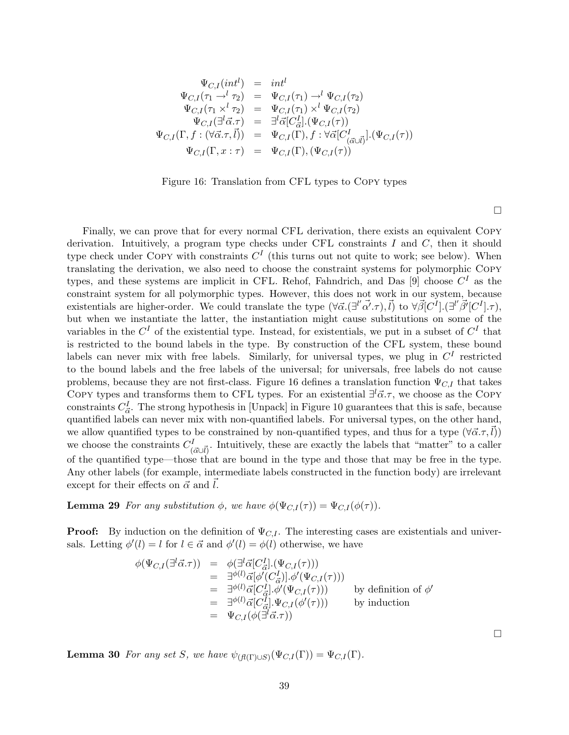$$
\Psi_{C,I}(int^{l}) = int^{l} \n\Psi_{C,I}(\tau_1 \to^l \tau_2) = \Psi_{C,I}(\tau_1) \to^l \Psi_{C,I}(\tau_2) \n\Psi_{C,I}(\tau_1 \times^l \tau_2) = \Psi_{C,I}(\tau_1) \times^l \Psi_{C,I}(\tau_2) \n\Psi_{C,I}(\exists^l \vec{\alpha}.\tau) = \exists^l \vec{\alpha} [C_{\vec{\alpha}}^I] . (\Psi_{C,I}(\tau)) \n\Psi_{C,I}(\Gamma, f : (\forall \vec{\alpha}.\tau, \vec{l})) = \Psi_{C,I}(\Gamma), f : \forall \vec{\alpha} [C_{(\vec{\alpha} \cup \vec{l})}^I] . (\Psi_{C,I}(\tau)) \n\Psi_{C,I}(\Gamma, x : \tau) = \Psi_{C,I}(\Gamma), (\Psi_{C,I}(\tau))
$$

Figure 16: Translation from CFL types to Copy types

Finally, we can prove that for every normal CFL derivation, there exists an equivalent Copy derivation. Intuitively, a program type checks under CFL constraints  $I$  and  $C$ , then it should type check under COPY with constraints  $C<sup>I</sup>$  (this turns out not quite to work; see below). When translating the derivation, we also need to choose the constraint systems for polymorphic Copy types, and these systems are implicit in CFL. Rehof, Fahndrich, and Das [9] choose  $C<sup>I</sup>$  as the constraint system for all polymorphic types. However, this does not work in our system, because existentials are higher-order. We could translate the type  $(\forall \vec{\alpha}.(\exists^{l'} \vec{\alpha'},\tau), \vec{l})$  to  $\forall \vec{\beta}[C^{\vec{l}}].(\exists^{l'} \vec{\beta'}[C^{\vec{l}}].\tau)$ , but when we instantiate the latter, the instantiation might cause substitutions on some of the variables in the  $C<sup>I</sup>$  of the existential type. Instead, for existentials, we put in a subset of  $C<sup>I</sup>$  that is restricted to the bound labels in the type. By construction of the CFL system, these bound labels can never mix with free labels. Similarly, for universal types, we plug in  $C<sup>I</sup>$  restricted to the bound labels and the free labels of the universal; for universals, free labels do not cause problems, because they are not first-class. Figure 16 defines a translation function  $\Psi_{C,I}$  that takes COPY types and transforms them to CFL types. For an existential  $\exists^{l} \vec{\alpha}.\tau$ , we choose as the COPY constraints  $C^I_{\vec{\alpha}}$ . The strong hypothesis in [Unpack] in Figure 10 guarantees that this is safe, because quantified labels can never mix with non-quantified labels. For universal types, on the other hand, we allow quantified types to be constrained by non-quantified types, and thus for a type  $(\forall \vec{\alpha}.\tau, l)$ we choose the constraints  $C^I_{(\vec{\alpha} \cup \vec{l})}$ . Intuitively, these are exactly the labels that "matter" to a caller of the quantified type—those that are bound in the type and those that may be free in the type. Any other labels (for example, intermediate labels constructed in the function body) are irrelevant except for their effects on  $\vec{\alpha}$  and  $\vec{l}$ .

**Lemma 29** For any substitution  $\phi$ , we have  $\phi(\Psi_{C,I}(\tau)) = \Psi_{C,I}(\phi(\tau)).$ 

**Proof:** By induction on the definition of  $\Psi_{C,I}$ . The interesting cases are existentials and universals. Letting  $\phi'(l) = l$  for  $l \in \vec{\alpha}$  and  $\phi'(l) = \phi(l)$  otherwise, we have

$$
\phi(\Psi_{C,I}(\exists^{l}\vec{\alpha}.\tau)) = \phi(\exists^{l}\vec{\alpha}[\vec{C}^{I}_{\vec{\alpha}}].(\Psi_{C,I}(\tau)))
$$
\n
$$
= \exists^{\phi(l)}\vec{\alpha}[\phi'(\vec{C}^{I}_{\vec{\alpha}}].\phi'(\Psi_{C,I}(\tau)))
$$
\n
$$
= \exists^{\phi(l)}\vec{\alpha}[\vec{C}^{I}_{\vec{\alpha}}].\phi'(\Psi_{C,I}(\tau)))
$$
\nby definition of  $\phi'$ \n
$$
= \exists^{\phi(l)}\vec{\alpha}[\vec{C}^{I}_{\vec{\alpha}}].\Psi_{C,I}(\phi'(\tau)))
$$
 by induction\n
$$
= \Psi_{C,I}(\phi(\exists^{l}\vec{\alpha}.\tau))
$$

**Lemma 30** For any set S, we have  $\psi_{(f(\Gamma) \cup S)}(\Psi_{C,I}(\Gamma)) = \Psi_{C,I}(\Gamma)$ .

39

 $\Box$ 

 $\Box$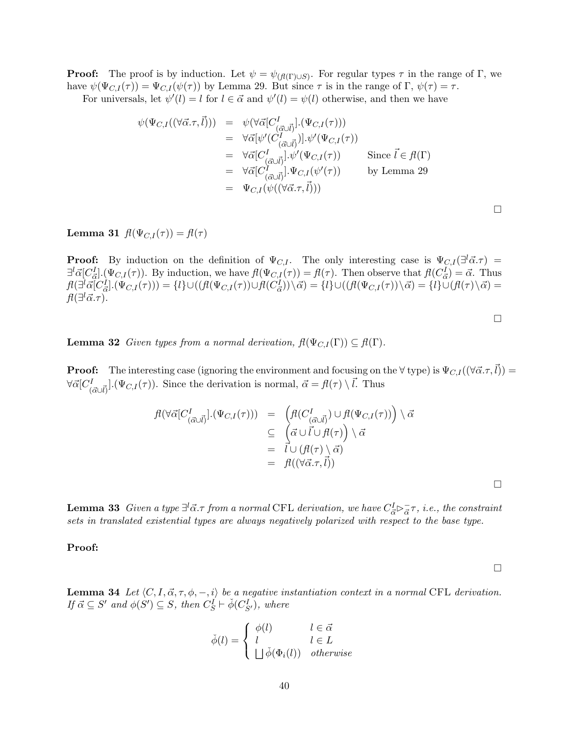**Proof:** The proof is by induction. Let  $\psi = \psi_{(f(\Gamma) \cup S)}$ . For regular types  $\tau$  in the range of  $\Gamma$ , we have  $\psi(\Psi_{C,I}(\tau)) = \Psi_{C,I}(\psi(\tau))$  by Lemma 29. But since  $\tau$  is in the range of  $\Gamma$ ,  $\psi(\tau) = \tau$ .

For universals, let  $\psi'(l) = l$  for  $l \in \vec{\alpha}$  and  $\psi'(l) = \psi(l)$  otherwise, and then we have

$$
\psi(\Psi_{C,I}((\forall \vec{\alpha}.\tau,\vec{l}))) = \psi(\forall \vec{\alpha}[C^I_{(\vec{\alpha}\cup\vec{l})}].(\Psi_{C,I}(\tau)))
$$
  
\n
$$
= \forall \vec{\alpha}[\psi'(C^I_{(\vec{\alpha}\cup\vec{l})}].\psi'(\Psi_{C,I}(\tau))
$$
  
\n
$$
= \forall \vec{\alpha}[C^I_{(\vec{\alpha}\cup\vec{l})}].\psi'(\Psi_{C,I}(\tau)) \qquad \text{Since } \vec{l} \in \mathcal{H}(\Gamma)
$$
  
\n
$$
= \forall \vec{\alpha}[C^I_{(\vec{\alpha}\cup\vec{l})}].\Psi_{C,I}(\psi'(\tau)) \qquad \text{by Lemma 29}
$$
  
\n
$$
= \Psi_{C,I}(\psi((\forall \vec{\alpha}.\tau,\vec{l})))
$$

Lemma 31  $f(\Psi_{C,I}(\tau)) = f(\tau)$ 

**Proof:** By induction on the definition of  $\Psi_{C,I}$ . The only interesting case is  $\Psi_{C,I}(\exists^{l}\vec{\alpha}.\tau)$  =  $\exists^{l} \vec{\alpha}[C_{\vec{\alpha}}^{I}](\Psi_{C,I}(\tau))$ . By induction, we have  $\vec{\mu}(\Psi_{C,I}(\tau)) = \vec{\mu}(\tau)$ . Then observe that  $\vec{\mu}(C_{\vec{\alpha}}^{I}) = \vec{\alpha}$ . Thus  $\begin{split} &f(\exists^l\vec{\alpha}[\overline{C}^I_{\vec{\alpha}}].(\Psi_{C,I}(\tau)))=\{l\}\cup((fl(\Psi_{C,I}(\tau))\cup fl(\overline{C}^I_{\vec{\alpha}}))\setminus\vec{\alpha})=\{l\}\cup((fl(\Psi_{C,I}(\tau))\setminus\vec{\alpha})=\{l\}\cup(fl(\tau)\setminus\vec{\alpha})=\{l\}\cup(f\setminus\vec{\alpha})\} \end{split}$  $\mathit{fl}(\exists^l\vec{\alpha}.\tau).$ 

 $\Box$ 

**Lemma 32** Given types from a normal derivation,  $f(\Psi_{C,I}(\Gamma)) \subseteq f(\Gamma)$ .

**Proof:** The interesting case (ignoring the environment and focusing on the  $\forall$  type) is  $\Psi_{C,I}((\forall \vec{\alpha}. \tau, \vec{l}))$  =  $\forall \vec{\alpha} [C^I_{(\vec{\alpha} \cup \vec{l})}] . (\Psi_{C,I}(\tau))$ . Since the derivation is normal,  $\vec{\alpha} = \vec{\mu}(\tau) \setminus \vec{l}$ . Thus

$$
\begin{array}{rcl}\n\mathit{fl}(\forall \vec{\alpha} [C^I_{(\vec{\alpha} \cup \vec{l})}] . (\Psi_{C,I}(\tau))) & = & \left( \mathit{fl}(C^I_{(\vec{\alpha} \cup \vec{l})}) \cup \mathit{fl}(\Psi_{C,I}(\tau)) \right) \setminus \vec{\alpha} \\
& \subseteq & \left( \vec{\alpha} \cup \vec{l} \cup \mathit{fl}(\tau) \right) \setminus \vec{\alpha} \\
& = & \vec{l} \cup (\mathit{fl}(\tau) \setminus \vec{\alpha}) \\
& = & \mathit{fl}((\forall \vec{\alpha} \cdot \tau, \vec{l}))\n\end{array}
$$

**Lemma 33** Given a type  $\exists^{l} \vec{\alpha}$ . $\tau$  from a normal CFL derivation, we have  $C_{\vec{\alpha}}^{I} \rhd_{\vec{\alpha}}^{-}$  $\frac{1}{\vec{\alpha}}\tau$ , *i.e.*, the constraint sets in translated existential types are always negatively polarized with respect to the base type.

Proof:

 $\Box$ 

 $\Box$ 

**Lemma 34** Let  $\langle C, I, \vec{\alpha}, \tau, \phi, -, i \rangle$  be a negative instantiation context in a normal CFL derivation. If  $\vec{\alpha} \subseteq S'$  and  $\phi(S') \subseteq S$ , then  $C_S^I \vdash \check{\phi}(C_{S'}^I)$ , where

$$
\check{\phi}(l) = \begin{cases} \phi(l) & l \in \vec{\alpha} \\ l & l \in L \\ \Box \check{\phi}(\Phi_i(l)) & otherwise \end{cases}
$$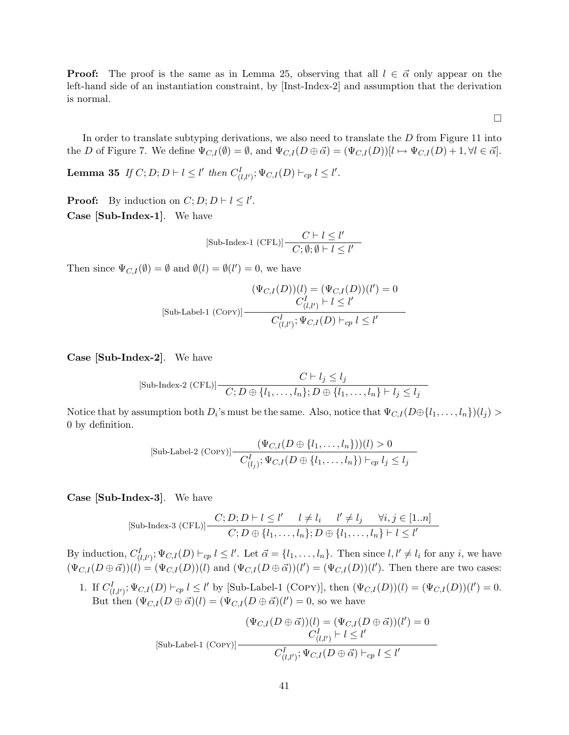**Proof:** The proof is the same as in Lemma 25, observing that all  $l \in \vec{\alpha}$  only appear on the left-hand side of an instantiation constraint, by [Inst-Index-2] and assumption that the derivation is normal.

 $\Box$ 

In order to translate subtyping derivations, we also need to translate the  $D$  from Figure 11 into the D of Figure 7. We define  $\Psi_{C,I}(\emptyset) = \emptyset$ , and  $\Psi_{C,I}(D \oplus \vec{\alpha}) = (\Psi_{C,I}(D))[l \mapsto \Psi_{C,I}(D) + 1, \forall l \in \vec{\alpha}].$ 

Lemma 35 If  $C; D; D \vdash l \leq l'$  then  $C_{(l,l')}^I; \Psi_{C,I}(D) \vdash_{cp} l \leq l'.$ 

**Proof:** By induction on  $C; D; D \vdash l \leq l'$ . Case [Sub-Index-1]. We have

$$
[\text{Sub-Index-1 (CFL)]} \frac{C \vdash l \leq l'}{C; \emptyset; \emptyset \vdash l \leq l'}
$$

Then since  $\Psi_{C,I}(\emptyset) = \emptyset$  and  $\emptyset(l) = \emptyset(l') = 0$ , we have

$$
(\Psi_{C,I}(D))(l) = (\Psi_{C,I}(D))(l') = 0
$$
  
[Sub-Label-1 (Copy)]
$$
\frac{C_{(l,l')}^I \vdash l \le l'}{C_{(l,l')}^I; \Psi_{C,I}(D) \vdash_{cp} l \le l'}
$$

Case [Sub-Index-2]. We have

$$
[\text{Sub-Index-2 (CFL)]} \frac{C \vdash l_j \le l_j}{C; D \oplus \{l_1, \dots, l_n\}; D \oplus \{l_1, \dots, l_n\} \vdash l_j \le l_j}
$$

Notice that by assumption both  $D_i$ 's must be the same. Also, notice that  $\Psi_{C,I}(D\oplus\{l_1,\ldots,l_n\})(l_j)$ 0 by definition.

$$
[\text{Sub-Label-2 (Copy)}] \frac{(\Psi_{C,I}(D \oplus \{l_1,\ldots,l_n\}))(l) > 0}{C_{(l_j)}^I; \Psi_{C,I}(D \oplus \{l_1,\ldots,l_n\}) \vdash_{cp} l_j \leq l_j}
$$

Case [Sub-Index-3]. We have

$$
[\text{Sub-Index-3 (CFL)}] \frac{C; D; D \vdash l \leq l' \quad l \neq l_i \quad l' \neq l_j \quad \forall i, j \in [1..n]}{C; D \oplus \{l_1, \dots, l_n\}; D \oplus \{l_1, \dots, l_n\} \vdash l \leq l'}
$$

By induction,  $C_{(l,l')}^I$ ;  $\Psi_{C,I}(D) \vdash_{cp} l \leq l'$ . Let  $\vec{\alpha} = \{l_1,\ldots,l_n\}$ . Then since  $l,l' \neq l_i$  for any i, we have  $(\Psi_{C,I}(D \oplus \vec{\alpha}))(l) = (\Psi_{C,I}(D))(l)$  and  $(\Psi_{C,I}(D \oplus \vec{\alpha}))(l') = (\Psi_{C,I}(D))(l')$ . Then there are two cases:

1. If  $C_{(l,l')}^I$ ;  $\Psi_{C,I}(D) \vdash_{cp} l \leq l'$  by [Sub-Label-1 (COPY)], then  $(\Psi_{C,I}(D))(l) = (\Psi_{C,I}(D))(l') = 0$ . But then  $(\Psi_{C,I}(D \oplus \vec{\alpha})(l) = (\Psi_{C,I}(D \oplus \vec{\alpha})(l')) = 0$ , so we have

$$
(\Psi_{C,I}(D \oplus \vec{\alpha}))(l) = (\Psi_{C,I}(D \oplus \vec{\alpha}))(l') = 0
$$
  
[Sub-Label-1 (Copy)]
$$
\frac{C_{(l,l')}^I \vdash l \leq l'}{C_{(l,l')}^I; \Psi_{C,I}(D \oplus \vec{\alpha}) \vdash_{cp} l \leq l'}
$$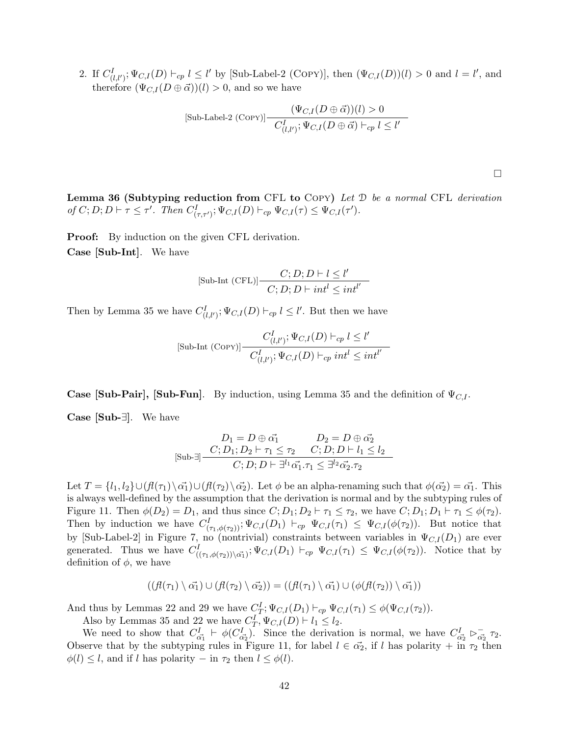2. If  $C_{(l,l')}^I$ ;  $\Psi_{C,I}(D) \vdash_{cp} l \leq l'$  by [Sub-Label-2 (COPY)], then  $(\Psi_{C,I}(D))(l) > 0$  and  $l = l'$ , and therefore  $(\Psi_{C,I}(D \oplus \vec{\alpha}))$  (*l*) > 0, and so we have

$$
[\text{Sub-Label-2 (Copy)}] \frac{(\Psi_{C,I}(D \oplus \vec{\alpha}))(l) > 0}{C_{(l,l')}^I; \Psi_{C,I}(D \oplus \vec{\alpha}) \vdash_{cp} l \leq l'}
$$

 $\Box$ 

**Lemma 36 (Subtyping reduction from CFL to COPY)** Let  $\mathcal{D}$  be a normal CFL derivation of  $C; D; D \vdash \tau \leq \tau'.$  Then  $C^I_{(\tau, \tau')}; \Psi_{C,I}(D) \vdash_{cp} \Psi_{C,I}(\tau) \leq \Psi_{C,I}(\tau').$ 

Proof: By induction on the given CFL derivation. Case [Sub-Int]. We have

$$
[\text{Sub-Int (CFL)]} \frac{C; D; D \vdash l \leq l'}{C; D; D \vdash int^{l} \leq int^{l'}}
$$

Then by Lemma 35 we have  $C_{(l,l')}^I$ ;  $\Psi_{C,I}(D) \vdash_{cp} l \leq l'$ . But then we have

$$
[\text{Sub-Int (COPY)}] \frac{C_{(l,l')}^I \colon \Psi_{C,I}(D) \vdash_{cp} l \le l'}{C_{(l,l')}^I \colon \Psi_{C,I}(D) \vdash_{cp} int^l \le int^{l'}}
$$

**Case [Sub-Pair], [Sub-Fun].** By induction, using Lemma 35 and the definition of  $\Psi_{C,I}$ .

Case [Sub-∃]. We have

$$
D_1 = D \oplus \alpha_1^* \n D_2 = D \oplus \alpha_2^*
$$
  
\n
$$
[Sub\text{-} \exists ] \frac{C; D_1; D_2 \vdash \tau_1 \le \tau_2 \quad C; D; D \vdash l_1 \le l_2}{C; D; D \vdash \exists^{l_1} \alpha_1^*.\tau_1 \le \exists^{l_2} \alpha_2^*.\tau_2}
$$

Let  $T = \{l_1, l_2\} \cup (f(\ell(\tau_1)\backslash \vec{\alpha_1}) \cup (f(\ell(\tau_2)\backslash \vec{\alpha_2})$ . Let  $\phi$  be an alpha-renaming such that  $\phi(\vec{\alpha_2}) = \vec{\alpha_1}$ . This is always well-defined by the assumption that the derivation is normal and by the subtyping rules of Figure 11. Then  $\phi(D_2) = D_1$ , and thus since  $C; D_1; D_2 \vdash \tau_1 \leq \tau_2$ , we have  $C; D_1; D_1 \vdash \tau_1 \leq \phi(\tau_2)$ . Then by induction we have  $C^I_{(\tau_1,\phi(\tau_2))}$ ;  $\Psi_{C,I}(D_1) \vdash_{cp} \Psi_{C,I}(\tau_1) \leq \Psi_{C,I}(\phi(\tau_2))$ . But notice that by [Sub-Label-2] in Figure 7, no (nontrivial) constraints between variables in  $\Psi_{C,I}(D_1)$  are ever generated. Thus we have  $C^I_{((\tau_1,\phi(\tau_2))\setminus\vec{\alpha_1})}$ ;  $\Psi_{C,I}(D_1) \vdash_{cp} \Psi_{C,I}(\tau_1) \leq \Psi_{C,I}(\phi(\tau_2))$ . Notice that by definition of  $\phi$ , we have

$$
((\textit{fl}(\tau_1) \setminus \vec{\alpha_1}) \cup (\textit{fl}(\tau_2) \setminus \vec{\alpha_2})) = ((\textit{fl}(\tau_1) \setminus \vec{\alpha_1}) \cup (\phi(\textit{fl}(\tau_2)) \setminus \vec{\alpha_1}))
$$

And thus by Lemmas 22 and 29 we have  $C_T^I$ ;  $\Psi_{C,I}(D_1) \vdash_{cp} \Psi_{C,I}(\tau_1) \leq \phi(\Psi_{C,I}(\tau_2)).$ 

Also by Lemmas 35 and 22 we have  $C_T^I, \Psi_{C,I}(D) \vdash l_1 \leq l_2$ .

We need to show that  $C_{\vec{\alpha_1}}^I \vdash \phi(C_{\vec{\alpha_2}}^I)$ . Since the derivation is normal, we have  $C_{\vec{\alpha_2}}^I \rhd_{\vec{\alpha_2}}^ \bar{a_2}$   $\tau_2$ . Observe that by the subtyping rules in Figure 11, for label  $l \in \vec{\alpha_2}$ , if l has polarity + in  $\tau_2$  then  $\phi(l) \leq l$ , and if l has polarity – in  $\tau_2$  then  $l \leq \phi(l)$ .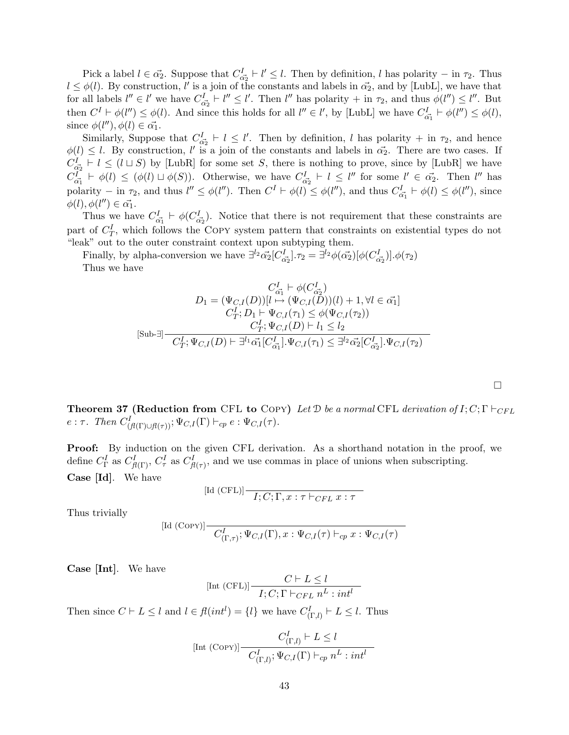Pick a label  $l \in \vec{\alpha_2}$ . Suppose that  $C_{\vec{\alpha_2}}^I \vdash l' \leq l$ . Then by definition, l has polarity – in  $\tau_2$ . Thus  $l \leq \phi(l)$ . By construction, l' is a join of the constants and labels in  $\vec{\alpha_2}$ , and by [LubL], we have that for all labels  $l'' \in l'$  we have  $C_{\vec{\alpha_2}}^I \vdash l'' \leq l'$ . Then  $l''$  has polarity  $+$  in  $\tau_2$ , and thus  $\phi(l'') \leq l''$ . But then  $C^I \vdash \phi(l'') \leq \phi(l)$ . And since this holds for all  $l'' \in l'$ , by [LubL] we have  $C^I_{\vec{\alpha_1}} \vdash \phi(l'') \leq \phi(l)$ , since  $\phi(l''), \phi(l) \in \vec{\alpha_1}.$ 

Similarly, Suppose that  $C_{\alpha_2}^I \vdash l \leq l'$ . Then by definition, l has polarity + in  $\tau_2$ , and hence  $\phi(l) \leq l$ . By construction, l' is a join of the constants and labels in  $\vec{\alpha_2}$ . There are two cases. If  $C_{\vec{\alpha_2}}^I \vdash l \leq (l \sqcup S)$  by [LubR] for some set S, there is nothing to prove, since by [LubR] we have  $C_{\vec{\alpha_1}}^I \vdash \phi(l) \leq (\phi(l) \sqcup \phi(S)).$  Otherwise, we have  $C_{\vec{\alpha_2}}^I \vdash l \leq l''$  for some  $l' \in \vec{\alpha_2}$ . Then  $l''$  has polarity – in  $\tau_2$ , and thus  $l'' \leq \phi(l'')$ . Then  $C^I \vdash \phi(l) \leq \phi(l'')$ , and thus  $C^I_{\vec{\alpha_1}} \vdash \phi(l) \leq \phi(l'')$ , since  $\phi(l), \phi(l'') \in \vec{\alpha_1}.$ 

Thus we have  $C_{\vec{\alpha_1}}^I \vdash \phi(C_{\vec{\alpha_2}}^I)$ . Notice that there is not requirement that these constraints are part of  $C_T^I$ , which follows the COPY system pattern that constraints on existential types do not "leak" out to the outer constraint context upon subtyping them.

Finally, by alpha-conversion we have  $\exists^{l_2} \vec{\alpha_2} [C_{\vec{\alpha_2}}^I] \cdot \tau_2 = \exists^{l_2} \phi(\vec{\alpha_2}) [\phi(C_{\vec{\alpha_2}}^I)] \cdot \phi(\tau_2)$ Thus we have

$$
C_{\vec{\alpha_1}}^I \vdash \phi(C_{\vec{\alpha_2}}^I)
$$
\n
$$
D_1 = (\Psi_{C,I}(D))[l \mapsto (\Psi_{C,I}(D))(l) + 1, \forall l \in \vec{\alpha_1}]
$$
\n
$$
C_T^I; D_1 \vdash \Psi_{C,I}(\tau_1) \le \phi(\Psi_{C,I}(\tau_2))
$$
\n
$$
C_T^I; \Psi_{C,I}(D) \vdash l_1 \le l_2
$$
\n
$$
C_T^I; \Psi_{C,I}(D) \vdash \exists^{l_1} \vec{\alpha_1} [C_{\vec{\alpha_1}}^I].\Psi_{C,I}(\tau_1) \le \exists^{l_2} \vec{\alpha_2} [C_{\vec{\alpha_2}}^I].\Psi_{C,I}(\tau_2)
$$

**Theorem 37 (Reduction from CFL to COPY)** Let  $\mathcal{D}$  be a normal CFL derivation of  $I; C; \Gamma \vdash_{CFL}$  $e: \tau$ . Then  $C^I_{(f(\Gamma)\cup f(\tau))}$ ;  $\Psi_{C,I}(\Gamma) \vdash_{cp} e: \Psi_{C,I}(\tau)$ .

 $\Box$ 

Proof: By induction on the given CFL derivation. As a shorthand notation in the proof, we define  $C_{\Gamma}^{I}$  as  $C_{\beta(\Gamma)}^{I}$ ,  $C_{\tau}^{I}$  as  $C_{\beta(\tau)}^{I}$ , and we use commas in place of unions when subscripting. Case [Id]. We have

$$
\text{[Id (CFL)]} \frac{1}{I;C;\Gamma,x:\tau \vdash_{CFL} x:\tau}
$$

Thus trivially

$$
\left[\text{Id } (\text{Copy})\right] \quad \overline{C^I_{(\Gamma,\tau)}; \Psi_{C,I}(\Gamma), x : \Psi_{C,I}(\tau) \vdash_{cp} x : \Psi_{C,I}(\tau)}
$$

Case [Int]. We have

$$
[\text{Int (CFL)}] \frac{C \vdash L \leq l}{I; C; \Gamma \vdash_{CFL} n^L : int^l}
$$

Then since  $C \vdash L \leq l$  and  $l \in \mathcal{H}(int^{l}) = \{l\}$  we have  $C_{(\Gamma,l)}^{I} \vdash L \leq l$ . Thus

$$
\text{[Int (CoPY)]} \frac{C^I_{(\Gamma,l)} \vdash L \le l}{C^I_{(\Gamma,l)}; \Psi_{C,I}(\Gamma) \vdash_{cp} n^L : int^l}
$$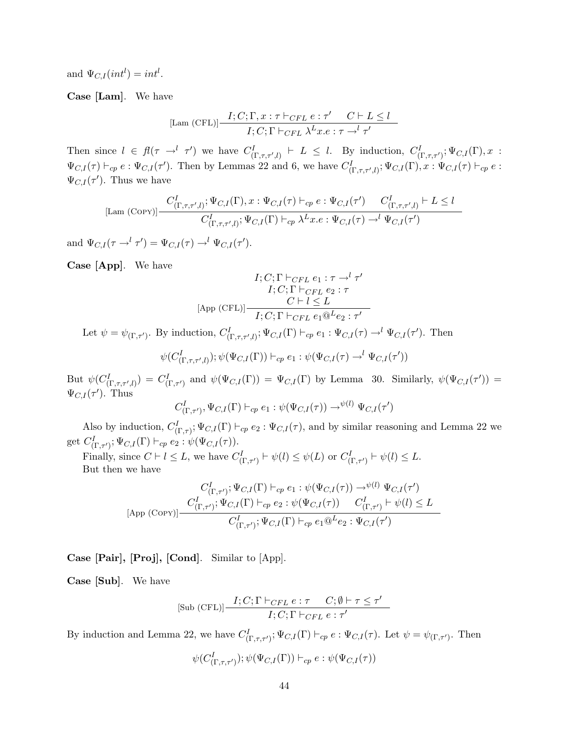and  $\Psi_{C,I}(int^l) = int^l$ .

Case [Lam]. We have

$$
\text{[Lam (CFL)]} \frac{I; C; \Gamma, x: \tau \vdash_{CFL} e: \tau' \quad C \vdash L \le l}{I; C; \Gamma \vdash_{CFL} \lambda^L x. e: \tau \rightarrow^l \tau'}
$$

Then since  $l \in fl(\tau \to^l \tau')$  we have  $C^I_{(\Gamma,\tau,\tau',l)} \vdash L \leq l$ . By induction,  $C^I_{(\Gamma,\tau,\tau')}$ ;  $\Psi_{C,I}(\Gamma),x$ :  $\Psi_{C,I}(\tau) \vdash_{cp} e : \Psi_{C,I}(\tau')$ . Then by Lemmas 22 and 6, we have  $C^I_{(\Gamma,\tau,\tau',l)}$ ;  $\Psi_{C,I}(\Gamma), x : \Psi_{C,I}(\tau) \vdash_{cp} e$ :  $\Psi_{C,I}(\tau')$ . Thus we have

$$
\text{[Lam (COPY)]} \frac{C_{(\Gamma,\tau,\tau',l)}^I; \Psi_{C,I}(\Gamma), x : \Psi_{C,I}(\tau) \vdash_{cp} e : \Psi_{C,I}(\tau') \quad C_{(\Gamma,\tau,\tau',l)}^I \vdash L \le l}{C_{(\Gamma,\tau,\tau',l)}^I; \Psi_{C,I}(\Gamma) \vdash_{cp} \lambda^L x.e : \Psi_{C,I}(\tau) \rightarrow^l \Psi_{C,I}(\tau')}
$$

and  $\Psi_{C,I}(\tau \to^l \tau') = \Psi_{C,I}(\tau) \to^l \Psi_{C,I}(\tau').$ 

Case [App]. We have

$$
I; C; \Gamma \vdash_{CFL} e_1 : \tau \to^l \tau'
$$
  
\n
$$
I; C; \Gamma \vdash_{CFL} e_2 : \tau
$$
  
\n
$$
[App (CFL)] \xrightarrow{C \vdash l \leq L} I; C; \Gamma \vdash_{CFL} e_1 @^L e_2 : \tau'
$$

Let  $\psi = \psi_{(\Gamma, \tau')}$ . By induction,  $C^I_{(\Gamma, \tau, \tau', l)}$ ;  $\Psi_{C, I}(\Gamma) \vdash_{cp} e_1 : \Psi_{C, I}(\tau) \rightarrow^l \Psi_{C, I}(\tau')$ . Then

$$
\psi(C^I_{(\Gamma,\tau,\tau',l)});\psi(\Psi_{C,I}(\Gamma))\vdash_{cp} e_1:\psi(\Psi_{C,I}(\tau)\rightarrow^l\Psi_{C,I}(\tau'))
$$

But  $\psi(C^I_{(\Gamma,\tau,\tau',l)}) = C^I_{(\Gamma,\tau')}$  and  $\psi(\Psi_{C,I}(\Gamma)) = \Psi_{C,I}(\Gamma)$  by Lemma 30. Similarly,  $\psi(\Psi_{C,I}(\tau')) =$  $\Psi_{C,I}(\tau')$ . Thus

$$
C^I_{(\Gamma,\tau')},\Psi_{C,I}(\Gamma)\vdash_{cp} e_1:\psi(\Psi_{C,I}(\tau))\to^{\psi(l)}\Psi_{C,I}(\tau')
$$

Also by induction,  $C_{(\Gamma,\tau)}^I$ ;  $\Psi_{C,I}(\Gamma) \vdash_{cp} e_2 : \Psi_{C,I}(\tau)$ , and by similar reasoning and Lemma 22 we get  $C^I_{(\Gamma,\tau')}$ ;  $\Psi_{C,I}(\Gamma) \vdash_{cp} e_2 : \psi(\Psi_{C,I}(\tau))$ .

Finally, since  $C \vdash l \leq L$ , we have  $C^I_{(\Gamma, \tau')} \vdash \psi(l) \leq \psi(L)$  or  $C^I_{(\Gamma, \tau')} \vdash \psi(l) \leq L$ . But then we have

$$
C_{\left(\Gamma,\tau'\right)}^I; \Psi_{C,I}(\Gamma) \vdash_{cp} e_1 : \psi(\Psi_{C,I}(\tau)) \to^{\psi(l)} \Psi_{C,I}(\tau')
$$
\n
$$
[App (Corp)] \frac{C_{\left(\Gamma,\tau'\right)}^I; \Psi_{C,I}(\Gamma) \vdash_{cp} e_2 : \psi(\Psi_{C,I}(\tau)) \quad C_{\left(\Gamma,\tau'\right)}^I \vdash \psi(l) \le L}{C_{\left(\Gamma,\tau'\right)}^I; \Psi_{C,I}(\Gamma) \vdash_{cp} e_1 @^L e_2 : \Psi_{C,I}(\tau')}
$$

Case [Pair], [Proj], [Cond]. Similar to [App].

Case [Sub]. We have

$$
[\text{Sub (CFL)}] \frac{I; C; \Gamma \vdash_{CFL} e : \tau \quad C; \emptyset \vdash \tau \leq \tau'}{I; C; \Gamma \vdash_{CFL} e : \tau'}
$$

By induction and Lemma 22, we have  $C^I_{(\Gamma,\tau,\tau')}$ ;  $\Psi_{C,I}(\Gamma) \vdash_{cp} e : \Psi_{C,I}(\tau)$ . Let  $\psi = \psi_{(\Gamma,\tau')}$ . Then

$$
\psi(C^I_{(\Gamma, \tau, \tau')}); \psi(\Psi_{C,I}(\Gamma)) \vdash_{cp} e : \psi(\Psi_{C,I}(\tau))
$$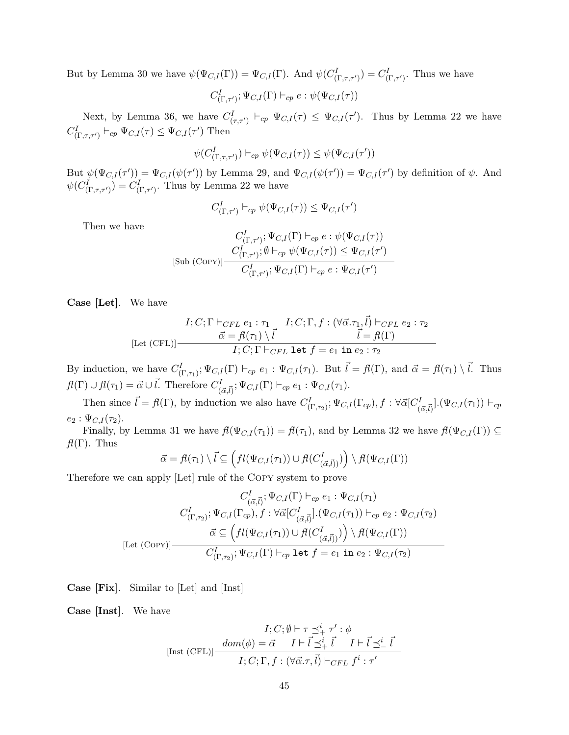But by Lemma 30 we have  $\psi(\Psi_{C,I}(\Gamma)) = \Psi_{C,I}(\Gamma)$ . And  $\psi(C_{(\Gamma,\tau,\tau')}^I) = C_{(\Gamma,\tau')}^I$ . Thus we have

$$
C^I_{(\Gamma, \tau')}; \Psi_{C,I}(\Gamma) \vdash_{cp} e : \psi(\Psi_{C,I}(\tau))
$$

Next, by Lemma 36, we have  $C^I_{(\tau,\tau')} \vdash_{cp} \Psi_{C,I}(\tau) \leq \Psi_{C,I}(\tau')$ . Thus by Lemma 22 we have  $C^I_{(\Gamma,\tau,\tau')} \vdash_{cp} \Psi_{C,I}(\tau) \leq \Psi_{C,I}(\tau')$  Then

$$
\psi(C^I_{(\Gamma,\tau,\tau')})\vdash_{cp} \psi(\Psi_{C,I}(\tau))\leq \psi(\Psi_{C,I}(\tau'))
$$

But  $\psi(\Psi_{C,I}(\tau')) = \Psi_{C,I}(\psi(\tau'))$  by Lemma 29, and  $\Psi_{C,I}(\psi(\tau')) = \Psi_{C,I}(\tau')$  by definition of  $\psi$ . And  $\psi(C^I_{(\Gamma,\tau,\tau')})=C^I_{(\Gamma,\tau')}.$  Thus by Lemma 22 we have

$$
C^I_{(\Gamma,\tau')} \vdash_{cp} \psi(\Psi_{C,I}(\tau)) \leq \Psi_{C,I}(\tau')
$$

Then we have

$$
C^I_{(\Gamma,\tau')}; \Psi_{C,I}(\Gamma) \vdash_{cp} e : \psi(\Psi_{C,I}(\tau))
$$
  
[Sub (CoPr)] 
$$
\frac{C^I_{(\Gamma,\tau')}; \emptyset \vdash_{cp} \psi(\Psi_{C,I}(\tau)) \leq \Psi_{C,I}(\tau')}{C^I_{(\Gamma,\tau')}; \Psi_{C,I}(\Gamma) \vdash_{cp} e : \Psi_{C,I}(\tau')}
$$

Case [Let]. We have

$$
I; C; \Gamma \vdash_{CFL} e_1 : \tau_1 \quad I; C; \Gamma, f : (\forall \vec{\alpha} . \tau_1, \vec{l}) \vdash_{CFL} e_2 : \tau_2
$$
  
\n
$$
\vec{\alpha} = f(\tau_1) \setminus \vec{l} \quad \vec{l} = f(\Gamma)
$$
  
\n
$$
I; C; \Gamma \vdash_{CFL} \text{let } f = e_1 \text{ in } e_2 : \tau_2
$$

By induction, we have  $C_{(\Gamma,\tau_1)}^I$ ;  $\Psi_{C,I}(\Gamma) \vdash_{cp} e_1 : \Psi_{C,I}(\tau_1)$ . But  $\vec{l} = fl(\Gamma)$ , and  $\vec{\alpha} = fl(\tau_1) \setminus \vec{l}$ . Thus  $f(I(\Gamma) \cup f(I(\tau_1) = \vec{\alpha} \cup \vec{l}.$  Therefore  $C^I_{(\vec{\alpha}, \vec{l})}; \Psi_{C,I}(\Gamma) \vdash_{cp} e_1 : \Psi_{C,I}(\tau_1)$ .

Then since  $\vec{l} = \mathcal{H}(\Gamma)$ , by induction we also have  $C^I_{(\Gamma,\tau_2)}$ ;  $\Psi_{C,I}(\Gamma_{cp}), f : \forall \vec{\alpha}[C^I_{(\vec{\alpha},\vec{l})}](\Psi_{C,I}(\tau_1)) \vdash_{cp}$  $e_2 : \Psi_{C,I}(\tau_2)$ .

Finally, by Lemma 31 we have  $f(\Psi_{C,I}(\tau_1)) = f(\tau_1)$ , and by Lemma 32 we have  $f(\Psi_{C,I}(\Gamma)) \subseteq$  $f(\Gamma)$ . Thus

$$
\vec{\alpha} = f(\tau_1) \setminus \vec{l} \subseteq \left( f(l(\Psi_{C,I}(\tau_1)) \cup f(l(C^I_{(\vec{\alpha},\vec{l})}) \right) \setminus f(l(\Psi_{C,I}(\Gamma))
$$

Therefore we can apply [Let] rule of the Copy system to prove

$$
C_{(\vec{\alpha},\vec{l})}^I; \Psi_{C,I}(\Gamma) \vdash_{cp} e_1 : \Psi_{C,I}(\tau_1)
$$

$$
C_{(\Gamma,\tau_2)}^I; \Psi_{C,I}(\Gamma_{cp}), f : \forall \vec{\alpha} [C_{(\vec{\alpha},\vec{l})}^I.(\Psi_{C,I}(\tau_1)) \vdash_{cp} e_2 : \Psi_{C,I}(\tau_2)
$$

$$
\vec{\alpha} \subseteq \left( fl(\Psi_{C,I}(\tau_1)) \cup fl(C_{(\vec{\alpha},\vec{l})}^I) \right) \setminus fl(\Psi_{C,I}(\Gamma))
$$

$$
C_{(\Gamma,\tau_2)}^I; \Psi_{C,I}(\Gamma) \vdash_{cp} \text{let } f = e_1 \text{ in } e_2 : \Psi_{C,I}(\tau_2)
$$

Case [Fix]. Similar to [Let] and [Inst]

Case [Inst]. We have

$$
I; C; \emptyset \vdash \tau \preceq^i_+ \tau' : \phi
$$
  
[Inst (CFL)]
$$
\frac{dom(\phi) = \vec{\alpha} \quad I \vdash \vec{l} \preceq^i_+ \vec{l} \quad I \vdash \vec{l} \preceq^i_- \vec{l}}{I; C; \Gamma, f : (\forall \vec{\alpha}.\tau, \vec{l}) \vdash_{CFL} f^i : \tau'}
$$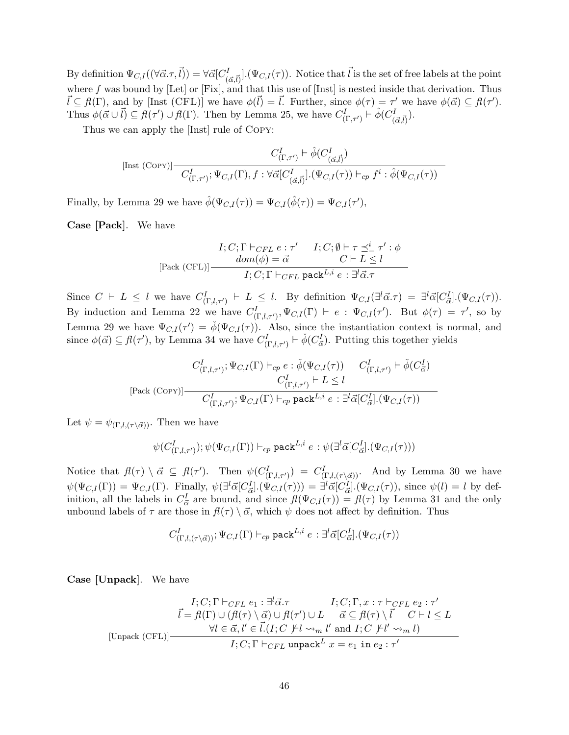By definition  $\Psi_{C,I}((\forall \vec{\alpha}.\tau,\vec{l})) = \forall \vec{\alpha}[C^I_{(\vec{\alpha},\vec{l})}]. (\Psi_{C,I}(\tau)).$  Notice that  $\vec{l}$  is the set of free labels at the point where f was bound by  $[Let]$  or  $[Fix]$ , and that this use of  $[Inst]$  is nested inside that derivation. Thus  $\vec{l} \subseteq \vec{H}(\Gamma)$ , and by [Inst (CFL)] we have  $\phi(\vec{l}) = \vec{l}$ . Further, since  $\phi(\tau) = \tau'$  we have  $\phi(\vec{\alpha}) \subseteq \vec{H}(\tau')$ . Thus  $\phi(\vec{\alpha} \cup \vec{l}) \subseteq \vec{\mu}(\tau') \cup \vec{\mu}(\Gamma)$ . Then by Lemma 25, we have  $C_{(\Gamma,\tau')}^I \vdash \hat{\phi}(C_{(\vec{\alpha},\vec{l})}^I)$ .

Thus we can apply the [Inst] rule of Copy:

$$
\text{[Inst (COPY)]} \frac{C_{(\Gamma,\tau')}^I \vdash \hat{\phi}(C_{(\vec{\alpha},\vec{l})}^I)}{C_{(\Gamma,\tau')}^I; \Psi_{C,I}(\Gamma), f : \forall \vec{\alpha}[C_{(\vec{\alpha},\vec{l})}^I.(\Psi_{C,I}(\tau)) \vdash_{cp} f^i : \hat{\phi}(\Psi_{C,I}(\tau))}
$$

Finally, by Lemma 29 we have  $\hat{\phi}(\Psi_{C,I}(\tau)) = \Psi_{C,I}(\hat{\phi}(\tau)) = \Psi_{C,I}(\tau'),$ 

Case [Pack]. We have

$$
I; C; \Gamma \vdash_{CFL} e : \tau' \qquad I; C; \emptyset \vdash \tau \preceq_{-}^{i} \tau' : \phi
$$

$$
[Pack (CFL)] \frac{dom(\phi) = \vec{\alpha} \qquad C \vdash L \le l}{I; C; \Gamma \vdash_{CFL} pack^{L,i} e : \exists^{l} \vec{\alpha} . \tau}
$$

Since  $C \vdash L \leq l$  we have  $C^I_{(\Gamma,l,\tau')} \vdash L \leq l$ . By definition  $\Psi_{C,I}(\exists^l \vec{\alpha}.\tau) = \exists^l \vec{\alpha}[C^I_{\vec{\alpha}}] \cdot (\Psi_{C,I}(\tau))$ . By induction and Lemma 22 we have  $C^I_{(\Gamma,l,\tau')}, \Psi_{C,I}(\Gamma) \vdash e : \Psi_{C,I}(\tau')$ . But  $\phi(\tau) = \tau'$ , so by Lemma 29 we have  $\Psi_{C,I}(\tau') = \phi(\Psi_{C,I}(\tau))$ . Also, since the instantiation context is normal, and since  $\phi(\vec{\alpha}) \subseteq \vec{\mu}(\tau')$ , by Lemma 34 we have  $C^I_{(\Gamma,l,\tau')} \vdash \check{\phi}(C^I_{\vec{\alpha}})$ . Putting this together yields

$$
C_{(\Gamma,l,\tau')}^I; \Psi_{C,I}(\Gamma) \vdash_{cp} e : \check{\phi}(\Psi_{C,I}(\tau)) \qquad C_{(\Gamma,l,\tau')}^I \vdash \check{\phi}(C_{\vec{\alpha}}^I)
$$
  

$$
C_{(\Gamma,l,\tau')}^I \vdash L \leq l
$$
  
[Pack (Copy)]
$$
\overline{C_{(\Gamma,l,\tau')}^I; \Psi_{C,I}(\Gamma) \vdash_{cp} \text{pack}^{L,i} e : \exists^l \vec{\alpha}[C_{\vec{\alpha}}^I] \cdot (\Psi_{C,I}(\tau))}
$$

Let  $\psi = \psi_{(\Gamma, l, (\tau \setminus \vec{\alpha}))}$ . Then we have

$$
\psi(C^I_{(\Gamma,l,\tau')});\psi(\Psi_{C,I}(\Gamma))\vdash_{cp}\mathsf{pack}^{L,i}e:\psi(\exists^l\vec{\alpha}[C^I_{\vec{\alpha}}].(\Psi_{C,I}(\tau)))
$$

Notice that  $f(\tau) \setminus \vec{\alpha} \subseteq f(\tau')$ . Then  $\psi(C^I_{(\Gamma, l, \tau')}) = C^I_{(\Gamma, l, (\tau \setminus \vec{\alpha}))}$ . And by Lemma 30 we have  $\psi(\Psi_{C,I}(\Gamma)) = \Psi_{C,I}(\Gamma)$ . Finally,  $\psi(\exists^l \vec{\alpha}[C_{\vec{\alpha}}^I](\Psi_{C,I}(\tau))) = \exists^l \vec{\alpha}[C_{\vec{\alpha}}^I](\Psi_{C,I}(\tau))$ , since  $\psi(l) = l$  by definition, all the labels in  $C_{\vec{\alpha}}^I$  are bound, and since  $f(\Psi_{C,I}(\tau)) = f(\tau)$  by Lemma 31 and the only unbound labels of  $\tau$  are those in  $f(\tau) \setminus \vec{\alpha}$ , which  $\psi$  does not affect by definition. Thus

$$
C_{(\Gamma, l, (\tau \setminus \vec{\alpha}))}^I; \Psi_{C, I}(\Gamma) \vdash_{cp} \mathsf{pack}^{L, i} e: \exists^l \vec{\alpha} [C^I_{\vec{\alpha}}]. (\Psi_{C, I}(\tau))
$$

Case [Unpack]. We have

$$
I; C; \Gamma \vdash_{CFL} e_1 : \exists^l \vec{\alpha}.\tau \qquad I; C; \Gamma, x : \tau \vdash_{CFL} e_2 : \tau'
$$

$$
\vec{l} = f\ell(\Gamma) \cup (f\ell(\tau) \setminus \vec{\alpha}) \cup f\ell(\tau') \cup L \qquad \vec{\alpha} \subseteq f\ell(\tau) \setminus \vec{l} \qquad C \vdash l \leq L
$$

$$
\forall l \in \vec{\alpha}, l' \in \vec{l}. (I; C \not\vdash l \leadsto_m l' \text{ and } I; C \not\vdash l' \leadsto_m l)
$$

$$
I; C; \Gamma \vdash_{CFL} \text{unpack} L \ x = e_1 \text{ in } e_2 : \tau'
$$